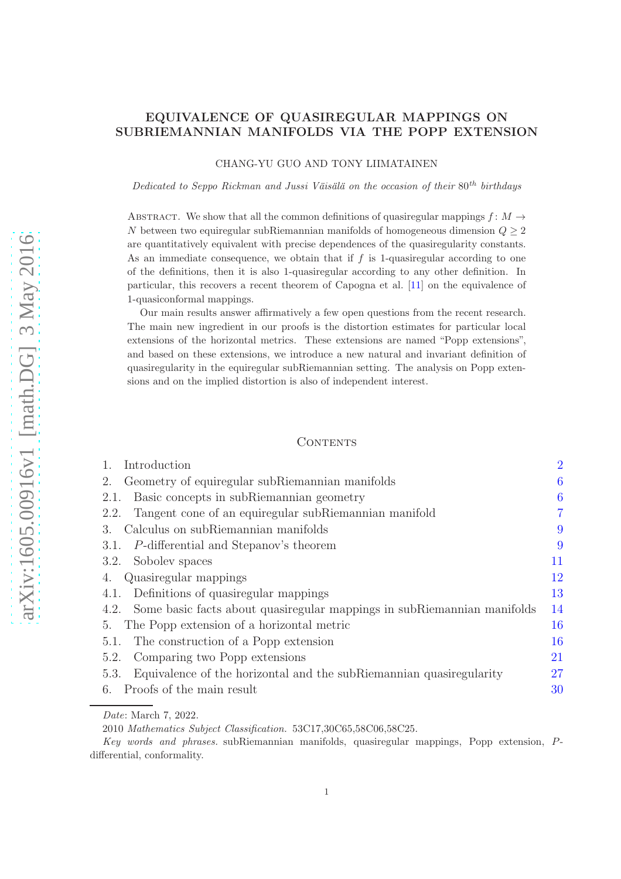## EQUIVALENCE OF QUASIREGULAR MAPPINGS ON SUBRIEMANNIAN MANIFOLDS VIA THE POPP EXTENSION

CHANG-YU GUO AND TONY LIIMATAINEN

Dedicated to Seppo Rickman and Jussi Väisälä on the occasion of their  $80^{th}$  birthdays

ABSTRACT. We show that all the common definitions of quasiregular mappings  $f: M \rightarrow$ N between two equiregular subRiemannian manifolds of homogeneous dimension  $Q \geq 2$ are quantitatively equivalent with precise dependences of the quasiregularity constants. As an immediate consequence, we obtain that if  $f$  is 1-quasiregular according to one of the definitions, then it is also 1-quasiregular according to any other definition. In particular, this recovers a recent theorem of Capogna et al. [\[11\]](#page-39-0) on the equivalence of 1-quasiconformal mappings.

Our main results answer affirmatively a few open questions from the recent research. The main new ingredient in our proofs is the distortion estimates for particular local extensions of the horizontal metrics. These extensions are named "Popp extensions", and based on these extensions, we introduce a new natural and invariant definition of quasiregularity in the equiregular subRiemannian setting. The analysis on Popp extensions and on the implied distortion is also of independent interest.

#### **CONTENTS**

| Introduction                                                                 | $\overline{2}$ |
|------------------------------------------------------------------------------|----------------|
| Geometry of equiregular subRiemannian manifolds<br>2.                        | 6              |
| Basic concepts in subRiemannian geometry<br>2.1.                             | 6              |
| Tangent cone of an equiregular subRiemannian manifold<br>2.2.                | 7              |
| Calculus on subRiemannian manifolds<br>3.                                    | 9              |
| 3.1. P-differential and Stepanov's theorem                                   | 9              |
| 3.2. Sobolev spaces                                                          | 11             |
| Quasiregular mappings                                                        | 12             |
| 4.1. Definitions of quasiregular mappings                                    | 13             |
| 4.2. Some basic facts about quasiregular mappings in subRiemannian manifolds | 14             |
| The Popp extension of a horizontal metric<br>5.                              | 16             |
| The construction of a Popp extension<br>5.1.                                 | 16             |
| Comparing two Popp extensions<br>5.2.                                        | 21             |
| Equivalence of the horizontal and the subRiemannian quasiregularity<br>5.3.  | 27             |
| Proofs of the main result<br>6.                                              | 30             |
|                                                                              |                |

Date: March 7, 2022.

<sup>2010</sup> Mathematics Subject Classification. 53C17,30C65,58C06,58C25.

Key words and phrases. subRiemannian manifolds, quasiregular mappings, Popp extension, Pdifferential, conformality.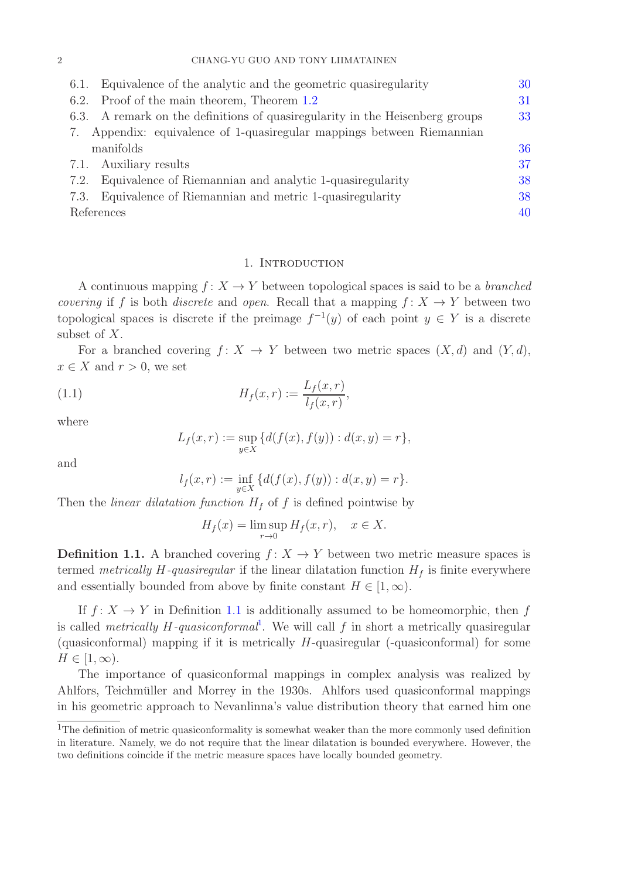| Equivalence of the analytic and the geometric quasiregularity<br>6.1.           | 30 |
|---------------------------------------------------------------------------------|----|
| Proof of the main theorem, Theorem 1.2<br>6.2.                                  | 31 |
| A remark on the definitions of quasiregularity in the Heisenberg groups<br>6.3. | 33 |
| 7. Appendix: equivalence of 1-quasiregular mappings between Riemannian          |    |
| manifolds                                                                       | 36 |
| 7.1. Auxiliary results                                                          | 37 |
| Equivalence of Riemannian and analytic 1-quasiregularity<br>7.2.                | 38 |
| Equivalence of Riemannian and metric 1-quasiregularity<br>7.3.                  | 38 |
| References                                                                      | 40 |
|                                                                                 |    |

## 1. INTRODUCTION

<span id="page-1-0"></span>A continuous mapping  $f: X \to Y$  between topological spaces is said to be a *branched* covering if f is both discrete and open. Recall that a mapping  $f: X \to Y$  between two topological spaces is discrete if the preimage  $f^{-1}(y)$  of each point  $y \in Y$  is a discrete subset of X.

For a branched covering  $f: X \to Y$  between two metric spaces  $(X, d)$  and  $(Y, d)$ ,  $x \in X$  and  $r > 0$ , we set

(1.1) 
$$
H_f(x,r) := \frac{L_f(x,r)}{l_f(x,r)},
$$

where

<span id="page-1-2"></span>
$$
L_f(x,r) := \sup_{y \in X} \{ d(f(x), f(y)) : d(x,y) = r \},\
$$

and

$$
l_f(x,r) := \inf_{y \in X} \{ d(f(x),f(y)) : d(x,y) = r \}.
$$

Then the *linear dilatation function*  $H_f$  of f is defined pointwise by

$$
H_f(x) = \limsup_{r \to 0} H_f(x, r), \quad x \in X.
$$

<span id="page-1-1"></span>**Definition 1.1.** A branched covering  $f: X \to Y$  between two metric measure spaces is termed metrically  $H$ -quasiregular if the linear dilatation function  $H_f$  is finite everywhere and essentially bounded from above by finite constant  $H \in [1,\infty)$ .

If  $f: X \to Y$  in Definition [1.1](#page-1-1) is additionally assumed to be homeomorphic, then f is called *metrically H-quasiconformal*<sup>1</sup>. We will call  $f$  in short a metrically quasiregular (quasiconformal) mapping if it is metrically  $H$ -quasiregular (-quasiconformal) for some  $H \in [1,\infty)$ .

The importance of quasiconformal mappings in complex analysis was realized by Ahlfors, Teichmüller and Morrey in the 1930s. Ahlfors used quasiconformal mappings in his geometric approach to Nevanlinna's value distribution theory that earned him one

<sup>&</sup>lt;sup>1</sup>The definition of metric quasiconformality is somewhat weaker than the more commonly used definition in literature. Namely, we do not require that the linear dilatation is bounded everywhere. However, the two definitions coincide if the metric measure spaces have locally bounded geometry.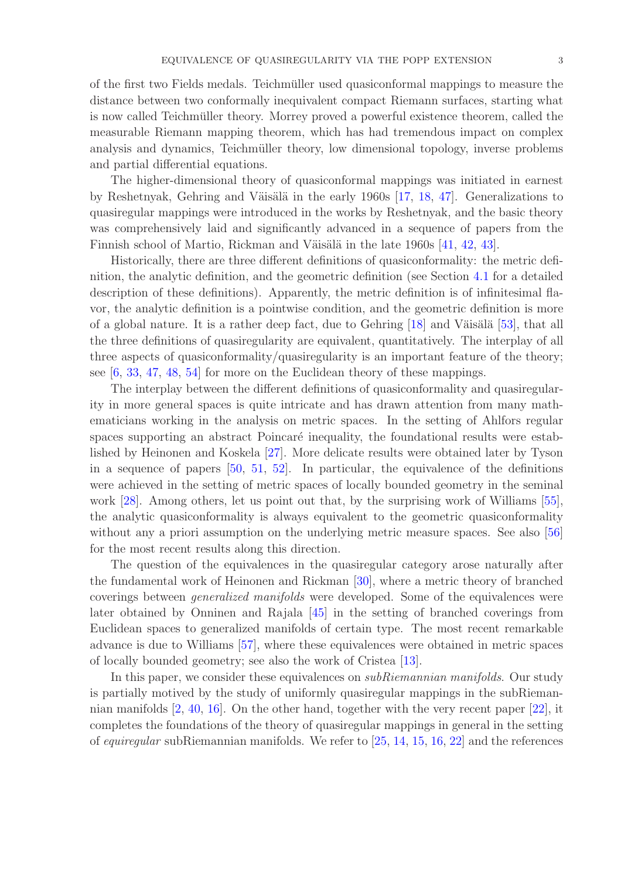of the first two Fields medals. Teichmuller used quasiconformal mappings to measure the ¨ distance between two conformally inequivalent compact Riemann surfaces, starting what is now called Teichmüller theory. Morrey proved a powerful existence theorem, called the measurable Riemann mapping theorem, which has had tremendous impact on complex analysis and dynamics, Teichmüller theory, low dimensional topology, inverse problems and partial differential equations.

The higher-dimensional theory of quasiconformal mappings was initiated in earnest by Reshetnyak, Gehring and Väisälä in the early 1960s  $[17, 18, 47]$  $[17, 18, 47]$  $[17, 18, 47]$  $[17, 18, 47]$ . Generalizations to quasiregular mappings were introduced in the works by Reshetnyak, and the basic theory was comprehensively laid and significantly advanced in a sequence of papers from the Finnish school of Martio, Rickman and Väisälä in the late 1960s [\[41,](#page-40-2) [42,](#page-41-1) [43\]](#page-41-2).

Historically, there are three different definitions of quasiconformality: the metric definition, the analytic definition, and the geometric definition (see Section [4.1](#page-12-0) for a detailed description of these definitions). Apparently, the metric definition is of infinitesimal flavor, the analytic definition is a pointwise condition, and the geometric definition is more of a global nature. It is a rather deep fact, due to Gehring  $[18]$  and Väisälä  $[53]$ , that all the three definitions of quasiregularity are equivalent, quantitatively. The interplay of all three aspects of quasiconformality/quasiregularity is an important feature of the theory; see [\[6,](#page-39-2) [33,](#page-40-3) [47,](#page-41-0) [48,](#page-41-4) [54\]](#page-41-5) for more on the Euclidean theory of these mappings.

The interplay between the different definitions of quasiconformality and quasiregularity in more general spaces is quite intricate and has drawn attention from many mathematicians working in the analysis on metric spaces. In the setting of Ahlfors regular spaces supporting an abstract Poincaré inequality, the foundational results were established by Heinonen and Koskela [\[27\]](#page-40-4). More delicate results were obtained later by Tyson in a sequence of papers [\[50,](#page-41-6) [51,](#page-41-7) [52\]](#page-41-8). In particular, the equivalence of the definitions were achieved in the setting of metric spaces of locally bounded geometry in the seminal work [\[28\]](#page-40-5). Among others, let us point out that, by the surprising work of Williams [\[55\]](#page-41-9), the analytic quasiconformality is always equivalent to the geometric quasiconformality without any a priori assumption on the underlying metric measure spaces. See also [\[56\]](#page-41-10) for the most recent results along this direction.

The question of the equivalences in the quasiregular category arose naturally after the fundamental work of Heinonen and Rickman [\[30\]](#page-40-6), where a metric theory of branched coverings between generalized manifolds were developed. Some of the equivalences were later obtained by Onninen and Rajala [\[45\]](#page-41-11) in the setting of branched coverings from Euclidean spaces to generalized manifolds of certain type. The most recent remarkable advance is due to Williams [\[57\]](#page-41-12), where these equivalences were obtained in metric spaces of locally bounded geometry; see also the work of Cristea [\[13\]](#page-39-3).

In this paper, we consider these equivalences on *subRiemannian manifolds*. Our study is partially motived by the study of uniformly quasiregular mappings in the subRiemannian manifolds [\[2,](#page-39-4) [40,](#page-40-7) [16\]](#page-39-5). On the other hand, together with the very recent paper [\[22\]](#page-40-8), it completes the foundations of the theory of quasiregular mappings in general in the setting of equiregular subRiemannian manifolds. We refer to [\[25,](#page-40-9) [14,](#page-39-6) [15,](#page-39-7) [16,](#page-39-5) [22\]](#page-40-8) and the references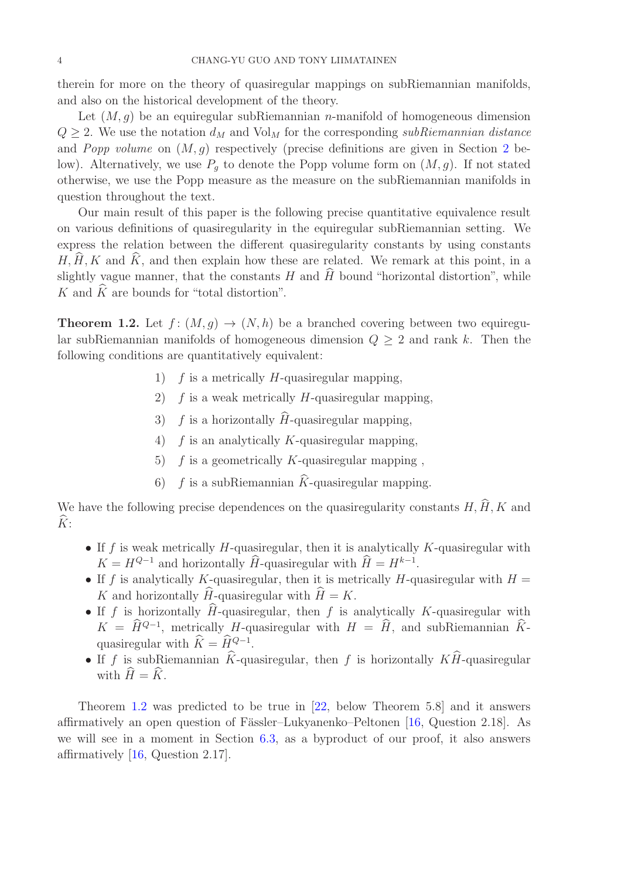therein for more on the theory of quasiregular mappings on subRiemannian manifolds, and also on the historical development of the theory.

Let  $(M, g)$  be an equiregular subRiemannian *n*-manifold of homogeneous dimension  $Q \geq 2$ . We use the notation  $d_M$  and  $Vol_M$  for the corresponding subRiemannian distance and Popp volume on  $(M, g)$  respectively (precise definitions are given in Section [2](#page-5-0) below). Alternatively, we use  $P_q$  to denote the Popp volume form on  $(M, g)$ . If not stated otherwise, we use the Popp measure as the measure on the subRiemannian manifolds in question throughout the text.

Our main result of this paper is the following precise quantitative equivalence result on various definitions of quasiregularity in the equiregular subRiemannian setting. We express the relation between the different quasiregularity constants by using constants  $H, \widehat{H}, K$  and  $\widehat{K}$ , and then explain how these are related. We remark at this point, in a slightly vague manner, that the constants H and  $\hat{H}$  bound "horizontal distortion", while K and  $\widehat{K}$  are bounds for "total distortion".

<span id="page-3-0"></span>**Theorem 1.2.** Let  $f : (M, g) \to (N, h)$  be a branched covering between two equiregular subRiemannian manifolds of homogeneous dimension  $Q \geq 2$  and rank k. Then the following conditions are quantitatively equivalent:

- 1)  $f$  is a metrically H-quasiregular mapping,
- 2)  $f$  is a weak metrically  $H$ -quasiregular mapping,
- 3) f is a horizontally  $\widehat{H}$ -quasiregular mapping,
- 4)  $f$  is an analytically K-quasiregular mapping,
- 5)  $f$  is a geometrically K-quasiregular mapping,
- 6) f is a subRiemannian  $\hat{K}$ -quasiregular mapping.

We have the following precise dependences on the quasiregularity constants  $H, \hat{H}, K$  and  $\widehat{K}$ :

- If f is weak metrically H-quasiregular, then it is analytically K-quasiregular with  $K = H^{Q-1}$  and horizontally  $\hat{H}$ -quasiregular with  $\hat{H} = H^{k-1}$ .
- If f is analytically K-quasiregular, then it is metrically H-quasiregular with  $H =$ K and horizontally  $\widehat{H}$ -quasiregular with  $\widehat{H} = K$ .
- If f is horizontally  $\hat{H}$ -quasiregular, then f is analytically K-quasiregular with  $K = \hat{H}^{Q-1}$ , metrically H-quasiregular with  $H = \hat{H}$ , and subRiemannian  $\hat{K}$ quasiregular with  $\hat{K} = \hat{H}_{\sim}^{Q-1}$ .
- If f is subRiemannian  $\hat{K}$ -quasiregular, then f is horizontally  $K\hat{H}$ -quasiregular with  $\widehat{H} = \widehat{K}$ .

Theorem [1.2](#page-3-0) was predicted to be true in [\[22,](#page-40-8) below Theorem 5.8] and it answers affirmatively an open question of Fässler–Lukyanenko–Peltonen [\[16,](#page-39-5) Question 2.18]. As we will see in a moment in Section [6.3,](#page-32-0) as a byproduct of our proof, it also answers affirmatively [\[16,](#page-39-5) Question 2.17].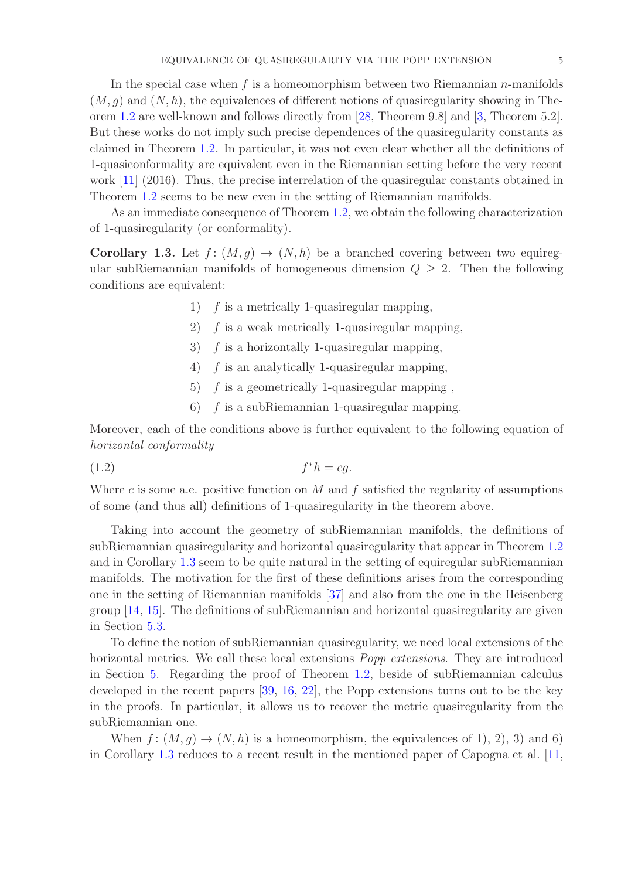In the special case when f is a homeomorphism between two Riemannian  $n$ -manifolds  $(M, q)$  and  $(N, h)$ , the equivalences of different notions of quasiregularity showing in Theorem [1.2](#page-3-0) are well-known and follows directly from [\[28,](#page-40-5) Theorem 9.8] and [\[3,](#page-39-8) Theorem 5.2]. But these works do not imply such precise dependences of the quasiregularity constants as claimed in Theorem [1.2.](#page-3-0) In particular, it was not even clear whether all the definitions of 1-quasiconformality are equivalent even in the Riemannian setting before the very recent work [\[11\]](#page-39-0) (2016). Thus, the precise interrelation of the quasiregular constants obtained in Theorem [1.2](#page-3-0) seems to be new even in the setting of Riemannian manifolds.

As an immediate consequence of Theorem [1.2,](#page-3-0) we obtain the following characterization of 1-quasiregularity (or conformality).

<span id="page-4-0"></span>**Corollary 1.3.** Let  $f : (M, g) \to (N, h)$  be a branched covering between two equiregular subRiemannian manifolds of homogeneous dimension  $Q \geq 2$ . Then the following conditions are equivalent:

- 1)  $f$  is a metrically 1-quasiregular mapping,
- 2)  $f$  is a weak metrically 1-quasiregular mapping,
- 3)  $f$  is a horizontally 1-quasiregular mapping,
- 4) f is an analytically 1-quasiregular mapping,
- 5)  $f$  is a geometrically 1-quasiregular mapping,
- 6) f is a subRiemannian 1-quasiregular mapping.

Moreover, each of the conditions above is further equivalent to the following equation of horizontal conformality

$$
(1.2) \t\t f^*h = cg.
$$

Where c is some a.e. positive function on  $M$  and  $f$  satisfied the regularity of assumptions of some (and thus all) definitions of 1-quasiregularity in the theorem above.

Taking into account the geometry of subRiemannian manifolds, the definitions of subRiemannian quasiregularity and horizontal quasiregularity that appear in Theorem [1.2](#page-3-0) and in Corollary [1.3](#page-4-0) seem to be quite natural in the setting of equiregular subRiemannian manifolds. The motivation for the first of these definitions arises from the corresponding one in the setting of Riemannian manifolds [\[37\]](#page-40-10) and also from the one in the Heisenberg group [\[14,](#page-39-6) [15\]](#page-39-7). The definitions of subRiemannian and horizontal quasiregularity are given in Section [5.3.](#page-26-0)

To define the notion of subRiemannian quasiregularity, we need local extensions of the horizontal metrics. We call these local extensions *Popp extensions*. They are introduced in Section [5.](#page-15-0) Regarding the proof of Theorem [1.2,](#page-3-0) beside of subRiemannian calculus developed in the recent papers [\[39,](#page-40-11) [16,](#page-39-5) [22\]](#page-40-8), the Popp extensions turns out to be the key in the proofs. In particular, it allows us to recover the metric quasiregularity from the subRiemannian one.

When  $f: (M, g) \to (N, h)$  is a homeomorphism, the equivalences of 1, 2, 3) and 6) in Corollary [1.3](#page-4-0) reduces to a recent result in the mentioned paper of Capogna et al. [\[11,](#page-39-0)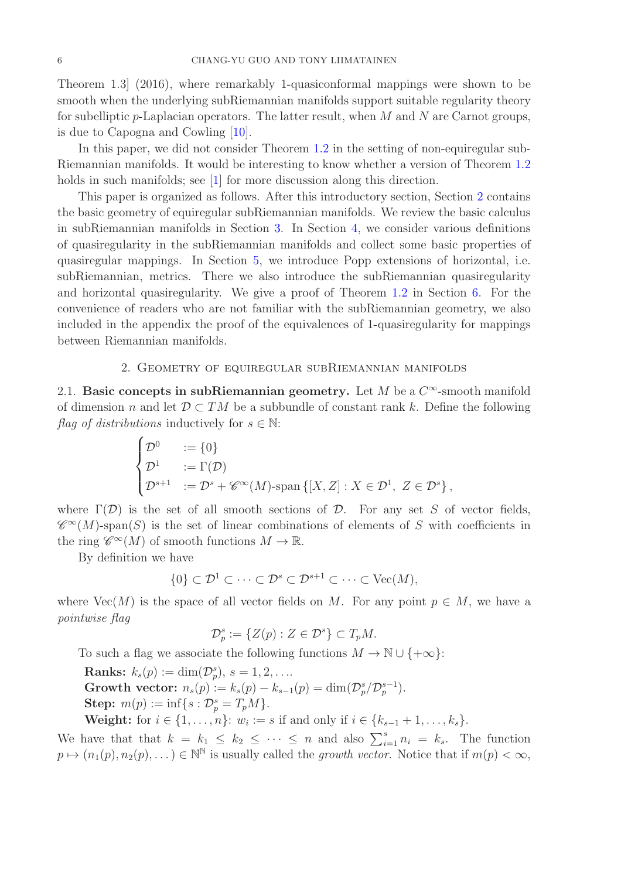Theorem 1.3] (2016), where remarkably 1-quasiconformal mappings were shown to be smooth when the underlying subRiemannian manifolds support suitable regularity theory for subelliptic  $p$ -Laplacian operators. The latter result, when M and N are Carnot groups, is due to Capogna and Cowling [\[10\]](#page-39-9).

In this paper, we did not consider Theorem [1.2](#page-3-0) in the setting of non-equiregular sub-Riemannian manifolds. It would be interesting to know whether a version of Theorem [1.2](#page-3-0) holds in such manifolds; see [\[1\]](#page-39-10) for more discussion along this direction.

This paper is organized as follows. After this introductory section, Section [2](#page-5-0) contains the basic geometry of equiregular subRiemannian manifolds. We review the basic calculus in subRiemannian manifolds in Section [3.](#page-8-0) In Section [4,](#page-11-0) we consider various definitions of quasiregularity in the subRiemannian manifolds and collect some basic properties of quasiregular mappings. In Section [5,](#page-15-0) we introduce Popp extensions of horizontal, i.e. subRiemannian, metrics. There we also introduce the subRiemannian quasiregularity and horizontal quasiregularity. We give a proof of Theorem [1.2](#page-3-0) in Section [6.](#page-29-0) For the convenience of readers who are not familiar with the subRiemannian geometry, we also included in the appendix the proof of the equivalences of 1-quasiregularity for mappings between Riemannian manifolds.

## 2. Geometry of equiregular subRiemannian manifolds

<span id="page-5-1"></span><span id="page-5-0"></span>2.1. Basic concepts in subRiemannian geometry. Let M be a  $C^{\infty}$ -smooth manifold of dimension n and let  $\mathcal{D} \subset TM$  be a subbundle of constant rank k. Define the following flag of distributions inductively for  $s \in \mathbb{N}$ :

$$
\begin{cases}\n\mathcal{D}^0 &:= \{0\} \\
\mathcal{D}^1 &:= \Gamma(\mathcal{D}) \\
\mathcal{D}^{s+1} &:= \mathcal{D}^s + \mathscr{C}^\infty(M)\text{-span }\{[X,Z] : X \in \mathcal{D}^1, Z \in \mathcal{D}^s\},\n\end{cases}
$$

where  $\Gamma(\mathcal{D})$  is the set of all smooth sections of  $\mathcal{D}$ . For any set S of vector fields,  $\mathscr{C}^{\infty}(M)$ -span(S) is the set of linear combinations of elements of S with coefficients in the ring  $\mathscr{C}^{\infty}(M)$  of smooth functions  $M \to \mathbb{R}$ .

By definition we have

$$
\{0\} \subset \mathcal{D}^1 \subset \cdots \subset \mathcal{D}^s \subset \mathcal{D}^{s+1} \subset \cdots \subset \text{Vec}(M),
$$

where  $Vec(M)$  is the space of all vector fields on M. For any point  $p \in M$ , we have a pointwise flag

$$
\mathcal{D}_p^s := \{ Z(p) : Z \in \mathcal{D}^s \} \subset T_p M.
$$

To such a flag we associate the following functions  $M \to \mathbb{N} \cup \{+\infty\}$ :

**Ranks:**  $k_s(p) := \dim(\mathcal{D}_p^s), s = 1, 2, \ldots$ Growth vector:  $n_s(p) := k_s(p) - k_{s-1}(p) = \dim(\mathcal{D}_p^s/\mathcal{D}_p^{s-1}).$ **Step:**  $m(p) := \inf\{s : \mathcal{D}_{p}^{s} = T_{p}M\}.$ 

**Weight:** for  $i \in \{1, ..., n\}$ :  $w_i := s$  if and only if  $i \in \{k_{s-1} + 1, ..., k_s\}$ .

We have that that  $k = k_1 \leq k_2 \leq \cdots \leq n$  and also  $\sum_{i=1}^{s} n_i = k_s$ . The function  $p \mapsto (n_1(p), n_2(p), \dots) \in \mathbb{N}^{\mathbb{N}}$  is usually called the growth vector. Notice that if  $m(p) < \infty$ ,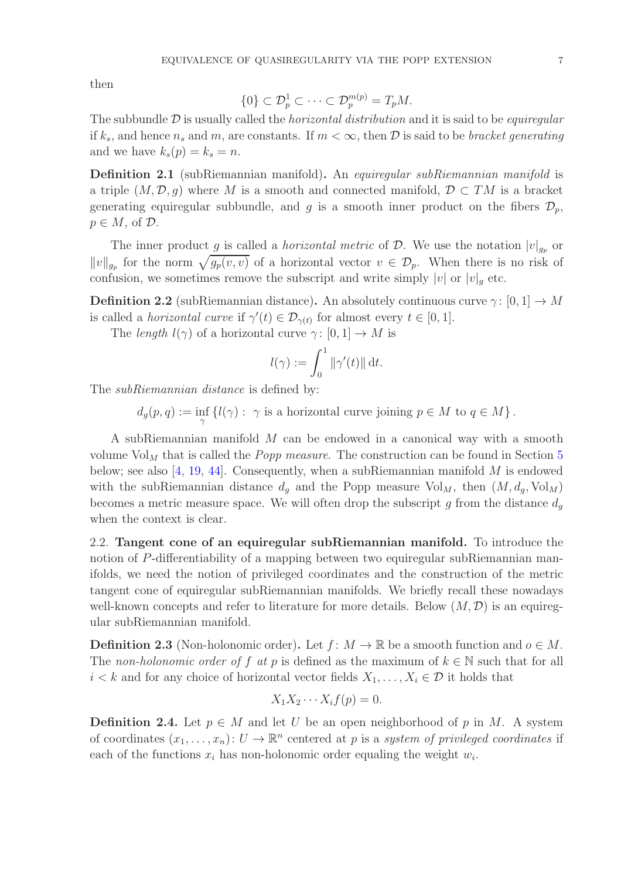then

$$
\{0\} \subset \mathcal{D}_p^1 \subset \cdots \subset \mathcal{D}_p^{m(p)} = T_p M.
$$

The subbundle  $\mathcal D$  is usually called the *horizontal distribution* and it is said to be *equiregular* if  $k_s$ , and hence  $n_s$  and m, are constants. If  $m < \infty$ , then  $\mathcal D$  is said to be bracket generating and we have  $k_s(p) = k_s = n$ .

Definition 2.1 (subRiemannian manifold). An equiregular subRiemannian manifold is a triple  $(M, \mathcal{D}, g)$  where M is a smooth and connected manifold,  $\mathcal{D} \subset TM$  is a bracket generating equiregular subbundle, and g is a smooth inner product on the fibers  $\mathcal{D}_p$ ,  $p \in M$ , of  $\mathcal{D}$ .

The inner product g is called a *horizontal metric* of  $D$ . We use the notation  $|v|_{g_p}$  or  $||v||_{g_p}$  for the norm  $\sqrt{g_p(v, v)}$  of a horizontal vector  $v \in \mathcal{D}_p$ . When there is no risk of confusion, we sometimes remove the subscript and write simply  $|v|$  or  $|v|_q$  etc.

**Definition 2.2** (subRiemannian distance). An absolutely continuous curve  $\gamma: [0, 1] \to M$ is called a *horizontal curve* if  $\gamma'(t) \in \mathcal{D}_{\gamma(t)}$  for almost every  $t \in [0, 1]$ .

The length  $l(\gamma)$  of a horizontal curve  $\gamma: [0,1] \to M$  is

$$
l(\gamma) := \int_0^1 \|\gamma'(t)\| \, \mathrm{d}t.
$$

The *subRiemannian distance* is defined by:

 $d_g(p,q) := \inf_{\gamma} \{l(\gamma) : \gamma \text{ is a horizontal curve joining } p \in M \text{ to } q \in M \}.$ 

A subRiemannian manifold M can be endowed in a canonical way with a smooth volume  $Vol_M$  that is called the *Popp measure*. The construction can be found in Section [5](#page-15-0) below; see also [\[4,](#page-39-11) [19,](#page-40-12) [44\]](#page-41-13). Consequently, when a subRiemannian manifold  $M$  is endowed with the subRiemannian distance  $d_q$  and the Popp measure  $Vol_M$ , then  $(M, d_q, Vol_M)$ becomes a metric measure space. We will often drop the subscript g from the distance  $d_q$ when the context is clear.

<span id="page-6-0"></span>2.2. Tangent cone of an equiregular subRiemannian manifold. To introduce the notion of P-differentiability of a mapping between two equiregular subRiemannian manifolds, we need the notion of privileged coordinates and the construction of the metric tangent cone of equiregular subRiemannian manifolds. We briefly recall these nowadays well-known concepts and refer to literature for more details. Below  $(M, \mathcal{D})$  is an equiregular subRiemannian manifold.

**Definition 2.3** (Non-holonomic order). Let  $f: M \to \mathbb{R}$  be a smooth function and  $o \in M$ . The non-holonomic order of f at p is defined as the maximum of  $k \in \mathbb{N}$  such that for all  $i < k$  and for any choice of horizontal vector fields  $X_1, \ldots, X_i \in \mathcal{D}$  it holds that

$$
X_1 X_2 \cdots X_i f(p) = 0.
$$

**Definition 2.4.** Let  $p \in M$  and let U be an open neighborhood of p in M. A system of coordinates  $(x_1, \ldots, x_n): U \to \mathbb{R}^n$  centered at p is a system of privileged coordinates if each of the functions  $x_i$  has non-holonomic order equaling the weight  $w_i$ .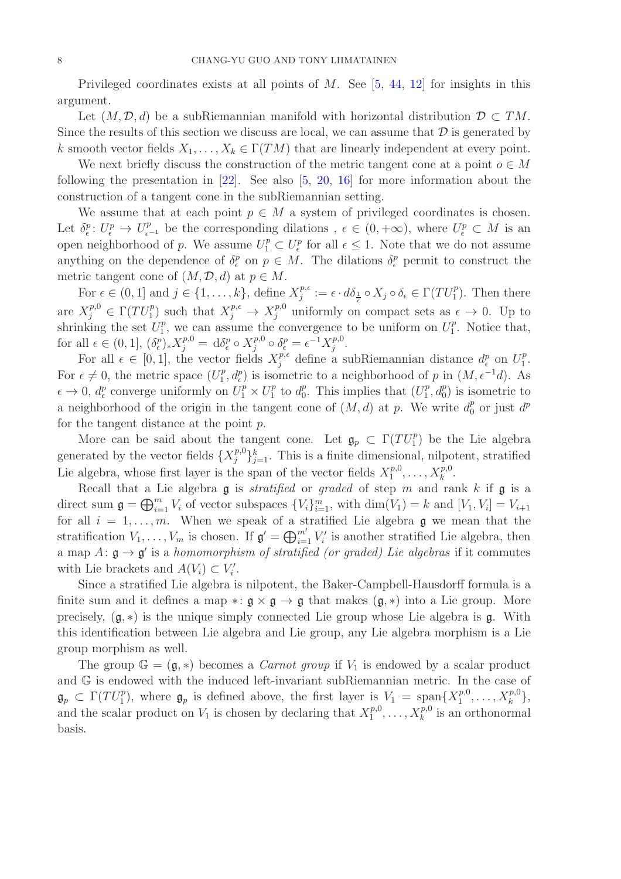Privileged coordinates exists at all points of  $M$ . See [\[5,](#page-39-12) [44,](#page-41-13) [12\]](#page-39-13) for insights in this argument.

Let  $(M, \mathcal{D}, d)$  be a subRiemannian manifold with horizontal distribution  $\mathcal{D} \subset TM$ . Since the results of this section we discuss are local, we can assume that  $\mathcal D$  is generated by k smooth vector fields  $X_1, \ldots, X_k \in \Gamma(TM)$  that are linearly independent at every point.

We next briefly discuss the construction of the metric tangent cone at a point  $o \in M$ following the presentation in  $[22]$ . See also  $[5, 20, 16]$  $[5, 20, 16]$  $[5, 20, 16]$  $[5, 20, 16]$  for more information about the construction of a tangent cone in the subRiemannian setting.

We assume that at each point  $p \in M$  a system of privileged coordinates is chosen. Let  $\delta_{\epsilon}^p: U_{\epsilon}^p \to U_{\epsilon^{-1}}^p$  be the corresponding dilations,  $\epsilon \in (0, +\infty)$ , where  $U_{\epsilon}^p \subset M$  is an open neighborhood of p. We assume  $U_1^p \subset U_{\epsilon}^p$  for all  $\epsilon \leq 1$ . Note that we do not assume anything on the dependence of  $\delta_{\epsilon}^{p}$  on  $p \in M$ . The dilations  $\delta_{\epsilon}^{p}$  permit to construct the metric tangent cone of  $(M, \mathcal{D}, d)$  at  $p \in M$ .

For  $\epsilon \in (0,1]$  and  $j \in \{1,\ldots,k\}$ , define  $X_j^{p,\epsilon}$  $j^{p,\epsilon} := \epsilon \cdot d\delta_{\frac{1}{\epsilon}} \circ X_j \circ \delta_{\epsilon} \in \Gamma(TU_1^p)$ . Then there are  $X_j^{p,0} \in \Gamma(TU_1^p)$  such that  $X_j^{p,\epsilon} \to X_j^{p,0}$  uniformly on compact sets as  $\epsilon \to 0$ . Up to shrinking the set  $U_1^p$  $_1^p$ , we can assume the convergence to be uniform on  $U_1^p$  $I<sub>1</sub><sup>p</sup>$ . Notice that, for all  $\epsilon \in (0,1], (\delta_{\epsilon}^p)_{*} X_j^{p,0} = d \delta_{\epsilon}^p \circ X_j^{p,0}$  $\delta_j^{p,0}\circ \delta_\epsilon^p=\epsilon^{-1}X_j^{p,0}$  $j^{p,0}$ .

For all  $\epsilon \in [0,1]$ , the vector fields  $X_j^{p,\epsilon}$  define a subRiemannian distance  $d_{\epsilon}^p$  on  $U_1^p$  $\frac{p}{1}$ . For  $\epsilon \neq 0$ , the metric space  $(U_1^p)$  $\int_1^p$ ,  $d_{\epsilon}^p$ ) is isometric to a neighborhood of p in  $(M, \epsilon^{-1}d)$ . As  $\epsilon \to 0$ ,  $d_{\epsilon}^p$  converge uniformly on  $U_1^p \times U_1^p$  $_1^p$  to  $d_0^p$  $_0^p$ . This implies that  $(U_1^p)$  $\binom{p}{1}$ ,  $d_0^p$ ) is isometric to a neighborhood of the origin in the tangent cone of  $(M, d)$  at p. We write  $d_0^p$  or just  $d^p$ for the tangent distance at the point p.

More can be said about the tangent cone. Let  $\mathfrak{g}_p \subset \Gamma(TU_1^p)$  be the Lie algebra generated by the vector fields  $\{X_j^{p,0}$  ${j^{p,0}}_{j=1}^k$ . This is a finite dimensional, nilpotent, stratified Lie algebra, whose first layer is the span of the vector fields  $X_1^{p,0}$  $I_1^{p,0}, \ldots, X_k^{p,0}.$ 

Recall that a Lie algebra  $\mathfrak g$  is *stratified* or *graded* of step m and rank k if  $\mathfrak g$  is a direct sum  $\mathfrak{g} = \bigoplus_{i=1}^m V_i$  of vector subspaces  $\{V_i\}_{i=1}^m$ , with  $\dim(V_1) = k$  and  $[V_1, V_i] = V_{i+1}$ for all  $i = 1, \ldots, m$ . When we speak of a stratified Lie algebra g we mean that the stratification  $V_1, \ldots, V_m$  is chosen. If  $\mathfrak{g}' = \bigoplus_{i=1}^{m'} V'_i$  is another stratified Lie algebra, then a map  $A: \mathfrak{g} \to \mathfrak{g}'$  is a homomorphism of stratified (or graded) Lie algebras if it commutes with Lie brackets and  $A(V_i) \subset V'_i$ .

Since a stratified Lie algebra is nilpotent, the Baker-Campbell-Hausdorff formula is a finite sum and it defines a map ∗:  $\mathfrak{g} \times \mathfrak{g} \to \mathfrak{g}$  that makes  $(\mathfrak{g}, *)$  into a Lie group. More precisely,  $(g, *)$  is the unique simply connected Lie group whose Lie algebra is  $g$ . With this identification between Lie algebra and Lie group, any Lie algebra morphism is a Lie group morphism as well.

The group  $\mathbb{G} = (\mathfrak{g}, *)$  becomes a *Carnot group* if  $V_1$  is endowed by a scalar product and G is endowed with the induced left-invariant subRiemannian metric. In the case of  $\mathfrak{g}_p \subset \Gamma(TU_1^p)$ , where  $\mathfrak{g}_p$  is defined above, the first layer is  $V_1 = \text{span}\{X_1^{p,0}$  $X_k^{p,0},\ldots,X_k^{p,0}\},\$ and the scalar product on  $V_1$  is chosen by declaring that  $X_1^{p,0}$  $x_1^{p,0}, \ldots, x_k^{p,0}$  is an orthonormal basis.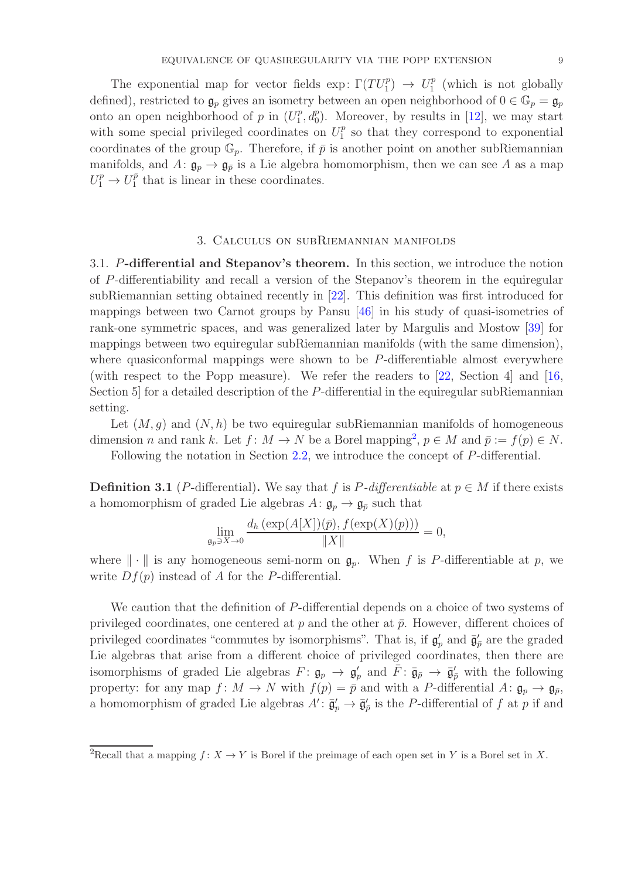The exponential map for vector fields exp:  $\Gamma(TU_1^p) \rightarrow U_1^p$  $_1^p$  (which is not globally defined), restricted to  $\mathfrak{g}_p$  gives an isometry between an open neighborhood of  $0 \in \mathbb{G}_p = \mathfrak{g}_p$ onto an open neighborhood of p in  $(U_1^p)$  $_1^p$ ,  $d_0^p$ ). Moreover, by results in [\[12\]](#page-39-13), we may start with some special privileged coordinates on  $U_1^p$  $_1^p$  so that they correspond to exponential coordinates of the group  $\mathbb{G}_p$ . Therefore, if  $\bar{p}$  is another point on another subRiemannian manifolds, and  $A: \mathfrak{g}_p \to \mathfrak{g}_{\bar{p}}$  is a Lie algebra homomorphism, then we can see A as a map  $U_1^p \to U_1^{\bar{p}}$  $_1^p$  that is linear in these coordinates.

## 3. Calculus on subRiemannian manifolds

<span id="page-8-1"></span><span id="page-8-0"></span>3.1. P-differential and Stepanov's theorem. In this section, we introduce the notion of P-differentiability and recall a version of the Stepanov's theorem in the equiregular subRiemannian setting obtained recently in [\[22\]](#page-40-8). This definition was first introduced for mappings between two Carnot groups by Pansu [\[46\]](#page-41-14) in his study of quasi-isometries of rank-one symmetric spaces, and was generalized later by Margulis and Mostow [\[39\]](#page-40-11) for mappings between two equiregular subRiemannian manifolds (with the same dimension), where quasiconformal mappings were shown to be P-differentiable almost everywhere (with respect to the Popp measure). We refer the readers to [\[22,](#page-40-8) Section 4] and [\[16,](#page-39-5) Section 5 for a detailed description of the P-differential in the equiregular subRiemannian setting.

Let  $(M, g)$  and  $(N, h)$  be two equiregular subRiemannian manifolds of homogeneous dimension *n* and rank k. Let  $f: M \to N$  be a Borel mapping<sup>2</sup>,  $p \in M$  and  $\bar{p} := f(p) \in N$ .

Following the notation in Section [2.2,](#page-6-0) we introduce the concept of P-differential.

**Definition 3.1** (P-differential). We say that f is P-differentiable at  $p \in M$  if there exists a homomorphism of graded Lie algebras  $A: \mathfrak{g}_p \to \mathfrak{g}_{\bar{p}}$  such that

$$
\lim_{\mathfrak{g}_p \ni X \to 0} \frac{d_h\left(\exp(A[X])(\bar{p}), f(\exp(X)(p))\right)}{\|X\|} = 0,
$$

where  $\|\cdot\|$  is any homogeneous semi-norm on  $\mathfrak{g}_p$ . When f is P-differentiable at p, we write  $Df(p)$  instead of A for the P-differential.

We caution that the definition of P-differential depends on a choice of two systems of privileged coordinates, one centered at  $p$  and the other at  $\bar{p}$ . However, different choices of privileged coordinates "commutes by isomorphisms". That is, if  $\mathfrak{g}'_p$  and  $\bar{\mathfrak{g}}'_{\bar{p}}$  are the graded Lie algebras that arise from a different choice of privileged coordinates, then there are isomorphisms of graded Lie algebras  $F: \mathfrak{g}_p \to \mathfrak{g}'_p$  and  $\overline{F}: \overline{\mathfrak{g}}_{\overline{p}} \to \overline{\mathfrak{g}}'_p$  with the following property: for any map  $f: M \to N$  with  $f(p) = \bar{p}$  and with a P-differential  $A: \mathfrak{g}_p \to \mathfrak{g}_{\bar{p}},$ a homomorphism of graded Lie algebras  $A' \colon \bar{\mathfrak{g}}'_p \to \bar{\mathfrak{g}}'_{\bar{p}}$  is the P-differential of f at p if and

<sup>&</sup>lt;sup>2</sup>Recall that a mapping  $f: X \to Y$  is Borel if the preimage of each open set in Y is a Borel set in X.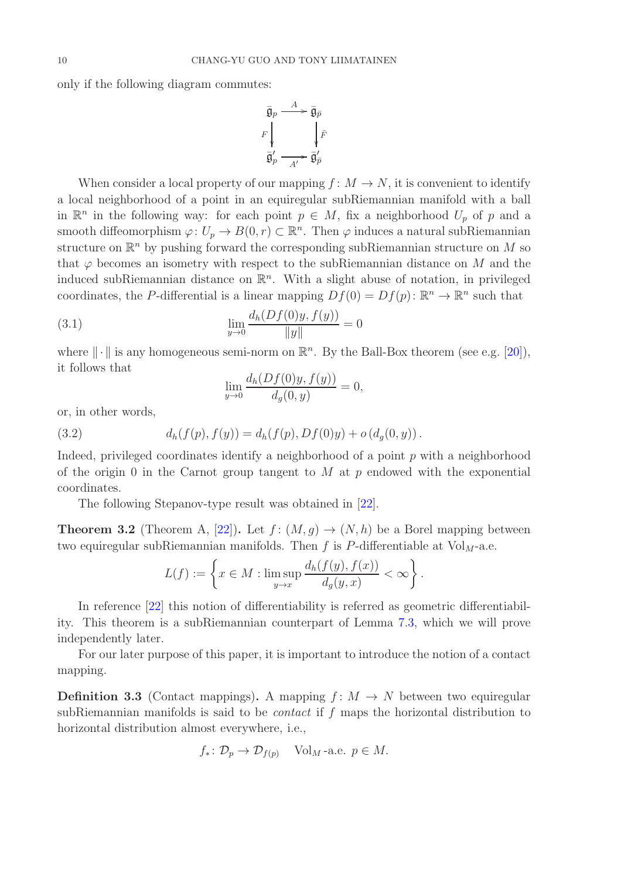only if the following diagram commutes:

$$
\begin{array}{ccc}\n\overline{\mathfrak{g}}_p & \xrightarrow{A} & \overline{\mathfrak{g}}_{\overline{p}} \\
F \downarrow & & \downarrow \overline{F} \\
\overline{\mathfrak{g}}_p' & \xrightarrow{A'} & \overline{\mathfrak{g}}_{\overline{p}}'\n\end{array}
$$

When consider a local property of our mapping  $f: M \to N$ , it is convenient to identify a local neighborhood of a point in an equiregular subRiemannian manifold with a ball in  $\mathbb{R}^n$  in the following way: for each point  $p \in M$ , fix a neighborhood  $U_p$  of p and a smooth diffeomorphism  $\varphi: U_p \to B(0,r) \subset \mathbb{R}^n$ . Then  $\varphi$  induces a natural subRiemannian structure on  $\mathbb{R}^n$  by pushing forward the corresponding subRiemannian structure on M so that  $\varphi$  becomes an isometry with respect to the subRiemannian distance on M and the induced subRiemannian distance on  $\mathbb{R}^n$ . With a slight abuse of notation, in privileged coordinates, the P-differential is a linear mapping  $Df(0) = Df(p)$ :  $\mathbb{R}^n \to \mathbb{R}^n$  such that

(3.1) 
$$
\lim_{y \to 0} \frac{d_h(Df(0)y, f(y))}{\|y\|} = 0
$$

where  $\|\cdot\|$  is any homogeneous semi-norm on  $\mathbb{R}^n$ . By the Ball-Box theorem (see e.g. [\[20\]](#page-40-13)), it follows that  $\overline{a}$   $\overline{b}$   $\overline{a}$   $\overline{b}$   $\overline{a}$   $\overline{b}$   $\overline{b}$   $\overline{c}$   $\overline{a}$   $\overline{b}$   $\overline{b}$   $\overline{c}$   $\overline{a}$   $\overline{b}$   $\overline{c}$   $\overline{b}$   $\overline{c}$   $\overline{c}$   $\overline{c}$   $\overline{c}$   $\overline{c}$   $\overline{c}$   $\overline{c}$   $\overline{c}$   $\overline{$ 

$$
\lim_{y \to 0} \frac{d_h(Df(0)y, f(y))}{d_g(0, y)} = 0,
$$

or, in other words,

(3.2) 
$$
d_h(f(p), f(y)) = d_h(f(p), Df(0)y) + o(d_g(0, y)).
$$

Indeed, privileged coordinates identify a neighborhood of a point  $p$  with a neighborhood of the origin 0 in the Carnot group tangent to  $M$  at  $p$  endowed with the exponential coordinates.

The following Stepanov-type result was obtained in [\[22\]](#page-40-8).

<span id="page-9-0"></span>**Theorem 3.2** (Theorem A, [\[22\]](#page-40-8)). Let  $f: (M, g) \to (N, h)$  be a Borel mapping between two equiregular subRiemannian manifolds. Then f is P-differentiable at  $Vol<sub>M</sub>$ -a.e.

$$
L(f):=\left\{x\in M: \limsup_{y\to x}\frac{d_h(f(y),f(x))}{d_g(y,x)}<\infty\right\}.
$$

In reference [\[22\]](#page-40-8) this notion of differentiability is referred as geometric differentiability. This theorem is a subRiemannian counterpart of Lemma [7.3,](#page-36-1) which we will prove independently later.

For our later purpose of this paper, it is important to introduce the notion of a contact mapping.

**Definition 3.3** (Contact mappings). A mapping  $f: M \to N$  between two equiregular subRiemannian manifolds is said to be *contact* if  $f$  maps the horizontal distribution to horizontal distribution almost everywhere, i.e.,

$$
f_* \colon \mathcal{D}_p \to \mathcal{D}_{f(p)}
$$
 Vol<sub>M</sub>-a.e.  $p \in M$ .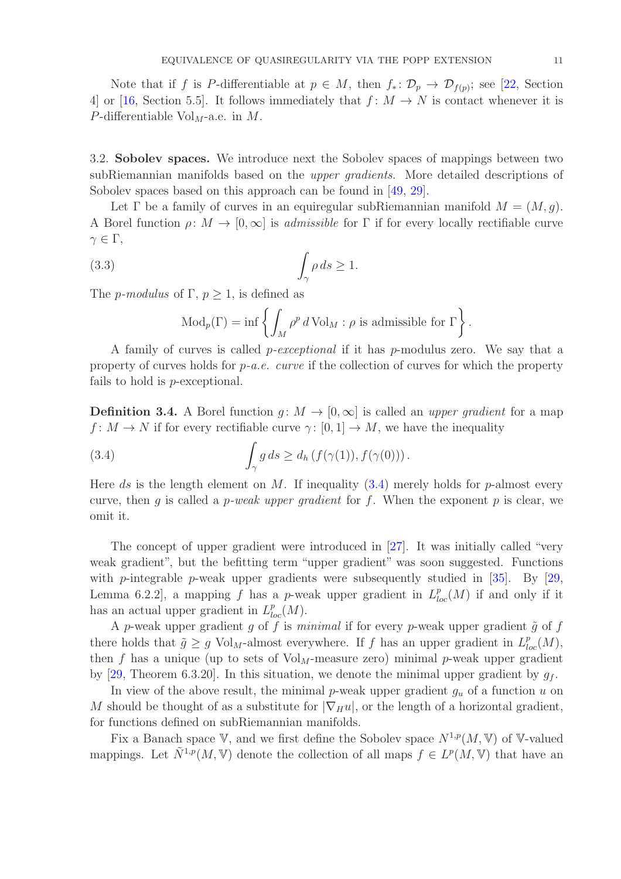Note that if f is P-differentiable at  $p \in M$ , then  $f_* \colon \mathcal{D}_p \to \mathcal{D}_{f(p)}$ ; see [\[22,](#page-40-8) Section 4] or [\[16,](#page-39-5) Section 5.5]. It follows immediately that  $f: M \to N$  is contact whenever it is  $P$ -differentiable Vol<sub>M</sub>-a.e. in M.

<span id="page-10-0"></span>3.2. Sobolev spaces. We introduce next the Sobolev spaces of mappings between two subRiemannian manifolds based on the *upper gradients*. More detailed descriptions of Sobolev spaces based on this approach can be found in [\[49,](#page-41-15) [29\]](#page-40-14).

Let  $\Gamma$  be a family of curves in an equiregular subRiemannian manifold  $M = (M, g)$ . A Borel function  $\rho: M \to [0, \infty]$  is *admissible* for  $\Gamma$  if for every locally rectifiable curve  $\gamma \in \Gamma$ ,

(3.3) 
$$
\int_{\gamma} \rho \, ds \ge 1.
$$

The *p*-modulus of  $\Gamma$ ,  $p > 1$ , is defined as

Mod<sub>p</sub>(
$$
\Gamma
$$
) = inf  $\left\{ \int_M \rho^p dVol_M : \rho \text{ is admissible for } \Gamma \right\}.$ 

A family of curves is called p-exceptional if it has p-modulus zero. We say that a property of curves holds for  $p-a.e.$  curve if the collection of curves for which the property fails to hold is p-exceptional.

**Definition 3.4.** A Borel function  $q: M \to [0, \infty]$  is called an upper *quadient* for a map  $f: M \to N$  if for every rectifiable curve  $\gamma: [0, 1] \to M$ , we have the inequality

<span id="page-10-1"></span>(3.4) 
$$
\int_{\gamma} g ds \geq d_h \left( f(\gamma(1)), f(\gamma(0)) \right).
$$

Here ds is the length element on M. If inequality  $(3.4)$  merely holds for p-almost every curve, then q is called a p-weak upper gradient for f. When the exponent p is clear, we omit it.

The concept of upper gradient were introduced in [\[27\]](#page-40-4). It was initially called "very weak gradient", but the befitting term "upper gradient" was soon suggested. Functions with *p*-integrable *p*-weak upper gradients were subsequently studied in  $[35]$ . By  $[29]$ , Lemma 6.2.2, a mapping f has a p-weak upper gradient in  $L_{loc}^p(M)$  if and only if it has an actual upper gradient in  $L_{loc}^p(M)$ .

A p-weak upper gradient g of f is minimal if for every p-weak upper gradient  $\tilde{g}$  of f there holds that  $\tilde{g} \geq g \text{ Vol}_M$ -almost everywhere. If f has an upper gradient in  $L^p_{loc}(M)$ , then f has a unique (up to sets of  $Vol_M$ -measure zero) minimal p-weak upper gradient by [\[29,](#page-40-14) Theorem 6.3.20]. In this situation, we denote the minimal upper gradient by  $g_f$ .

In view of the above result, the minimal p-weak upper gradient  $g_u$  of a function u on M should be thought of as a substitute for  $|\nabla_H u|$ , or the length of a horizontal gradient, for functions defined on subRiemannian manifolds.

Fix a Banach space V, and we first define the Sobolev space  $N^{1,p}(M, V)$  of V-valued mappings. Let  $\tilde{N}^{1,p}(M,\mathbb{V})$  denote the collection of all maps  $f \in L^p(M,\mathbb{V})$  that have an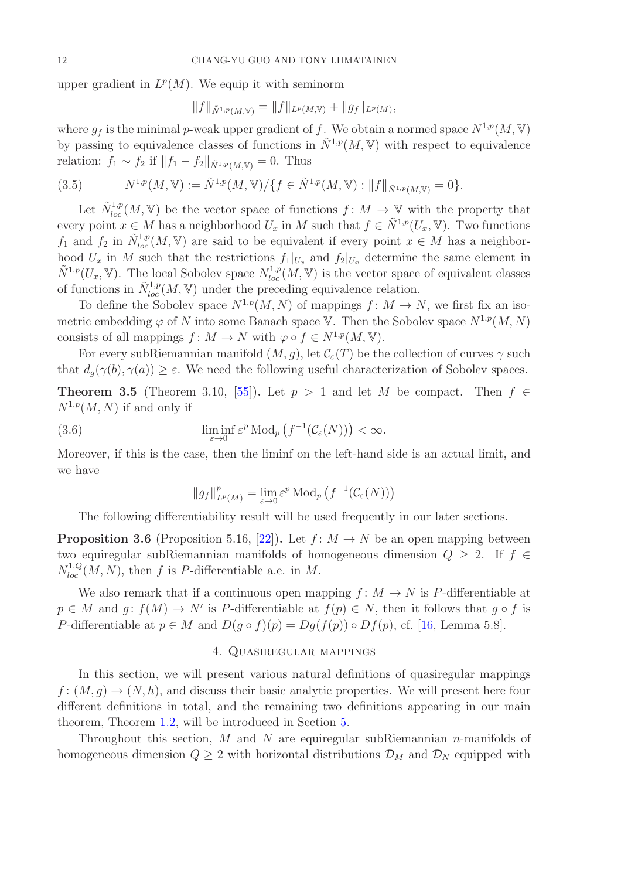upper gradient in  $L^p(M)$ . We equip it with seminorm

$$
||f||_{\tilde{N}^{1,p}(M,\mathbb{V})} = ||f||_{L^p(M,\mathbb{V})} + ||g_f||_{L^p(M)},
$$

where  $g_f$  is the minimal p-weak upper gradient of f. We obtain a normed space  $N^{1,p}(M, V)$ by passing to equivalence classes of functions in  $\tilde{N}^{1,p}(M, V)$  with respect to equivalence relation:  $f_1 \sim f_2$  if  $||f_1 - f_2||_{\tilde{N}^{1,p}(M,\mathbb{V})} = 0$ . Thus

(3.5) 
$$
N^{1,p}(M,\mathbb{V}):=\tilde{N}^{1,p}(M,\mathbb{V})/\{f\in\tilde{N}^{1,p}(M,\mathbb{V}):||f||_{\tilde{N}^{1,p}(M,\mathbb{V})}=0\}.
$$

Let  $\tilde{N}_{loc}^{1,p}(M, V)$  be the vector space of functions  $f: M \to V$  with the property that every point  $x \in M$  has a neighborhood  $U_x$  in M such that  $f \in \tilde{N}^{1,p}(U_x, V)$ . Two functions  $f_1$  and  $f_2$  in  $\tilde{N}_{loc}^{1,p}(M, V)$  are said to be equivalent if every point  $x \in M$  has a neighborhood  $U_x$  in M such that the restrictions  $f_1|_{U_x}$  and  $f_2|_{U_x}$  determine the same element in  $\tilde{N}^{1,p}(U_x, V)$ . The local Sobolev space  $N_{loc}^{1,p}(M, V)$  is the vector space of equivalent classes of functions in  $\tilde{N}^{1,p}_{loc}(M, V)$  under the preceding equivalence relation.

To define the Sobolev space  $N^{1,p}(M, N)$  of mappings  $f: M \to N$ , we first fix an isometric embedding  $\varphi$  of N into some Banach space V. Then the Sobolev space  $N^{1,p}(M, N)$ consists of all mappings  $f: M \to N$  with  $\varphi \circ f \in N^{1,p}(M, V)$ .

For every subRiemannian manifold  $(M, g)$ , let  $\mathcal{C}_{\varepsilon}(T)$  be the collection of curves  $\gamma$  such that  $d_q(\gamma(b), \gamma(a)) \geq \varepsilon$ . We need the following useful characterization of Sobolev spaces.

<span id="page-11-2"></span>**Theorem 3.5** (Theorem 3.10, [\[55\]](#page-41-9)). Let  $p > 1$  and let M be compact. Then  $f \in$  $N^{1,p}(M, N)$  if and only if

<span id="page-11-3"></span>(3.6) 
$$
\liminf_{\varepsilon \to 0} \varepsilon^p \operatorname{Mod}_p(f^{-1}(\mathcal{C}_{\varepsilon}(N))) < \infty.
$$

Moreover, if this is the case, then the liminf on the left-hand side is an actual limit, and we have

$$
||g_f||_{L^p(M)}^p = \lim_{\varepsilon \to 0} \varepsilon^p \operatorname{Mod}_p \left( f^{-1}(\mathcal{C}_\varepsilon(N)) \right)
$$

The following differentiability result will be used frequently in our later sections.

<span id="page-11-1"></span>**Proposition 3.6** (Proposition 5.16, [\[22\]](#page-40-8)). Let  $f: M \to N$  be an open mapping between two equiregular subRiemannian manifolds of homogeneous dimension  $Q \geq 2$ . If  $f \in$  $N_{loc}^{1,Q}(M, N)$ , then f is P-differentiable a.e. in M.

We also remark that if a continuous open mapping  $f: M \to N$  is P-differentiable at  $p \in M$  and  $g: f(M) \to N'$  is P-differentiable at  $f(p) \in N$ , then it follows that  $g \circ f$  is P-differentiable at  $p \in M$  and  $D(g \circ f)(p) = Dg(f(p)) \circ Df(p)$ , cf. [\[16,](#page-39-5) Lemma 5.8].

## 4. Quasiregular mappings

<span id="page-11-0"></span>In this section, we will present various natural definitions of quasiregular mappings  $f: (M, q) \to (N, h)$ , and discuss their basic analytic properties. We will present here four different definitions in total, and the remaining two definitions appearing in our main theorem, Theorem [1.2,](#page-3-0) will be introduced in Section [5.](#page-15-0)

Throughout this section,  $M$  and  $N$  are equiregular subRiemannian *n*-manifolds of homogeneous dimension  $Q \geq 2$  with horizontal distributions  $\mathcal{D}_M$  and  $\mathcal{D}_N$  equipped with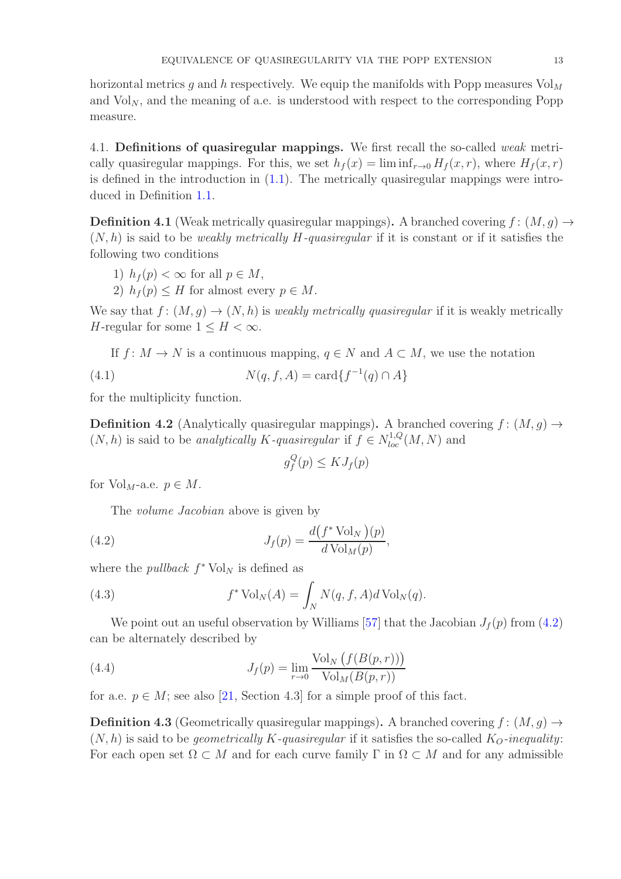horizontal metrics g and h respectively. We equip the manifolds with Popp measures  $Vol<sub>M</sub>$ and  $Vol_N$ , and the meaning of a.e. is understood with respect to the corresponding Popp measure.

<span id="page-12-0"></span>4.1. Definitions of quasiregular mappings. We first recall the so-called weak metrically quasiregular mappings. For this, we set  $h_f(x) = \liminf_{r\to 0} H_f(x,r)$ , where  $H_f(x,r)$ is defined in the introduction in  $(1.1)$ . The metrically quasiregular mappings were introduced in Definition [1.1.](#page-1-1)

**Definition 4.1** (Weak metrically quasiregular mappings). A branched covering  $f : (M, g) \rightarrow$  $(N, h)$  is said to be weakly metrically H-quasiregular if it is constant or if it satisfies the following two conditions

1) 
$$
h_f(p) < \infty
$$
 for all  $p \in M$ ,

2)  $h_f(p) \leq H$  for almost every  $p \in M$ .

We say that  $f: (M, g) \to (N, h)$  is weakly metrically quasiregular if it is weakly metrically H-regular for some  $1 \leq H < \infty$ .

If  $f: M \to N$  is a continuous mapping,  $q \in N$  and  $A \subset M$ , we use the notation

(4.1) 
$$
N(q, f, A) = \text{card}\{f^{-1}(q) \cap A\}
$$

for the multiplicity function.

**Definition 4.2** (Analytically quasiregular mappings). A branched covering  $f : (M, g) \rightarrow$  $(N, h)$  is said to be *analytically K-quasiregular* if  $f \in N_{loc}^{1,Q}(M, N)$  and

<span id="page-12-1"></span>
$$
g_f^Q(p) \le K J_f(p)
$$

for  $Vol_M$ -a.e.  $p \in M$ .

The *volume Jacobian* above is given by

(4.2) 
$$
J_f(p) = \frac{d(f^* \text{Vol}_N)(p)}{d \text{Vol}_M(p)},
$$

where the *pullback*  $f^*$  Vol<sub>N</sub> is defined as

(4.3) 
$$
f^* \operatorname{Vol}_N(A) = \int_N N(q, f, A) d \operatorname{Vol}_N(q).
$$

We point out an useful observation by Williams [\[57\]](#page-41-12) that the Jacobian  $J_f(p)$  from [\(4.2\)](#page-12-1) can be alternately described by

<span id="page-12-2"></span>(4.4) 
$$
J_f(p) = \lim_{r \to 0} \frac{\text{Vol}_N(f(B(p,r)))}{\text{Vol}_M(B(p,r))}
$$

for a.e.  $p \in M$ ; see also [\[21,](#page-40-16) Section 4.3] for a simple proof of this fact.

<span id="page-12-3"></span>**Definition 4.3** (Geometrically quasiregular mappings). A branched covering  $f : (M, g) \rightarrow$  $(N, h)$  is said to be *geometrically K-quasiregular* if it satisfies the so-called  $K_O$ -inequality: For each open set  $\Omega \subset M$  and for each curve family  $\Gamma$  in  $\Omega \subset M$  and for any admissible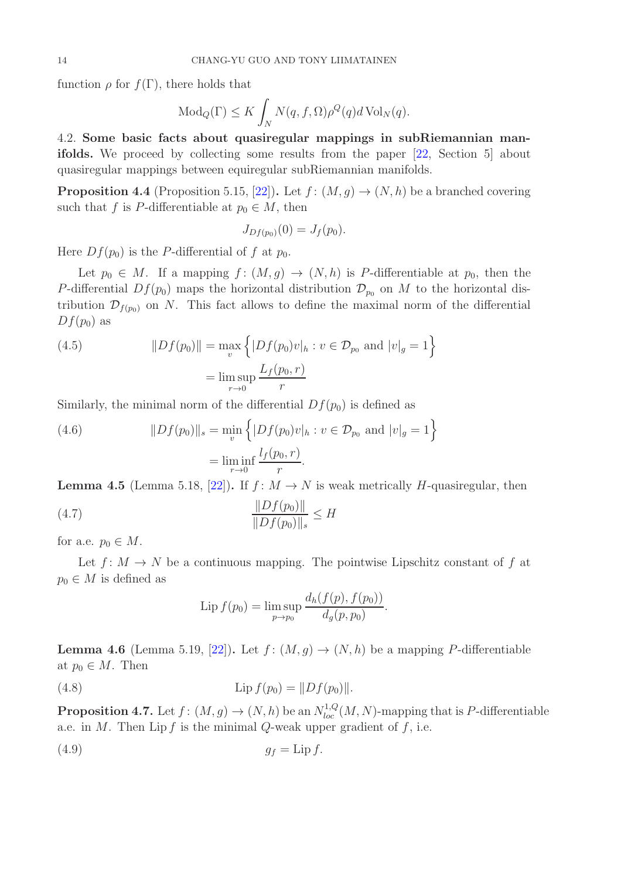function  $\rho$  for  $f(\Gamma)$ , there holds that

$$
\text{Mod}_Q(\Gamma) \le K \int_N N(q, f, \Omega) \rho^Q(q) d\text{Vol}_N(q).
$$

<span id="page-13-0"></span>4.2. Some basic facts about quasiregular mappings in subRiemannian manifolds. We proceed by collecting some results from the paper [\[22,](#page-40-8) Section 5] about quasiregular mappings between equiregular subRiemannian manifolds.

<span id="page-13-1"></span>**Proposition 4.4** (Proposition 5.15, [\[22\]](#page-40-8)). Let  $f : (M, g) \to (N, h)$  be a branched covering such that f is P-differentiable at  $p_0 \in M$ , then

$$
J_{Df(p_0)}(0) = J_f(p_0).
$$

Here  $Df(p_0)$  is the P-differential of f at  $p_0$ .

Let  $p_0 \in M$ . If a mapping  $f : (M, g) \to (N, h)$  is P-differentiable at  $p_0$ , then the P-differential  $Df(p_0)$  maps the horizontal distribution  $\mathcal{D}_{p_0}$  on M to the horizontal distribution  $\mathcal{D}_{f(p_0)}$  on N. This fact allows to define the maximal norm of the differential  $Df(p_0)$  as

<span id="page-13-6"></span>(4.5) 
$$
||Df(p_0)|| = \max_{v} \left\{ |Df(p_0)v|_{h} : v \in \mathcal{D}_{p_0} \text{ and } |v|_{g} = 1 \right\}
$$

$$
= \limsup_{r \to 0} \frac{L_f(p_0, r)}{r}
$$

Similarly, the minimal norm of the differential  $Df(p_0)$  is defined as

<span id="page-13-7"></span>(4.6) 
$$
||Df(p_0)||_s = \min_v \{ |Df(p_0)v|_h : v \in \mathcal{D}_{p_0} \text{ and } |v|_g = 1 \}
$$

$$
= \liminf_{r \to 0} \frac{l_f(p_0, r)}{r}.
$$

<span id="page-13-5"></span>**Lemma 4.5** (Lemma 5.18, [\[22\]](#page-40-8)). If  $f: M \to N$  is weak metrically H-quasiregular, then

(4.7) 
$$
\frac{\|Df(p_0)\|}{\|Df(p_0)\|_s} \leq H
$$

for a.e.  $p_0 \in M$ .

Let  $f: M \to N$  be a continuous mapping. The pointwise Lipschitz constant of f at  $p_0 \in M$  is defined as

Lip 
$$
f(p_0) = \limsup_{p \to p_0} \frac{d_h(f(p), f(p_0))}{d_g(p, p_0)}
$$
.

<span id="page-13-2"></span>**Lemma 4.6** (Lemma 5.19, [\[22\]](#page-40-8)). Let  $f : (M, g) \to (N, h)$  be a mapping P-differentiable at  $p_0 \in M$ . Then

<span id="page-13-4"></span>(4.8) 
$$
\text{Lip } f(p_0) = \|Df(p_0)\|.
$$

<span id="page-13-3"></span>**Proposition 4.7.** Let  $f: (M, g) \to (N, h)$  be an  $N_{loc}^{1,Q}(M, N)$ -mapping that is P-differentiable a.e. in M. Then Lip  $f$  is the minimal  $Q$ -weak upper gradient of  $f$ , i.e.

(4.9) g<sup>f</sup> = Lip f.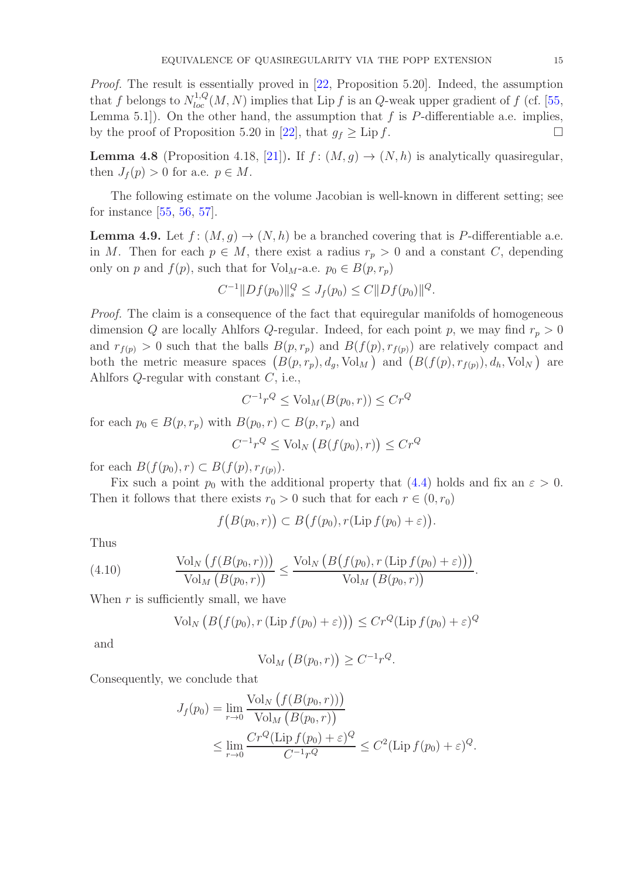Proof. The result is essentially proved in [\[22,](#page-40-8) Proposition 5.20]. Indeed, the assumption that f belongs to  $N_{loc}^{1,Q}(M, N)$  implies that Lip f is an Q-weak upper gradient of f (cf. [\[55,](#page-41-9) Lemma 5.1]). On the other hand, the assumption that  $f$  is  $P$ -differentiable a.e. implies, by the proof of Proposition 5.20 in [\[22\]](#page-40-8), that  $g_f \geq \text{Lip } f$ .

<span id="page-14-1"></span>**Lemma 4.8** (Proposition 4.18, [\[21\]](#page-40-16)). If  $f : (M, g) \to (N, h)$  is analytically quasiregular, then  $J_f(p) > 0$  for a.e.  $p \in M$ .

The following estimate on the volume Jacobian is well-known in different setting; see for instance [\[55,](#page-41-9) [56,](#page-41-10) [57\]](#page-41-12).

<span id="page-14-0"></span>**Lemma 4.9.** Let  $f: (M, q) \to (N, h)$  be a branched covering that is P-differentiable a.e. in M. Then for each  $p \in M$ , there exist a radius  $r_p > 0$  and a constant C, depending only on p and  $f(p)$ , such that for Vol<sub>M</sub>-a.e.  $p_0 \in B(p, r_p)$ 

$$
C^{-1}||Df(p_0)||_s^Q \le J_f(p_0) \le C||Df(p_0)||^Q.
$$

Proof. The claim is a consequence of the fact that equiregular manifolds of homogeneous dimension Q are locally Ahlfors Q-regular. Indeed, for each point p, we may find  $r_p > 0$ and  $r_{f(p)} > 0$  such that the balls  $B(p, r_p)$  and  $B(f(p), r_{f(p)})$  are relatively compact and both the metric measure spaces  $(B(p, r_p), d_g, \text{Vol}_M)$  and  $(B(f(p), r_{f(p)}), d_h, \text{Vol}_N)$  are Ahlfors Q-regular with constant C, i.e.,

$$
C^{-1}r^Q \le \text{Vol}_M(B(p_0, r)) \le Cr^Q
$$

for each  $p_0 \in B(p, r_p)$  with  $B(p_0, r) \subset B(p, r_p)$  and

$$
C^{-1}r^{Q} \leq \text{Vol}_{N}\left(B(f(p_{0}), r)\right) \leq Cr^{Q}
$$

for each  $B(f(p_0), r) \subset B(f(p), r_{f(p)})$ .

Fix such a point  $p_0$  with the additional property that [\(4.4\)](#page-12-2) holds and fix an  $\varepsilon > 0$ . Then it follows that there exists  $r_0 > 0$  such that for each  $r \in (0, r_0)$ 

$$
f\big(B(p_0,r)\big)\subset B\big(f(p_0),r(\mathrm{Lip}\,f(p_0)+\varepsilon)\big).
$$

Thus

(4.10) 
$$
\frac{\text{Vol}_N\left(f(B(p_0,r))\right)}{\text{Vol}_M\left(B(p_0,r)\right)} \leq \frac{\text{Vol}_N\left(B\left(f(p_0), r\left(\text{Lip }f(p_0) + \varepsilon\right)\right)\right)}{\text{Vol}_M\left(B(p_0,r)\right)}.
$$

When  $r$  is sufficiently small, we have

$$
\operatorname{Vol}_N\left(B\big(f(p_0), r\left(\operatorname{Lip} f(p_0) + \varepsilon\right)\right) \le C r^Q (\operatorname{Lip} f(p_0) + \varepsilon)^Q
$$

and

$$
Vol_M (B(p_0, r)) \ge C^{-1} r^Q.
$$

Consequently, we conclude that

$$
J_f(p_0) = \lim_{r \to 0} \frac{\text{Vol}_N \left( f(B(p_0, r)) \right)}{\text{Vol}_M \left( B(p_0, r) \right)}
$$
  
\$\leq \lim\_{r \to 0} \frac{Cr^Q(\text{Lip } f(p\_0) + \varepsilon)^Q}{{C^{-1}r^Q}} \leq C^2(\text{Lip } f(p\_0) + \varepsilon)^Q\$.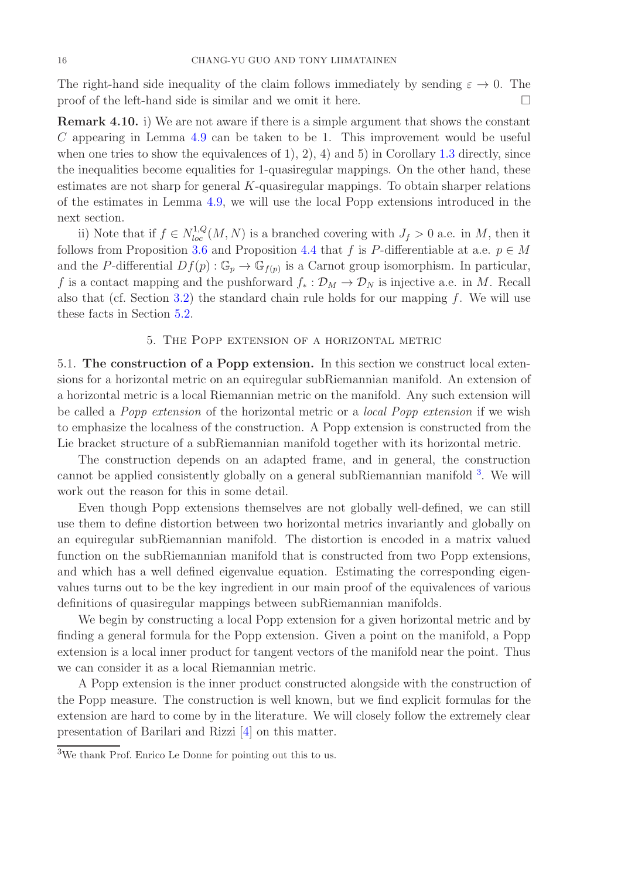The right-hand side inequality of the claim follows immediately by sending  $\varepsilon \to 0$ . The proof of the left-hand side is similar and we omit it here.  $\Box$ 

<span id="page-15-2"></span>Remark 4.10. i) We are not aware if there is a simple argument that shows the constant  $C$  appearing in Lemma [4.9](#page-14-0) can be taken to be 1. This improvement would be useful when one tries to show the equivalences of 1, 2, 4) and 5) in Corollary [1.3](#page-4-0) directly, since the inequalities become equalities for 1-quasiregular mappings. On the other hand, these estimates are not sharp for general K-quasiregular mappings. To obtain sharper relations of the estimates in Lemma [4.9,](#page-14-0) we will use the local Popp extensions introduced in the next section.

ii) Note that if  $f \in N_{loc}^{1,Q}(M, N)$  is a branched covering with  $J_f > 0$  a.e. in M, then it follows from Proposition [3.6](#page-11-1) and Proposition [4.4](#page-13-1) that f is P-differentiable at a.e.  $p \in M$ and the P-differential  $Df(p)$ :  $\mathbb{G}_p \to \mathbb{G}_{f(p)}$  is a Carnot group isomorphism. In particular, f is a contact mapping and the pushforward  $f_* : \mathcal{D}_M \to \mathcal{D}_N$  is injective a.e. in M. Recall also that (cf. Section [3.2\)](#page-10-0) the standard chain rule holds for our mapping  $f$ . We will use these facts in Section [5.2.](#page-20-0)

## 5. The Popp extension of a horizontal metric

<span id="page-15-1"></span><span id="page-15-0"></span>5.1. The construction of a Popp extension. In this section we construct local extensions for a horizontal metric on an equiregular subRiemannian manifold. An extension of a horizontal metric is a local Riemannian metric on the manifold. Any such extension will be called a Popp extension of the horizontal metric or a local Popp extension if we wish to emphasize the localness of the construction. A Popp extension is constructed from the Lie bracket structure of a subRiemannian manifold together with its horizontal metric.

The construction depends on an adapted frame, and in general, the construction cannot be applied consistently globally on a general subRiemannian manifold <sup>3</sup>. We will work out the reason for this in some detail.

Even though Popp extensions themselves are not globally well-defined, we can still use them to define distortion between two horizontal metrics invariantly and globally on an equiregular subRiemannian manifold. The distortion is encoded in a matrix valued function on the subRiemannian manifold that is constructed from two Popp extensions, and which has a well defined eigenvalue equation. Estimating the corresponding eigenvalues turns out to be the key ingredient in our main proof of the equivalences of various definitions of quasiregular mappings between subRiemannian manifolds.

We begin by constructing a local Popp extension for a given horizontal metric and by finding a general formula for the Popp extension. Given a point on the manifold, a Popp extension is a local inner product for tangent vectors of the manifold near the point. Thus we can consider it as a local Riemannian metric.

A Popp extension is the inner product constructed alongside with the construction of the Popp measure. The construction is well known, but we find explicit formulas for the extension are hard to come by in the literature. We will closely follow the extremely clear presentation of Barilari and Rizzi [\[4\]](#page-39-11) on this matter.

 $\overline{3W}$  thank Prof. Enrico Le Donne for pointing out this to us.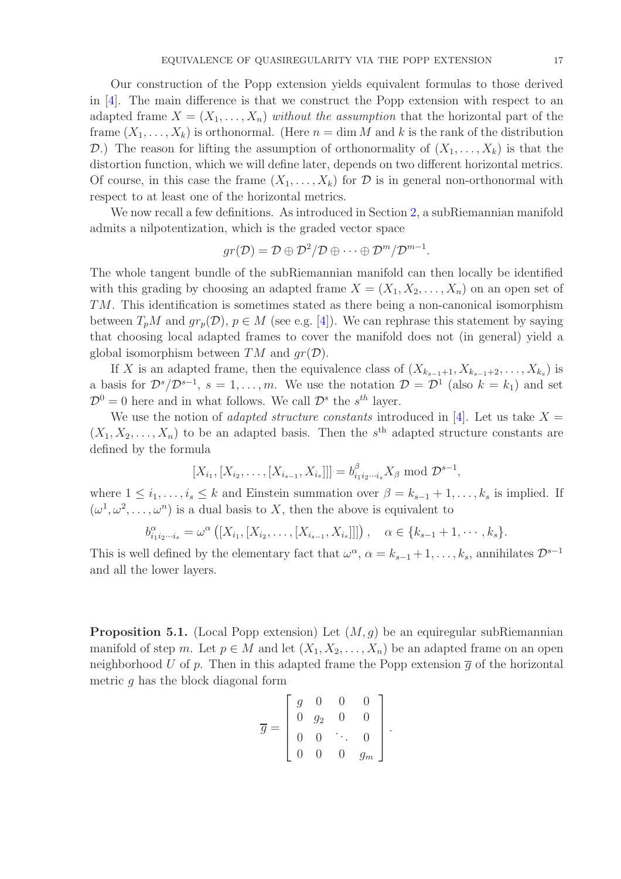Our construction of the Popp extension yields equivalent formulas to those derived in [\[4\]](#page-39-11). The main difference is that we construct the Popp extension with respect to an adapted frame  $X = (X_1, \ldots, X_n)$  without the assumption that the horizontal part of the frame  $(X_1, \ldots, X_k)$  is orthonormal. (Here  $n = \dim M$  and k is the rank of the distribution D.) The reason for lifting the assumption of orthonormality of  $(X_1, \ldots, X_k)$  is that the distortion function, which we will define later, depends on two different horizontal metrics. Of course, in this case the frame  $(X_1, \ldots, X_k)$  for  $\mathcal D$  is in general non-orthonormal with respect to at least one of the horizontal metrics.

We now recall a few definitions. As introduced in Section [2,](#page-5-0) a subRiemannian manifold admits a nilpotentization, which is the graded vector space

$$
gr(\mathcal{D})=\mathcal{D}\oplus \mathcal{D}^2/\mathcal{D}\oplus \cdots \oplus \mathcal{D}^m/\mathcal{D}^{m-1}.
$$

The whole tangent bundle of the subRiemannian manifold can then locally be identified with this grading by choosing an adapted frame  $X = (X_1, X_2, \ldots, X_n)$  on an open set of TM. This identification is sometimes stated as there being a non-canonical isomorphism between  $T_pM$  and  $gr_p(\mathcal{D}), p \in M$  (see e.g. [\[4\]](#page-39-11)). We can rephrase this statement by saying that choosing local adapted frames to cover the manifold does not (in general) yield a global isomorphism between  $TM$  and  $qr(\mathcal{D})$ .

If X is an adapted frame, then the equivalence class of  $(X_{k_{s-1}+1}, X_{k_{s-1}+2}, \ldots, X_{k_s})$  is a basis for  $\mathcal{D}^s/\mathcal{D}^{s-1}$ ,  $s = 1, \ldots, m$ . We use the notation  $\mathcal{D} = \mathcal{D}^1$  (also  $k = k_1$ ) and set  $\mathcal{D}^0 = 0$  here and in what follows. We call  $\mathcal{D}^s$  the  $s^{th}$  layer.

We use the notion of *adapted structure constants* introduced in [\[4\]](#page-39-11). Let us take  $X =$  $(X_1, X_2, \ldots, X_n)$  to be an adapted basis. Then the s<sup>th</sup> adapted structure constants are defined by the formula

$$
[X_{i_1}, [X_{i_2}, \ldots, [X_{i_{s-1}}, X_{i_s}]]] = b_{i_1 i_2 \cdots i_s}^{\beta} X_{\beta} \text{ mod } \mathcal{D}^{s-1},
$$

where  $1 \leq i_1, \ldots, i_s \leq k$  and Einstein summation over  $\beta = k_{s-1} + 1, \ldots, k_s$  is implied. If  $(\omega^1, \omega^2, \dots, \omega^n)$  is a dual basis to X, then the above is equivalent to

$$
b_{i_1i_2\cdots i_s}^{\alpha} = \omega^{\alpha} ([X_{i_1}, [X_{i_2}, \ldots, [X_{i_{s-1}}, X_{i_s}]]]) , \quad \alpha \in \{k_{s-1}+1, \cdots, k_s\}.
$$

This is well defined by the elementary fact that  $\omega^{\alpha}$ ,  $\alpha = k_{s-1} + 1, \ldots, k_s$ , annihilates  $\mathcal{D}^{s-1}$ and all the lower layers.

**Proposition 5.1.** (Local Popp extension) Let  $(M, g)$  be an equiregular subRiemannian manifold of step m. Let  $p \in M$  and let  $(X_1, X_2, \ldots, X_n)$  be an adapted frame on an open neighborhood U of p. Then in this adapted frame the Popp extension  $\overline{g}$  of the horizontal metric  $q$  has the block diagonal form

$$
\overline{g} = \begin{bmatrix} g & 0 & 0 & 0 \\ 0 & g_2 & 0 & 0 \\ 0 & 0 & \ddots & 0 \\ 0 & 0 & 0 & g_m \end{bmatrix}.
$$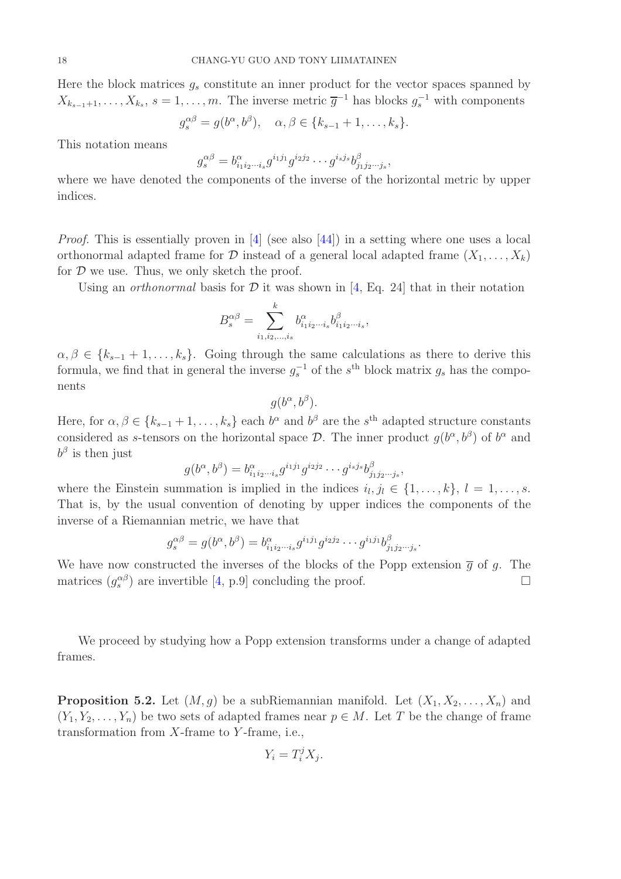Here the block matrices  $g_s$  constitute an inner product for the vector spaces spanned by  $X_{k_{s-1}+1}, \ldots, X_{k_s}, s = 1, \ldots, m$ . The inverse metric  $\overline{g}^{-1}$  has blocks  $g_s^{-1}$  with components

$$
g_s^{\alpha\beta} = g(b^{\alpha}, b^{\beta}), \quad \alpha, \beta \in \{k_{s-1}+1, \ldots, k_s\}.
$$

This notation means

$$
g_s^{\alpha\beta} = b_{i_1i_2\cdots i_s}^{\alpha} g^{i_1j_1} g^{i_2j_2} \cdots g^{i_sj_s} b_{j_1j_2\cdots j_s}^{\beta},
$$

where we have denoted the components of the inverse of the horizontal metric by upper indices.

Proof. This is essentially proven in [\[4\]](#page-39-11) (see also [\[44\]](#page-41-13)) in a setting where one uses a local orthonormal adapted frame for  $\mathcal D$  instead of a general local adapted frame  $(X_1, \ldots, X_k)$ for  $D$  we use. Thus, we only sketch the proof.

Using an *orthonormal* basis for  $D$  it was shown in [\[4,](#page-39-11) Eq. 24] that in their notation

$$
B_s^{\alpha\beta} = \sum_{i_1,i_2,\dots,i_s}^k b_{i_1i_2\cdots i_s}^{\alpha} b_{i_1i_2\cdots i_s}^{\beta},
$$

 $\alpha, \beta \in \{k_{s-1}+1,\ldots,k_s\}$ . Going through the same calculations as there to derive this formula, we find that in general the inverse  $g_s^{-1}$  of the s<sup>th</sup> block matrix  $g_s$  has the components

$$
g(b^{\alpha}, b^{\beta}).
$$

Here, for  $\alpha, \beta \in \{k_{s-1}+1,\ldots,k_s\}$  each  $b^{\alpha}$  and  $b^{\beta}$  are the  $s^{\text{th}}$  adapted structure constants considered as s-tensors on the horizontal space  $\mathcal{D}$ . The inner product  $g(b^{\alpha}, b^{\beta})$  of  $b^{\alpha}$  and  $b^{\beta}$  is then just

$$
g(b^{\alpha},b^{\beta})=b^{\alpha}_{i_1i_2\cdots i_s}g^{i_1j_1}g^{i_2j_2}\cdots g^{i_sj_s}b^{\beta}_{j_1j_2\cdots j_s},
$$

where the Einstein summation is implied in the indices  $i_l, j_l \in \{1, \ldots, k\}, l = 1, \ldots, s$ . That is, by the usual convention of denoting by upper indices the components of the inverse of a Riemannian metric, we have that

$$
g_s^{\alpha\beta} = g(b^{\alpha}, b^{\beta}) = b^{\alpha}_{i_1 i_2 \cdots i_s} g^{i_1 j_1} g^{i_2 j_2} \cdots g^{i_1 j_1} b^{\beta}_{j_1 j_2 \cdots j_s}
$$

.

We have now constructed the inverses of the blocks of the Popp extension  $\overline{g}$  of g. The matrices  $(g_s^{\alpha\beta})$  are invertible [\[4,](#page-39-11) p.9] concluding the proof.

We proceed by studying how a Popp extension transforms under a change of adapted frames.

<span id="page-17-0"></span>**Proposition 5.2.** Let  $(M, g)$  be a subRiemannian manifold. Let  $(X_1, X_2, \ldots, X_n)$  and  $(Y_1, Y_2, \ldots, Y_n)$  be two sets of adapted frames near  $p \in M$ . Let T be the change of frame transformation from  $X$ -frame to  $Y$ -frame, i.e.,

$$
Y_i = T_i^j X_j.
$$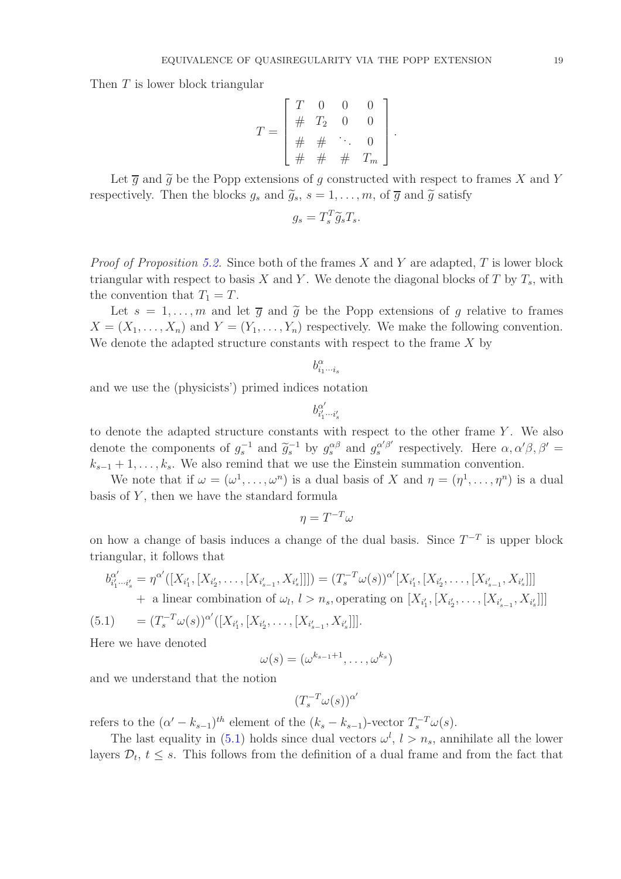Then T is lower block triangular

$$
T = \begin{bmatrix} T & 0 & 0 & 0 \\ \# & T_2 & 0 & 0 \\ \# & \# & \ddots & 0 \\ \# & \# & \# & T_m \end{bmatrix}.
$$

Let  $\overline{g}$  and  $\widetilde{g}$  be the Popp extensions of g constructed with respect to frames X and Y respectively. Then the blocks  $g_s$  and  $\tilde{g}_s$ ,  $s = 1, \ldots, m$ , of  $\overline{g}$  and  $\tilde{g}$  satisfy

$$
g_s = T_s^T \widetilde{g}_s T_s.
$$

*Proof of Proposition [5.2.](#page-17-0)* Since both of the frames X and Y are adapted, T is lower block triangular with respect to basis X and Y. We denote the diagonal blocks of T by  $T_s$ , with the convention that  $T_1 = T$ .

Let  $s = 1, \ldots, m$  and let  $\overline{g}$  and  $\widetilde{g}$  be the Popp extensions of g relative to frames  $X = (X_1, \ldots, X_n)$  and  $Y = (Y_1, \ldots, Y_n)$  respectively. We make the following convention. We denote the adapted structure constants with respect to the frame  $X$  by

$$
b_{i_1\cdots i_s}^\alpha
$$

and we use the (physicists') primed indices notation

$$
b_{i'_1\cdots i'_s}^{\alpha'}
$$

to denote the adapted structure constants with respect to the other frame  $Y$ . We also denote the components of  $g_s^{-1}$  and  $\tilde{g}_s^{-1}$  by  $g_s^{\alpha\beta}$  and  $g_s^{\alpha'\beta'}$  $\alpha'_{s}^{\alpha'\beta'}$  respectively. Here  $\alpha, \alpha'\beta, \beta' =$  $k_{s-1} + 1, \ldots, k_s$ . We also remind that we use the Einstein summation convention.

We note that if  $\omega = (\omega^1, \dots, \omega^n)$  is a dual basis of X and  $\eta = (\eta^1, \dots, \eta^n)$  is a dual basis of  $Y$ , then we have the standard formula

 $\eta = T^{-T}\omega$ 

on how a change of basis induces a change of the dual basis. Since  $T^{-T}$  is upper block triangular, it follows that

$$
b_{i'_1\cdots i'_s}^{\alpha'} = \eta^{\alpha'}([X_{i'_1}, [X_{i'_2}, \ldots, [X_{i'_{s-1}}, X_{i'_s}]]]) = (T_s^{-T} \omega(s))^{\alpha'}[X_{i'_1}, [X_{i'_2}, \ldots, [X_{i'_{s-1}}, X_{i'_s}]]]
$$
  
+ a linear combination of  $\omega_l$ ,  $l > n_s$ , operating on  $[X_{i'_1}, [X_{i'_2}, \ldots, [X_{i'_{s-1}}, X_{i'_s}]]]$ 

<span id="page-18-0"></span>(5.1) 
$$
= (T_s^{-T} \omega(s))^{\alpha'} ([X_{i'_1}, [X_{i'_2}, \ldots, [X_{i'_{s-1}}, X_{i'_s}]]].
$$

Here we have denoted

$$
\omega(s) = (\omega^{k_{s-1}+1}, \ldots, \omega^{k_s})
$$

and we understand that the notion

$$
(T_s^{-T}\omega(s))^{\alpha'}
$$

refers to the  $(\alpha' - k_{s-1})^{th}$  element of the  $(k_s - k_{s-1})$ -vector  $T_s^{-T}\omega(s)$ .

The last equality in [\(5.1\)](#page-18-0) holds since dual vectors  $\omega^l$ ,  $l > n_s$ , annihilate all the lower layers  $\mathcal{D}_t$ ,  $t \leq s$ . This follows from the definition of a dual frame and from the fact that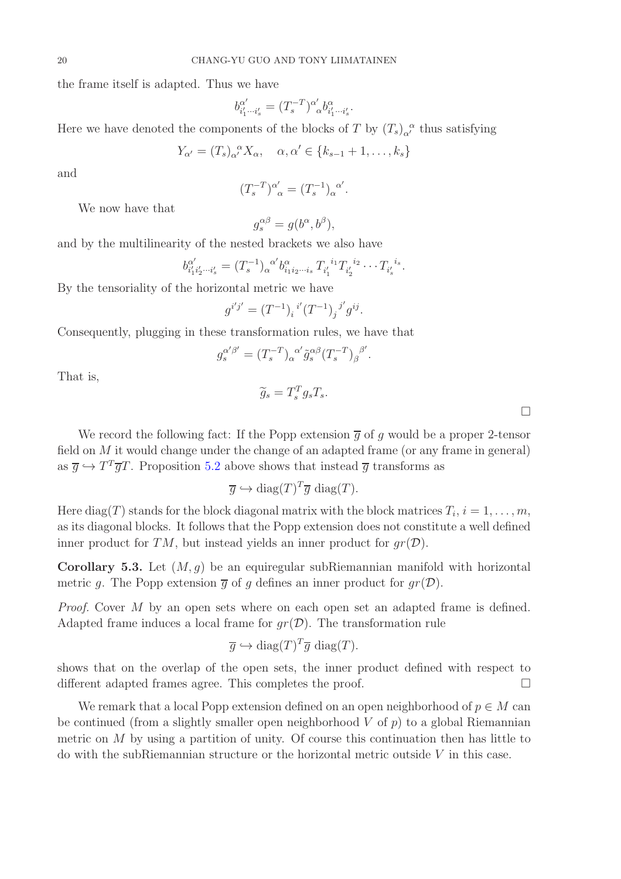the frame itself is adapted. Thus we have

$$
b^{\alpha'}_{i'_1\cdots i'_s}=(T_s^{-T})^{\alpha'}_{\phantom{\alpha'}\alpha}b^{\alpha}_{i'_1\cdots i'_s}.
$$

Here we have denoted the components of the blocks of T by  $(T_s)_{\alpha}^{\alpha}$  thus satisfying

$$
Y_{\alpha'} = (T_s)_{\alpha'}^{\ \alpha} X_{\alpha}, \quad \alpha, \alpha' \in \{k_{s-1}+1, \ldots, k_s\}
$$

and

$$
(T_s^{-T})^{\alpha'}_{\ \alpha} = (T_s^{-1})_{\alpha}^{\ \alpha'}.
$$

We now have that

$$
g_s^{\alpha\beta} = g(b^\alpha, b^\beta),
$$

and by the multilinearity of the nested brackets we also have

$$
b^{\alpha'}_{i'_1i'_2\cdots i'_s} = (T_s^{-1})_{\alpha}^{\alpha'} b^{\alpha}_{i_1i_2\cdots i_s} T_{i'_1}^{i_1} T_{i'_2}^{i_2} \cdots T_{i'_s}^{i_s}.
$$

By the tensoriality of the horizontal metric we have

$$
g^{i'j'} = (T^{-1})_i{}^{i'} (T^{-1})_j{}^{j'} g^{ij}.
$$

Consequently, plugging in these transformation rules, we have that

$$
g_s^{\alpha'\beta'} = (T_s^{-T})_{\alpha}^{\alpha'} \tilde{g}_s^{\alpha\beta} (T_s^{-T})_{\beta}^{\beta'}.
$$

That is,

$$
\widetilde{g}_s = T_s^T g_s T_s.
$$

We record the following fact: If the Popp extension  $\overline{q}$  of q would be a proper 2-tensor field on  $M$  it would change under the change of an adapted frame (or any frame in general) as  $\overline{g} \hookrightarrow T^T \overline{g} T$ . Proposition [5.2](#page-17-0) above shows that instead  $\overline{g}$  transforms as

$$
\overline{g} \hookrightarrow \text{diag}(T)^T \overline{g} \text{ diag}(T).
$$

Here diag(T) stands for the block diagonal matrix with the block matrices  $T_i$ ,  $i = 1, \ldots, m$ , as its diagonal blocks. It follows that the Popp extension does not constitute a well defined inner product for TM, but instead yields an inner product for  $qr(\mathcal{D})$ .

**Corollary 5.3.** Let  $(M, g)$  be an equiregular subRiemannian manifold with horizontal metric q. The Popp extension  $\overline{q}$  of q defines an inner product for  $qr(\mathcal{D})$ .

Proof. Cover M by an open sets where on each open set an adapted frame is defined. Adapted frame induces a local frame for  $qr(\mathcal{D})$ . The transformation rule

$$
\overline{g} \hookrightarrow \text{diag}(T)^T \overline{g} \text{ diag}(T).
$$

shows that on the overlap of the open sets, the inner product defined with respect to different adapted frames agree. This completes the proof.

We remark that a local Popp extension defined on an open neighborhood of  $p \in M$  can be continued (from a slightly smaller open neighborhood  $V$  of  $p$ ) to a global Riemannian metric on  $M$  by using a partition of unity. Of course this continuation then has little to do with the subRiemannian structure or the horizontal metric outside V in this case.

 $\Box$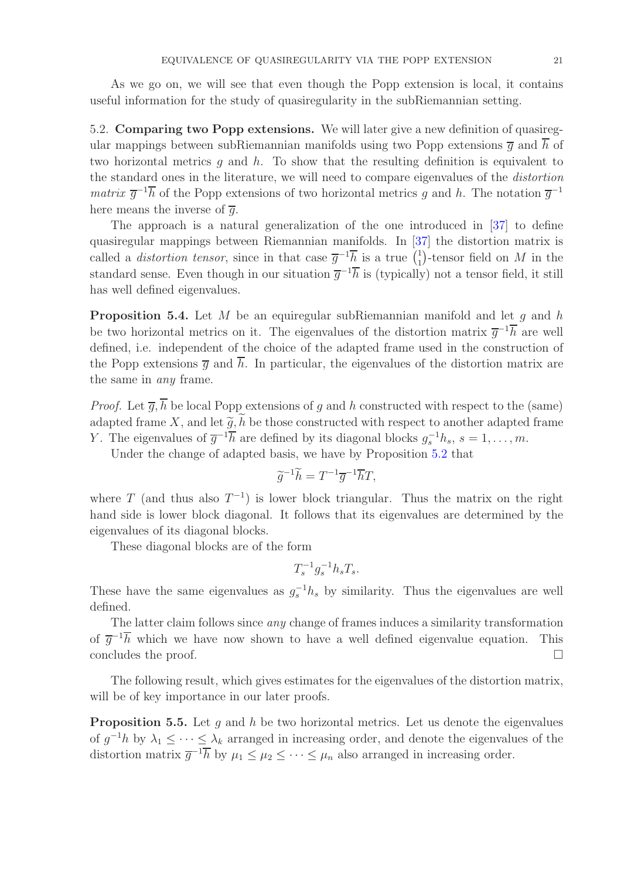As we go on, we will see that even though the Popp extension is local, it contains useful information for the study of quasiregularity in the subRiemannian setting.

<span id="page-20-0"></span>5.2. Comparing two Popp extensions. We will later give a new definition of quasiregular mappings between subRiemannian manifolds using two Popp extensions  $\overline{q}$  and  $\overline{h}$  of two horizontal metrics q and  $h$ . To show that the resulting definition is equivalent to the standard ones in the literature, we will need to compare eigenvalues of the distortion *matrix*  $\overline{g}^{-1}h$  of the Popp extensions of two horizontal metrics g and h. The notation  $\overline{g}^{-1}$ here means the inverse of  $\overline{g}$ .

The approach is a natural generalization of the one introduced in [\[37\]](#page-40-10) to define quasiregular mappings between Riemannian manifolds. In [\[37\]](#page-40-10) the distortion matrix is called a *distortion tensor*, since in that case  $\overline{g}^{-1} \overline{h}$  is a true  $\begin{pmatrix} 1 \\ 1 \end{pmatrix}$ <sup>1</sup></sup>/<sub>1</sub>)-tensor field on  $M$  in the standard sense. Even though in our situation  $\overline{g}^{-1}\overline{h}$  is (typically) not a tensor field, it still has well defined eigenvalues.

**Proposition 5.4.** Let M be an equiregular subRiemannian manifold and let q and h be two horizontal metrics on it. The eigenvalues of the distortion matrix  $\bar{g}^{-1}\bar{h}$  are well defined, i.e. independent of the choice of the adapted frame used in the construction of the Popp extensions  $\overline{q}$  and  $\overline{h}$ . In particular, the eigenvalues of the distortion matrix are the same in any frame.

*Proof.* Let  $\overline{q}$ ,  $\overline{h}$  be local Popp extensions of q and h constructed with respect to the (same) adapted frame X, and let  $\tilde{q}$ ,  $\tilde{h}$  be those constructed with respect to another adapted frame Y. The eigenvalues of  $\overline{g}^{-1}\overline{h}$  are defined by its diagonal blocks  $g_s^{-1}h_s$ ,  $s = 1, \ldots, m$ .

Under the change of adapted basis, we have by Proposition [5.2](#page-17-0) that

$$
\widetilde{g}^{-1}\widetilde{h} = T^{-1}\overline{g}^{-1}\overline{h}T,
$$

where T (and thus also  $T^{-1}$ ) is lower block triangular. Thus the matrix on the right hand side is lower block diagonal. It follows that its eigenvalues are determined by the eigenvalues of its diagonal blocks.

These diagonal blocks are of the form

$$
T_s^{-1}g_s^{-1}h_sT_s.
$$

These have the same eigenvalues as  $g_s^{-1}h_s$  by similarity. Thus the eigenvalues are well defined.

The latter claim follows since *any* change of frames induces a similarity transformation of  $\bar{g}^{-1}$ h which we have now shown to have a well defined eigenvalue equation. This concludes the proof.  $\Box$ 

The following result, which gives estimates for the eigenvalues of the distortion matrix, will be of key importance in our later proofs.

<span id="page-20-1"></span>**Proposition 5.5.** Let  $g$  and  $h$  be two horizontal metrics. Let us denote the eigenvalues of  $g^{-1}h$  by  $\lambda_1 \leq \cdots \leq \lambda_k$  arranged in increasing order, and denote the eigenvalues of the distortion matrix  $\overline{g}^{-1} \overline{h}$  by  $\mu_1 \leq \mu_2 \leq \cdots \leq \mu_n$  also arranged in increasing order.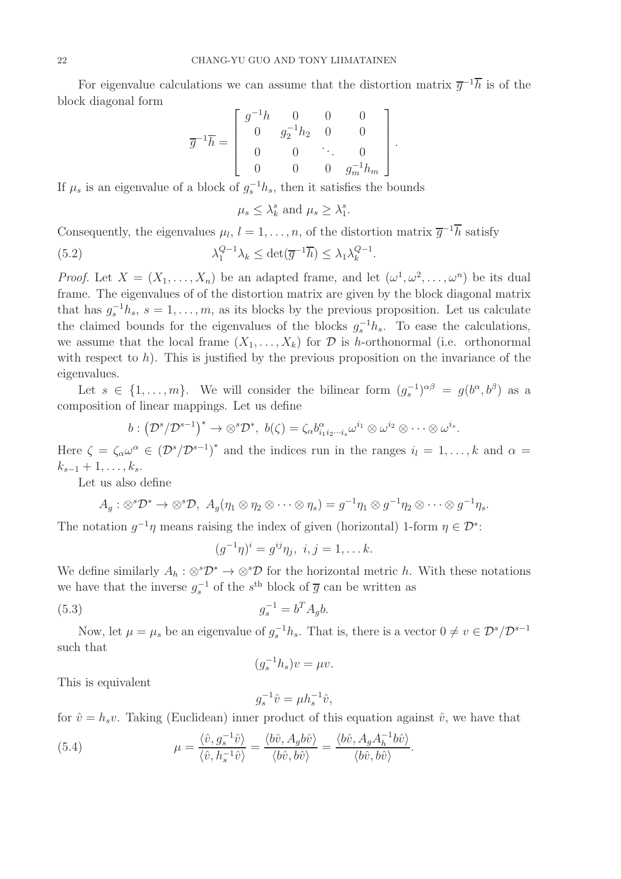For eigenvalue calculations we can assume that the distortion matrix  $\overline{g}^{-1}h$  is of the block diagonal form

$$
\overline{g}^{-1}\overline{h} = \begin{bmatrix} g^{-1}h & 0 & 0 & 0 \\ 0 & g_2^{-1}h_2 & 0 & 0 \\ 0 & 0 & \ddots & 0 \\ 0 & 0 & 0 & g_m^{-1}h_m \end{bmatrix}
$$

.

If  $\mu_s$  is an eigenvalue of a block of  $g_s^{-1}h_s$ , then it satisfies the bounds

<span id="page-21-0"></span>
$$
\mu_s \leq \lambda_k^s
$$
 and  $\mu_s \geq \lambda_1^s$ .

Consequently, the eigenvalues  $\mu_l$ ,  $l = 1, \ldots, n$ , of the distortion matrix  $\overline{g}^{-1}\overline{h}$  satisfy

(5.2) 
$$
\lambda_1^{Q-1}\lambda_k \le \det(\overline{g}^{-1}\overline{h}) \le \lambda_1 \lambda_k^{Q-1}.
$$

*Proof.* Let  $X = (X_1, \ldots, X_n)$  be an adapted frame, and let  $(\omega^1, \omega^2, \ldots, \omega^n)$  be its dual frame. The eigenvalues of of the distortion matrix are given by the block diagonal matrix that has  $g_s^{-1}h_s$ ,  $s = 1, \ldots, m$ , as its blocks by the previous proposition. Let us calculate the claimed bounds for the eigenvalues of the blocks  $g_s^{-1}h_s$ . To ease the calculations, we assume that the local frame  $(X_1, \ldots, X_k)$  for  $\mathcal D$  is h-orthonormal (i.e. orthonormal with respect to  $h$ ). This is justified by the previous proposition on the invariance of the eigenvalues.

Let  $s \in \{1, \ldots, m\}$ . We will consider the bilinear form  $(g_s^{-1})^{\alpha\beta} = g(b^{\alpha}, b^{\beta})$  as a composition of linear mappings. Let us define

$$
b: (\mathcal{D}^s/\mathcal{D}^{s-1})^* \to \otimes^s \mathcal{D}^*, \ b(\zeta) = \zeta_\alpha b_{i_1 i_2 \cdots i_s}^\alpha \omega^{i_1} \otimes \omega^{i_2} \otimes \cdots \otimes \omega^{i_s}.
$$

Here  $\zeta = \zeta_\alpha \omega^\alpha \in (\mathcal{D}^s/\mathcal{D}^{s-1})^*$  and the indices run in the ranges  $i_l = 1, \ldots, k$  and  $\alpha =$  $k_{s-1} + 1, \ldots, k_s$ .

Let us also define

$$
A_g: \otimes^s \mathcal{D}^* \to \otimes^s \mathcal{D}, \ A_g(\eta_1 \otimes \eta_2 \otimes \cdots \otimes \eta_s) = g^{-1}\eta_1 \otimes g^{-1}\eta_2 \otimes \cdots \otimes g^{-1}\eta_s.
$$

The notation  $g^{-1}\eta$  means raising the index of given (horizontal) 1-form  $\eta \in \mathcal{D}^*$ :

$$
(g^{-1}\eta)^i = g^{ij}\eta_j, i, j = 1, \dots k.
$$

We define similarly  $A_h : \otimes^s \mathcal{D}^* \to \otimes^s \mathcal{D}$  for the horizontal metric h. With these notations we have that the inverse  $g_s^{-1}$  of the s<sup>th</sup> block of  $\overline{g}$  can be written as

(5.3) 
$$
g_s^{-1} = b^T A_g b.
$$

Now, let  $\mu = \mu_s$  be an eigenvalue of  $g_s^{-1}h_s$ . That is, there is a vector  $0 \neq v \in \mathcal{D}^s/\mathcal{D}^{s-1}$ such that

$$
(g_s^{-1}h_s)v = \mu v.
$$

This is equivalent

<span id="page-21-1"></span>
$$
g_s^{-1}\hat{v} = \mu h_s^{-1}\hat{v},
$$

.

for  $\hat{v} = h_s v$ . Taking (Euclidean) inner product of this equation against  $\hat{v}$ , we have that

(5.4) 
$$
\mu = \frac{\langle \hat{v}, g_s^{-1} \hat{v} \rangle}{\langle \hat{v}, h_s^{-1} \hat{v} \rangle} = \frac{\langle b\hat{v}, A_g b\hat{v} \rangle}{\langle b\hat{v}, b\hat{v} \rangle} = \frac{\langle b\hat{v}, A_g A_h^{-1} b\hat{v} \rangle}{\langle b\hat{v}, b\hat{v} \rangle}
$$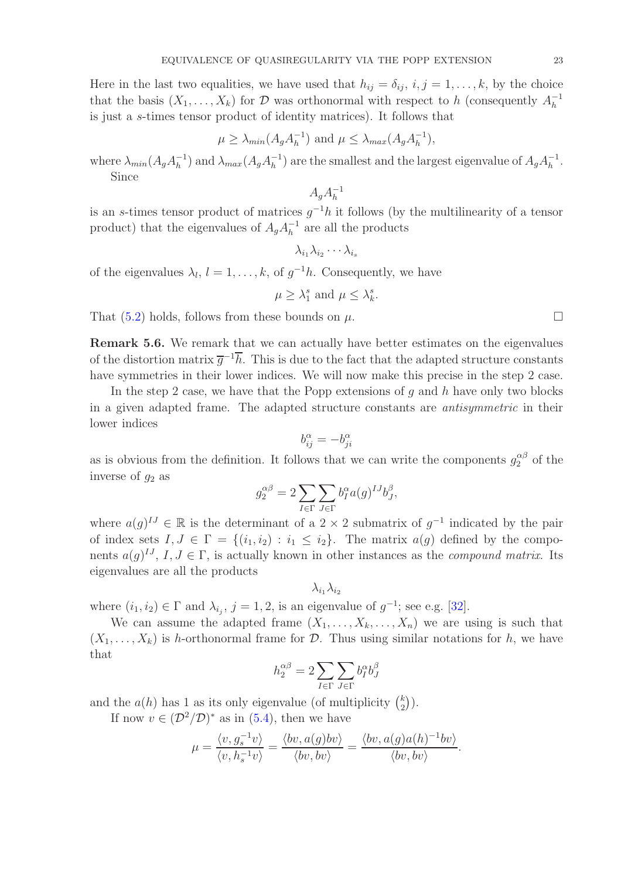Here in the last two equalities, we have used that  $h_{ij} = \delta_{ij}, i, j = 1, \ldots, k$ , by the choice that the basis  $(X_1, \ldots, X_k)$  for D was orthonormal with respect to h (consequently  $A_h^{-1}$ ) h is just a s-times tensor product of identity matrices). It follows that

$$
\mu \ge \lambda_{min}(A_g A_h^{-1})
$$
 and  $\mu \le \lambda_{max}(A_g A_h^{-1}),$ 

where  $\lambda_{min}(A_g A_h^{-1})$  $\lambda_{max}^{-1}$ ) and  $\lambda_{max}(A_gA_h^{-1})$  $\binom{-1}{h}$  are the smallest and the largest eigenvalue of  $A_g A_h^{-1}$  $\frac{-1}{h}$ . Since

> $A_gA_h^{-1}$ h

is an s-times tensor product of matrices  $g^{-1}h$  it follows (by the multilinearity of a tensor product) that the eigenvalues of  $A_g A_h^{-1}$  $\overline{h}^1$  are all the products

$$
\lambda_{i_1}\lambda_{i_2}\cdots\lambda_{i_s}
$$

of the eigenvalues  $\lambda_l, l = 1, \ldots, k$ , of  $g^{-1}h$ . Consequently, we have

$$
\mu \geq \lambda_1^s
$$
 and  $\mu \leq \lambda_k^s$ 

.

That  $(5.2)$  holds, follows from these bounds on  $\mu$ .

<span id="page-22-0"></span>Remark 5.6. We remark that we can actually have better estimates on the eigenvalues of the distortion matrix  $\overline{g}^{-1}\overline{h}$ . This is due to the fact that the adapted structure constants have symmetries in their lower indices. We will now make this precise in the step 2 case.

In the step 2 case, we have that the Popp extensions of q and h have only two blocks in a given adapted frame. The adapted structure constants are antisymmetric in their lower indices

$$
b_{ij}^{\alpha}=-b_{ji}^{\alpha}
$$

as is obvious from the definition. It follows that we can write the components  $g_2^{\alpha\beta}$  of the inverse of  $q_2$  as

$$
g_2^{\alpha\beta} = 2\sum_{I\in\Gamma}\sum_{J\in\Gamma} b_I^\alpha a(g)^{IJ}b_J^\beta,
$$

where  $a(g)^{IJ} \in \mathbb{R}$  is the determinant of a 2 × 2 submatrix of  $g^{-1}$  indicated by the pair of index sets  $I, J \in \Gamma = \{(i_1, i_2) : i_1 \leq i_2\}$ . The matrix  $a(g)$  defined by the components  $a(g)^{IJ}$ ,  $I, J \in \Gamma$ , is actually known in other instances as the *compound matrix*. Its eigenvalues are all the products

$$
\lambda_{i_1}\lambda_{i_2}
$$

where  $(i_1, i_2) \in \Gamma$  and  $\lambda_{i_j}, j = 1, 2$ , is an eigenvalue of  $g^{-1}$ ; see e.g. [\[32\]](#page-40-17).

We can assume the adapted frame  $(X_1, \ldots, X_k, \ldots, X_n)$  we are using is such that  $(X_1, \ldots, X_k)$  is h-orthonormal frame for  $\mathcal D$ . Thus using similar notations for h, we have that

$$
h_2^{\alpha\beta}=2\sum_{I\in\Gamma}\sum_{J\in\Gamma}b_{I}^{\alpha}b_{J}^{\beta}
$$

and the  $a(h)$  has 1 as its only eigenvalue (of multiplicity  $\binom{k}{2}$  $\binom{k}{2}$ .

If now  $v \in (\mathcal{D}^2/\mathcal{D})^*$  as in [\(5.4\)](#page-21-1), then we have

$$
\mu = \frac{\langle v, g_s^{-1}v \rangle}{\langle v, h_s^{-1}v \rangle} = \frac{\langle bv, a(g)bv \rangle}{\langle bv, bv \rangle} = \frac{\langle bv, a(g)a(h)^{-1}bv \rangle}{\langle bv, bv \rangle}.
$$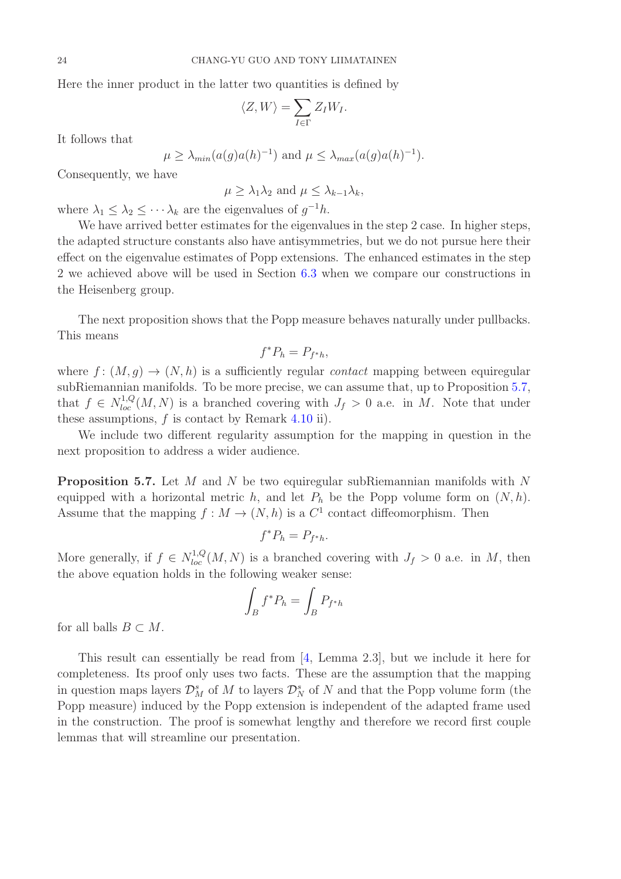Here the inner product in the latter two quantities is defined by

$$
\langle Z, W \rangle = \sum_{I \in \Gamma} Z_I W_I.
$$

It follows that

$$
\mu \geq \lambda_{min}(a(g)a(h)^{-1})
$$
 and  $\mu \leq \lambda_{max}(a(g)a(h)^{-1}).$ 

Consequently, we have

 $\mu > \lambda_1 \lambda_2$  and  $\mu < \lambda_{k-1} \lambda_k$ ,

where  $\lambda_1 \leq \lambda_2 \leq \cdots \lambda_k$  are the eigenvalues of  $g^{-1}h$ .

We have arrived better estimates for the eigenvalues in the step 2 case. In higher steps, the adapted structure constants also have antisymmetries, but we do not pursue here their effect on the eigenvalue estimates of Popp extensions. The enhanced estimates in the step 2 we achieved above will be used in Section [6.3](#page-32-0) when we compare our constructions in the Heisenberg group.

The next proposition shows that the Popp measure behaves naturally under pullbacks. This means

$$
f^*P_h = P_{f^*h},
$$

where  $f: (M, q) \to (N, h)$  is a sufficiently regular *contact* mapping between equiregular subRiemannian manifolds. To be more precise, we can assume that, up to Proposition [5.7,](#page-23-0) that  $f \in N_{loc}^{1,Q}(M,N)$  is a branched covering with  $J_f > 0$  a.e. in M. Note that under these assumptions,  $f$  is contact by Remark [4.10](#page-15-2) ii).

We include two different regularity assumption for the mapping in question in the next proposition to address a wider audience.

<span id="page-23-0"></span>**Proposition 5.7.** Let M and N be two equiregular subRiemannian manifolds with N equipped with a horizontal metric h, and let  $P_h$  be the Popp volume form on  $(N, h)$ . Assume that the mapping  $f: M \to (N, h)$  is a  $C<sup>1</sup>$  contact diffeomorphism. Then

$$
f^*P_h = P_{f^*h}.
$$

More generally, if  $f \in N_{loc}^{1,Q}(M,N)$  is a branched covering with  $J_f > 0$  a.e. in M, then the above equation holds in the following weaker sense:

$$
\int_B f^* P_h = \int_B P_{f^*h}
$$

for all balls  $B \subset M$ .

This result can essentially be read from [\[4,](#page-39-11) Lemma 2.3], but we include it here for completeness. Its proof only uses two facts. These are the assumption that the mapping in question maps layers  $\mathcal{D}_M^s$  of  $M$  to layers  $\mathcal{D}_N^s$  of  $N$  and that the Popp volume form (the Popp measure) induced by the Popp extension is independent of the adapted frame used in the construction. The proof is somewhat lengthy and therefore we record first couple lemmas that will streamline our presentation.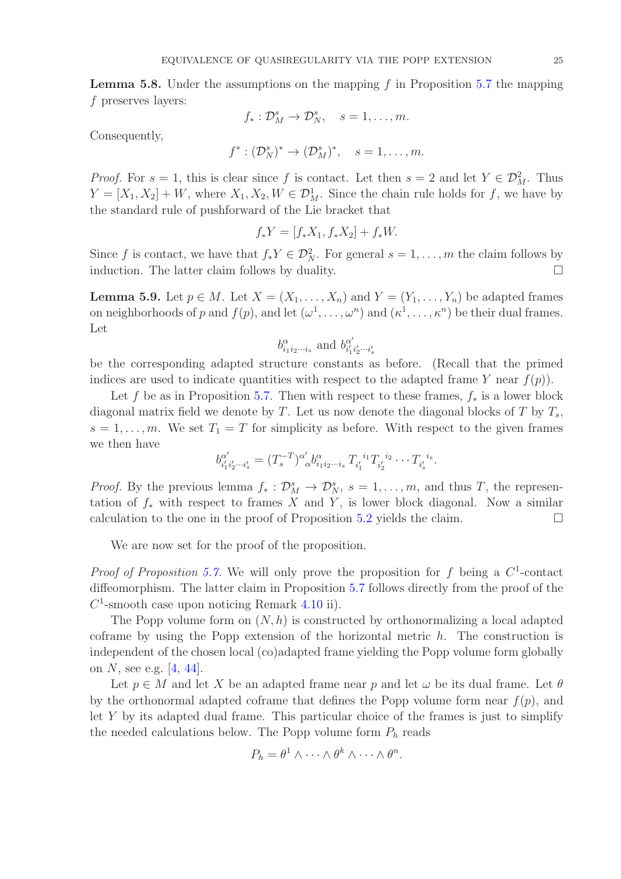<span id="page-24-0"></span>**Lemma 5.8.** Under the assumptions on the mapping f in Proposition [5.7](#page-23-0) the mapping f preserves layers:

$$
f_*: \mathcal{D}_M^s \to \mathcal{D}_N^s, \quad s = 1, \ldots, m.
$$

Consequently,

$$
f^*: (\mathcal{D}_N^s)^* \to (\mathcal{D}_M^s)^*, \quad s = 1, \dots, m.
$$

*Proof.* For  $s = 1$ , this is clear since f is contact. Let then  $s = 2$  and let  $Y \in \mathcal{D}_{M}^{2}$ . Thus  $Y = [X_1, X_2] + W$ , where  $X_1, X_2, W \in \mathcal{D}_M^1$ . Since the chain rule holds for f, we have by the standard rule of pushforward of the Lie bracket that

$$
f_* Y = [f_* X_1, f_* X_2] + f_* W.
$$

Since f is contact, we have that  $f_*Y \in \mathcal{D}_N^2$ . For general  $s = 1, \ldots, m$  the claim follows by induction. The latter claim follows by duality.  $\Box$ 

<span id="page-24-1"></span>**Lemma 5.9.** Let  $p \in M$ . Let  $X = (X_1, \ldots, X_n)$  and  $Y = (Y_1, \ldots, Y_n)$  be adapted frames on neighborhoods of p and  $f(p)$ , and let  $(\omega^1, \ldots, \omega^n)$  and  $(\kappa^1, \ldots, \kappa^n)$  be their dual frames. Let

$$
b^{\alpha}_{i_1 i_2 \cdots i_s}
$$
 and  $b^{\alpha'}_{i'_1 i'_2 \cdots i'_s}$ 

be the corresponding adapted structure constants as before. (Recall that the primed indices are used to indicate quantities with respect to the adapted frame Y near  $f(p)$ ).

Let f be as in Proposition [5.7.](#page-23-0) Then with respect to these frames,  $f_*$  is a lower block diagonal matrix field we denote by T. Let us now denote the diagonal blocks of T by  $T_s$ ,  $s = 1, \ldots, m$ . We set  $T_1 = T$  for simplicity as before. With respect to the given frames we then have

$$
b^{\alpha'}_{i'_1i'_2\cdots i'_s} = (T_s^{-T})^{\alpha'}_{\alpha} b^{\alpha}_{i_1i_2\cdots i_s} T_{i'_1}^{i_1} T_{i'_2}^{i_2} \cdots T_{i'_s}^{i_s}.
$$

*Proof.* By the previous lemma  $f_* : \mathcal{D}_M^s \to \mathcal{D}_N^s$ ,  $s = 1, ..., m$ , and thus T, the representation of  $f_*$  with respect to frames X and Y, is lower block diagonal. Now a similar calculation to the one in the proof of Proposition [5.2](#page-17-0) yields the claim.  $\Box$ 

We are now set for the proof of the proposition.

*Proof of Proposition [5.7.](#page-23-0)* We will only prove the proposition for f being a  $C^1$ -contact diffeomorphism. The latter claim in Proposition [5.7](#page-23-0) follows directly from the proof of the  $C<sup>1</sup>$ -smooth case upon noticing Remark [4.10](#page-15-2) ii).

The Popp volume form on  $(N, h)$  is constructed by orthonormalizing a local adapted coframe by using the Popp extension of the horizontal metric  $h$ . The construction is independent of the chosen local (co)adapted frame yielding the Popp volume form globally on N, see e.g.  $[4, 44]$  $[4, 44]$ .

Let  $p \in M$  and let X be an adapted frame near p and let  $\omega$  be its dual frame. Let  $\theta$ by the orthonormal adapted coframe that defines the Popp volume form near  $f(p)$ , and let Y by its adapted dual frame. This particular choice of the frames is just to simplify the needed calculations below. The Popp volume form  $P_h$  reads

$$
P_h = \theta^1 \wedge \cdots \wedge \theta^k \wedge \cdots \wedge \theta^n.
$$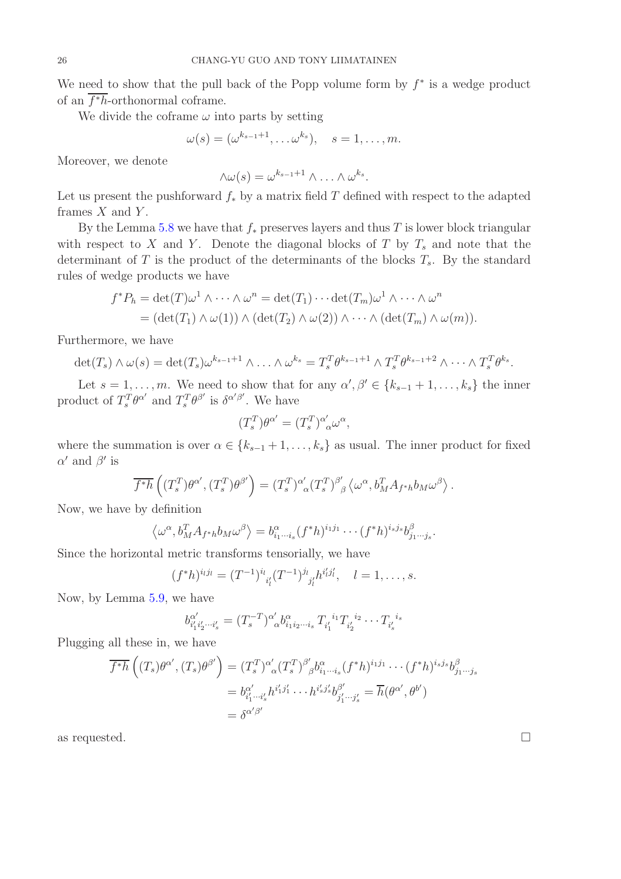We need to show that the pull back of the Popp volume form by  $f^*$  is a wedge product of an f <sup>∗</sup>h-orthonormal coframe.

We divide the coframe  $\omega$  into parts by setting

$$
\omega(s) = (\omega^{k_{s-1}+1}, \ldots \omega^{k_s}), \quad s = 1, \ldots, m.
$$

Moreover, we denote

$$
\wedge \omega(s) = \omega^{k_{s-1}+1} \wedge \ldots \wedge \omega^{k_s}.
$$

Let us present the pushforward  $f_*$  by a matrix field T defined with respect to the adapted frames  $X$  and  $Y$ .

By the Lemma [5.8](#page-24-0) we have that  $f_*$  preserves layers and thus T is lower block triangular with respect to X and Y. Denote the diagonal blocks of T by  $T_s$  and note that the determinant of  $T$  is the product of the determinants of the blocks  $T_s$ . By the standard rules of wedge products we have

$$
f^*P_h = \det(T)\omega^1 \wedge \cdots \wedge \omega^n = \det(T_1) \cdots \det(T_m)\omega^1 \wedge \cdots \wedge \omega^n
$$
  
= 
$$
(\det(T_1) \wedge \omega(1)) \wedge (\det(T_2) \wedge \omega(2)) \wedge \cdots \wedge (\det(T_m) \wedge \omega(m)).
$$

Furthermore, we have

$$
\det(T_s) \wedge \omega(s) = \det(T_s) \omega^{k_{s-1}+1} \wedge \ldots \wedge \omega^{k_s} = T_s^T \theta^{k_{s-1}+1} \wedge T_s^T \theta^{k_{s-1}+2} \wedge \cdots \wedge T_s^T \theta^{k_s}.
$$

Let  $s = 1, \ldots, m$ . We need to show that for any  $\alpha', \beta' \in \{k_{s-1}+1, \ldots, k_s\}$  the inner product of  $T_s^T \theta^{\alpha'}$  and  $T_s^T \theta^{\beta'}$  is  $\delta^{\alpha'\beta'}$ . We have

$$
(T_s^T)\theta^{\alpha'} = (T_s^T)^{\alpha'}_{\alpha}\omega^{\alpha},
$$

where the summation is over  $\alpha \in \{k_{s-1}+1,\ldots,k_s\}$  as usual. The inner product for fixed  $\alpha'$  and  $\beta'$  is

$$
\overline{f^*h} \left( (T_s^T) \theta^{\alpha'}, (T_s^T) \theta^{\beta'} \right) = (T_s^T)^{\alpha'}_{\alpha} (T_s^T)^{\beta'}_{\beta} \left\langle \omega^{\alpha}, b_M^T A_{f^*h} b_M \omega^{\beta} \right\rangle.
$$

Now, we have by definition

$$
\langle \omega^{\alpha}, b_M^T A_{f^*h} b_M \omega^{\beta} \rangle = b_{i_1 \cdots i_s}^{\alpha} (f^*h)^{i_1 j_1} \cdots (f^*h)^{i_s j_s} b_{j_1 \cdots j_s}^{\beta}.
$$

Since the horizontal metric transforms tensorially, we have

$$
(f^*h)^{i_l j_l} = (T^{-1})^{i_l}_{i'_l} (T^{-1})^{j_l}_{j'_l} h^{i'_l j'_l}, \quad l = 1, \ldots, s.
$$

Now, by Lemma [5.9,](#page-24-1) we have

$$
b^{\alpha'}_{i'_1i'_2\cdots i'_s} = (T_s^{-T})^{\alpha'}_{\alpha} b^{\alpha}_{i_1i_2\cdots i_s} T_{i'_1}^{i_1} T_{i'_2}^{i_2} \cdots T_{i'_s}^{i_s}
$$

Plugging all these in, we have

$$
\overline{f^*h} \left( (T_s) \theta^{\alpha'}, (T_s) \theta^{\beta'} \right) = (T_s^T)^{\alpha'}_{\alpha} (T_s^T)^{\beta'}_{\beta} b^{\alpha}_{i_1 \cdots i_s} (f^*h)^{i_1 j_1} \cdots (f^*h)^{i_s j_s} b^{\beta}_{j_1 \cdots j_s}
$$
\n
$$
= b^{\alpha'}_{i'_1 \cdots i'_s} h^{i'_1 j'_1} \cdots h^{i'_s j'_s} b^{\beta'}_{j'_1 \cdots j'_s} = \overline{h} (\theta^{\alpha'}, \theta^{b'})
$$
\n
$$
= \delta^{\alpha'\beta'}
$$

as requested.  $\Box$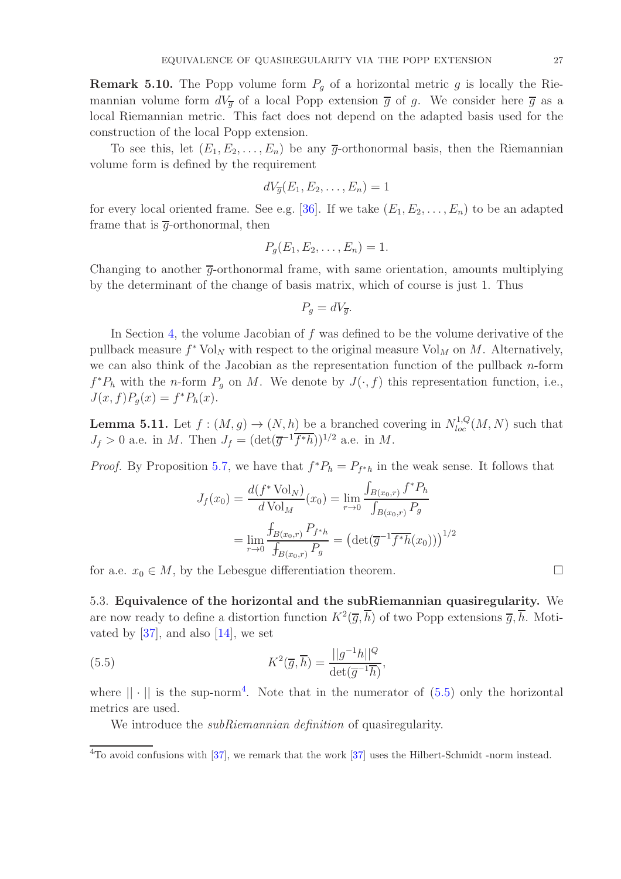**Remark 5.10.** The Popp volume form  $P<sub>g</sub>$  of a horizontal metric g is locally the Riemannian volume form  $dV_{\overline{q}}$  of a local Popp extension  $\overline{q}$  of g. We consider here  $\overline{q}$  as a local Riemannian metric. This fact does not depend on the adapted basis used for the construction of the local Popp extension.

To see this, let  $(E_1, E_2, \ldots, E_n)$  be any  $\overline{g}$ -orthonormal basis, then the Riemannian volume form is defined by the requirement

$$
dV_{\overline{g}}(E_1, E_2, \ldots, E_n) = 1
$$

for every local oriented frame. See e.g. [\[36\]](#page-40-18). If we take  $(E_1, E_2, \ldots, E_n)$  to be an adapted frame that is  $\overline{q}$ -orthonormal, then

$$
P_g(E_1, E_2, \ldots, E_n) = 1.
$$

Changing to another  $\bar{q}$ -orthonormal frame, with same orientation, amounts multiplying by the determinant of the change of basis matrix, which of course is just 1. Thus

$$
P_g = dV_{\overline{g}}.
$$

In Section [4,](#page-11-0) the volume Jacobian of f was defined to be the volume derivative of the pullback measure  $f^*$  Vol<sub>N</sub> with respect to the original measure Vol<sub>M</sub> on M. Alternatively, we can also think of the Jacobian as the representation function of the pullback  $n$ -form  $f^*P_h$  with the *n*-form  $P_g$  on M. We denote by  $J(\cdot, f)$  this representation function, i.e.,  $J(x, f)P_g(x) = f^*P_h(x).$ 

<span id="page-26-2"></span>**Lemma 5.11.** Let  $f : (M, g) \to (N, h)$  be a branched covering in  $N^{1,Q}_{loc}(M, N)$  such that  $J_f > 0$  a.e. in M. Then  $J_f = (\det(\overline{g}^{-1} \overline{f^*h}))^{1/2}$  a.e. in M.

*Proof.* By Proposition [5.7,](#page-23-0) we have that  $f^*P_h = P_{f^*h}$  in the weak sense. It follows that

$$
J_f(x_0) = \frac{d(f^* \text{Vol}_N)}{d \text{Vol}_M}(x_0) = \lim_{r \to 0} \frac{\int_{B(x_0, r)} f^* P_h}{\int_{B(x_0, r)} P_g}
$$

$$
= \lim_{r \to 0} \frac{\int_{B(x_0, r)} P_{f^* h}}{\int_{B(x_0, r)} P_g} = \left(\det(\overline{g}^{-1} \overline{f^* h}(x_0))\right)^{1/2}
$$

<span id="page-26-0"></span>for a.e.  $x_0 \in M$ , by the Lebesgue differentiation theorem.

5.3. Equivalence of the horizontal and the subRiemannian quasiregularity. We are now ready to define a distortion function  $K^2(\overline{g},\overline{h})$  of two Popp extensions  $\overline{g},\overline{h}$ . Motivated by  $[37]$ , and also  $[14]$ , we set

(5.5) 
$$
K^2(\overline{g}, \overline{h}) = \frac{||g^{-1}h||^Q}{\det(\overline{g}^{-1}\overline{h})},
$$

where  $|| \cdot ||$  is the sup-norm<sup>4</sup>. Note that in the numerator of  $(5.5)$  only the horizontal metrics are used.

<span id="page-26-1"></span>We introduce the *subRiemannian definition* of quasiregularity.

<sup>4</sup>To avoid confusions with [\[37\]](#page-40-10), we remark that the work [37] uses the Hilbert-Schmidt -norm instead.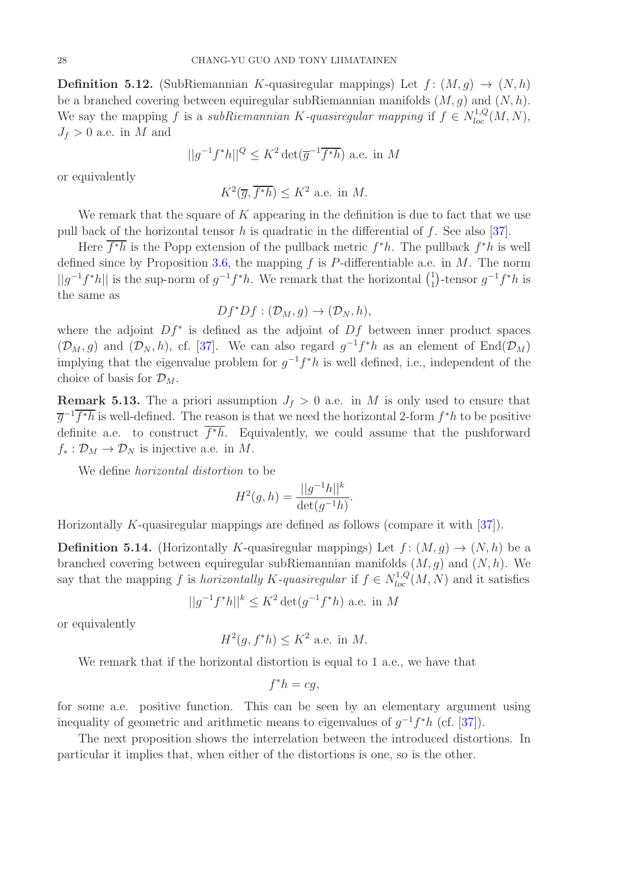**Definition 5.12.** (SubRiemannian K-quasiregular mappings) Let  $f: (M, g) \rightarrow (N, h)$ be a branched covering between equiregular subRiemannian manifolds  $(M, g)$  and  $(N, h)$ . We say the mapping f is a subRiemannian K-quasiregular mapping if  $f \in N_{loc}^{1,Q}(M, N)$ ,  $J_f > 0$  a.e. in M and

$$
||g^{-1}f^*h||^Q \le K^2 \det(\overline{g}^{-1}\overline{f^*h})
$$
 a.e. in M

or equivalently

$$
K^2(\overline{g}, \overline{f^*h}) \le K^2
$$
 a.e. in M.

We remark that the square of  $K$  appearing in the definition is due to fact that we use pull back of the horizontal tensor h is quadratic in the differential of f. See also [\[37\]](#page-40-10).

Here  $\overline{f^*h}$  is the Popp extension of the pullback metric  $f^*h$ . The pullback  $f^*h$  is well defined since by Proposition [3.6,](#page-11-1) the mapping  $f$  is P-differentiable a.e. in  $M$ . The norm  $||g^{-1}f^*h||$  is the sup-norm of  $g^{-1}f^*h$ . We remark that the horizontal  $\binom{1}{1}$ <sup>1</sup>/<sub>1</sub>)-tensor  $g^{-1}f^*h$  is the same as

$$
Df^*Df: (\mathcal{D}_M, g) \to (\mathcal{D}_N, h),
$$

where the adjoint  $Df^*$  is defined as the adjoint of  $Df$  between inner product spaces  $(\mathcal{D}_M, g)$  and  $(\mathcal{D}_N, h)$ , cf. [\[37\]](#page-40-10). We can also regard  $g^{-1}f^*h$  as an element of  $\text{End}(\mathcal{D}_M)$ implying that the eigenvalue problem for  $g^{-1}f^*h$  is well defined, i.e., independent of the choice of basis for  $\mathcal{D}_M$ .

**Remark 5.13.** The a priori assumption  $J_f > 0$  a.e. in M is only used to ensure that  $\overline{g}^{-1}\overline{f^{*}h}$  is well-defined. The reason is that we need the horizontal 2-form  $f^{*}h$  to be positive definite a.e. to construct  $f^*h$ . Equivalently, we could assume that the pushforward  $f_* : \mathcal{D}_M \to \mathcal{D}_N$  is injective a.e. in M.

We define horizontal distortion to be

$$
H^{2}(g,h) = \frac{||g^{-1}h||^{k}}{\det(g^{-1}h)}.
$$

Horizontally K-quasiregular mappings are defined as follows (compare it with [\[37\]](#page-40-10)).

<span id="page-27-0"></span>**Definition 5.14.** (Horizontally K-quasiregular mappings) Let  $f : (M, g) \rightarrow (N, h)$  be a branched covering between equiregular subRiemannian manifolds  $(M, g)$  and  $(N, h)$ . We say that the mapping f is horizontally K-quasiregular if  $f \in N_{loc}^{1,Q}(M, N)$  and it satisfies

$$
||g^{-1}f^*h||^k \le K^2 \det(g^{-1}f^*h)
$$
 a.e. in M

or equivalently

$$
H^2(g, f^*h) \le K^2
$$
 a.e. in M.

We remark that if the horizontal distortion is equal to 1 a.e., we have that

$$
f^*h = cg,
$$

for some a.e. positive function. This can be seen by an elementary argument using inequality of geometric and arithmetic means to eigenvalues of  $g^{-1}f^*h$  (cf. [\[37\]](#page-40-10)).

The next proposition shows the interrelation between the introduced distortions. In particular it implies that, when either of the distortions is one, so is the other.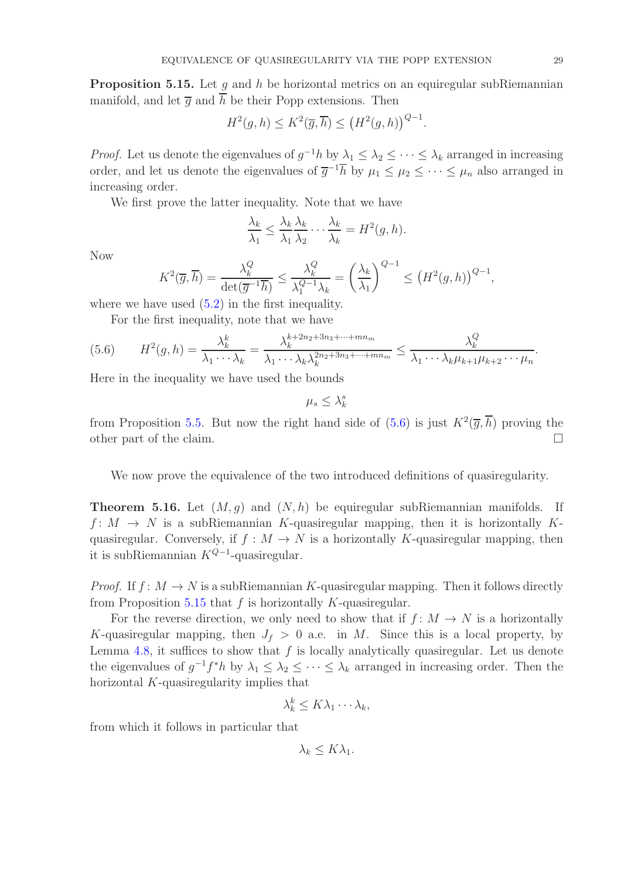<span id="page-28-1"></span>**Proposition 5.15.** Let  $q$  and  $h$  be horizontal metrics on an equiregular subRiemannian manifold, and let  $\overline{q}$  and  $\overline{h}$  be their Popp extensions. Then

$$
H^{2}(g,h) \leq K^{2}(\overline{g},\overline{h}) \leq (H^{2}(g,h))^{Q-1}.
$$

*Proof.* Let us denote the eigenvalues of  $g^{-1}h$  by  $\lambda_1 \leq \lambda_2 \leq \cdots \leq \lambda_k$  arranged in increasing order, and let us denote the eigenvalues of  $\overline{g}^{-1}h$  by  $\mu_1 \leq \mu_2 \leq \cdots \leq \mu_n$  also arranged in increasing order.

We first prove the latter inequality. Note that we have

$$
\frac{\lambda_k}{\lambda_1} \le \frac{\lambda_k}{\lambda_1} \frac{\lambda_k}{\lambda_2} \cdots \frac{\lambda_k}{\lambda_k} = H^2(g, h).
$$

Now

$$
K^{2}(\overline{g},\overline{h}) = \frac{\lambda_{k}^{Q}}{\det(\overline{g}^{-1}\overline{h})} \le \frac{\lambda_{k}^{Q}}{\lambda_{1}^{Q-1}\lambda_{k}} = \left(\frac{\lambda_{k}}{\lambda_{1}}\right)^{Q-1} \le \left(H^{2}(g,h)\right)^{Q-1},
$$

where we have used  $(5.2)$  in the first inequality.

<span id="page-28-0"></span>For the first inequality, note that we have

(5.6) 
$$
H^2(g,h) = \frac{\lambda_k^k}{\lambda_1 \cdots \lambda_k} = \frac{\lambda_k^{k+2n_2+3n_3+\cdots + mn_m}}{\lambda_1 \cdots \lambda_k \lambda_k^{2n_2+3n_3+\cdots + mn_m}} \leq \frac{\lambda_k^Q}{\lambda_1 \cdots \lambda_k \mu_{k+1} \mu_{k+2} \cdots \mu_n}.
$$

Here in the inequality we have used the bounds

 $\mu_s \leq \lambda_k^s$ 

from Proposition [5.5.](#page-20-1) But now the right hand side of  $(5.6)$  is just  $K^2(\overline{g},\overline{h})$  proving the other part of the claim.

We now prove the equivalence of the two introduced definitions of quasiregularity.

<span id="page-28-2"></span>**Theorem 5.16.** Let  $(M, g)$  and  $(N, h)$  be equiregular subRiemannian manifolds. If  $f: M \to N$  is a subRiemannian K-quasiregular mapping, then it is horizontally Kquasiregular. Conversely, if  $f : M \to N$  is a horizontally K-quasiregular mapping, then it is subRiemannian  $K^{Q-1}$ -quasiregular.

*Proof.* If  $f: M \to N$  is a subRiemannian K-quasiregular mapping. Then it follows directly from Proposition [5.15](#page-28-1) that  $f$  is horizontally  $K$ -quasiregular.

For the reverse direction, we only need to show that if  $f: M \to N$  is a horizontally K-quasiregular mapping, then  $J_f > 0$  a.e. in M. Since this is a local property, by Lemma [4.8,](#page-14-1) it suffices to show that  $f$  is locally analytically quasiregular. Let us denote the eigenvalues of  $g^{-1}f^*h$  by  $\lambda_1 \leq \lambda_2 \leq \cdots \leq \lambda_k$  arranged in increasing order. Then the horizontal K-quasiregularity implies that

$$
\lambda_k^k \leq K\lambda_1 \cdots \lambda_k,
$$

from which it follows in particular that

 $\lambda_k \leq K \lambda_1$ .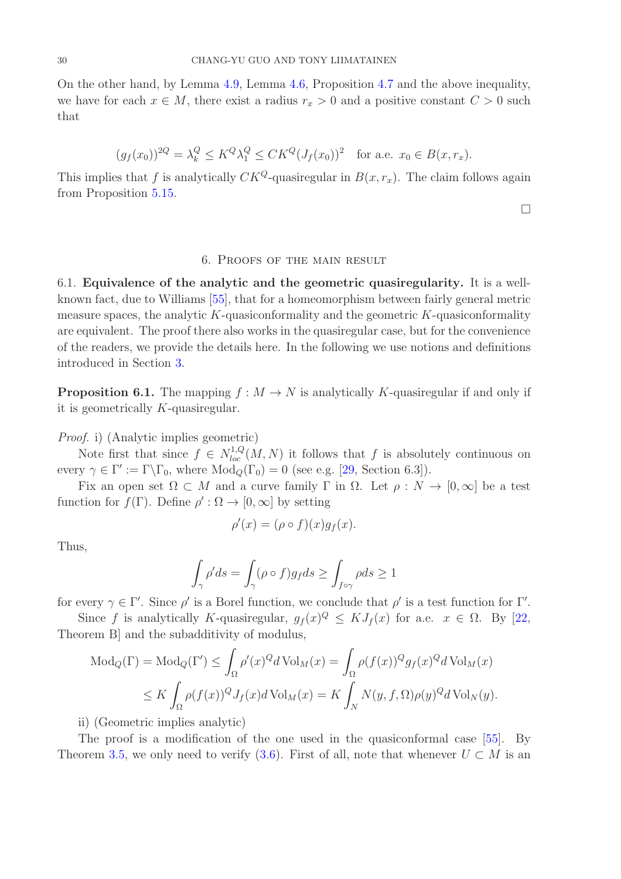On the other hand, by Lemma [4.9,](#page-14-0) Lemma [4.6,](#page-13-2) Proposition [4.7](#page-13-3) and the above inequality, we have for each  $x \in M$ , there exist a radius  $r_x > 0$  and a positive constant  $C > 0$  such that

$$
(g_f(x_0))^{2Q} = \lambda_k^Q \le K^Q \lambda_1^Q \le CK^Q (J_f(x_0))^2
$$
 for a.e.  $x_0 \in B(x, r_x)$ .

This implies that f is analytically  $CK^Q$ -quasiregular in  $B(x, r_x)$ . The claim follows again from Proposition [5.15.](#page-28-1)

 $\Box$ 

## 6. Proofs of the main result

<span id="page-29-1"></span><span id="page-29-0"></span>6.1. Equivalence of the analytic and the geometric quasiregularity. It is a wellknown fact, due to Williams [\[55\]](#page-41-9), that for a homeomorphism between fairly general metric measure spaces, the analytic K-quasiconformality and the geometric  $K$ -quasiconformality are equivalent. The proof there also works in the quasiregular case, but for the convenience of the readers, we provide the details here. In the following we use notions and definitions introduced in Section [3.](#page-8-0)

**Proposition 6.1.** The mapping  $f : M \to N$  is analytically K-quasiregular if and only if it is geometrically K-quasiregular.

Proof. i) (Analytic implies geometric)

Note first that since  $f \in N^{1,Q}_{loc}(M,N)$  it follows that f is absolutely continuous on every  $\gamma \in \Gamma' := \Gamma \backslash \Gamma_0$ , where  $Mod_Q(\Gamma_0) = 0$  (see e.g. [\[29,](#page-40-14) Section 6.3]).

Fix an open set  $\Omega \subset M$  and a curve family  $\Gamma$  in  $\Omega$ . Let  $\rho : N \to [0,\infty]$  be a test function for  $f(\Gamma)$ . Define  $\rho': \Omega \to [0, \infty]$  by setting

$$
\rho'(x) = (\rho \circ f)(x)g_f(x).
$$

Thus,

$$
\int_{\gamma}\rho'ds=\int_{\gamma}(\rho\circ f)g_fds\geq\int_{f\circ\gamma}\rho ds\geq1
$$

for every  $\gamma \in \Gamma'$ . Since  $\rho'$  is a Borel function, we conclude that  $\rho'$  is a test function for  $\Gamma'$ .

Since f is analytically K-quasiregular,  $g_f(x)^Q \leq K J_f(x)$  for a.e.  $x \in \Omega$ . By [\[22,](#page-40-8) Theorem B] and the subadditivity of modulus,

$$
\begin{split} \text{Mod}_{Q}(\Gamma) &= \text{Mod}_{Q}(\Gamma') \le \int_{\Omega} \rho'(x)^{Q} d\operatorname{Vol}_{M}(x) = \int_{\Omega} \rho(f(x))^{Q} g_{f}(x)^{Q} d\operatorname{Vol}_{M}(x) \\ &\le K \int_{\Omega} \rho(f(x))^{Q} J_{f}(x) d\operatorname{Vol}_{M}(x) = K \int_{N} N(y, f, \Omega) \rho(y)^{Q} d\operatorname{Vol}_{N}(y). \end{split}
$$

ii) (Geometric implies analytic)

The proof is a modification of the one used in the quasiconformal case [\[55\]](#page-41-9). By Theorem [3.5,](#page-11-2) we only need to verify [\(3.6\)](#page-11-3). First of all, note that whenever  $U \subset M$  is an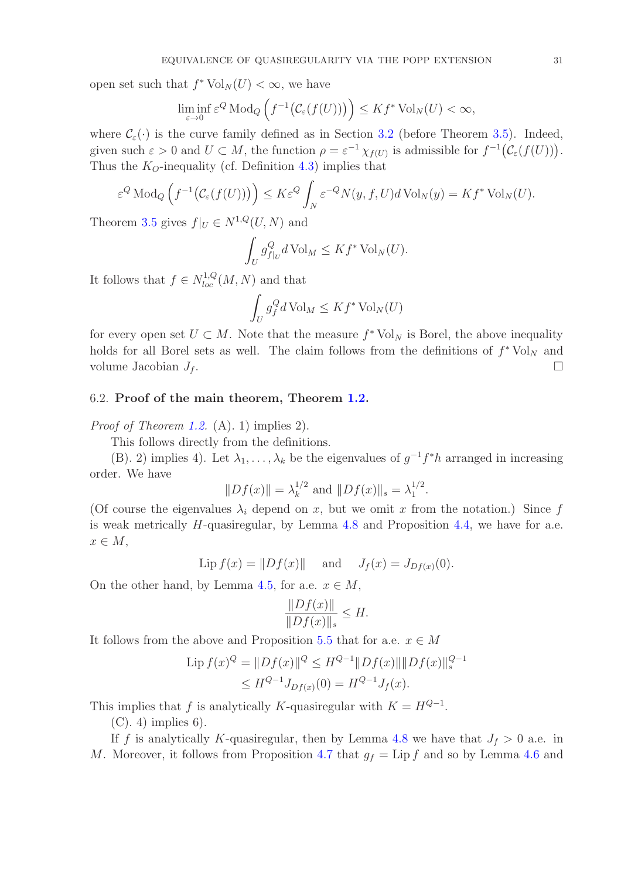open set such that  $f^* \text{Vol}_N(U) < \infty$ , we have

$$
\liminf_{\varepsilon \to 0} \varepsilon^Q \operatorname{Mod}_Q \left( f^{-1} \big( \mathcal{C}_\varepsilon(f(U)) \big) \right) \leq K f^* \operatorname{Vol}_N(U) < \infty,
$$

where  $\mathcal{C}_{\varepsilon}(\cdot)$  is the curve family defined as in Section [3.2](#page-10-0) (before Theorem [3.5\)](#page-11-2). Indeed, given such  $\varepsilon > 0$  and  $U \subset M$ , the function  $\rho = \varepsilon^{-1} \chi_{f(U)}$  is admissible for  $f^{-1}(\mathcal{C}_{\varepsilon}(f(U)))$ . Thus the  $K_O$ -inequality (cf. Definition [4.3\)](#page-12-3) implies that

$$
\varepsilon^Q \operatorname{Mod}_Q \left( f^{-1} \big( \mathcal{C}_\varepsilon(f(U)) \big) \right) \leq K \varepsilon^Q \int_N \varepsilon^{-Q} N(y, f, U) d \operatorname{Vol}_N(y) = K f^* \operatorname{Vol}_N(U).
$$

Theorem [3.5](#page-11-2) gives  $f|_U \in N^{1,Q}(U,N)$  and

$$
\int_U g_{f|_U}^Q d\operatorname{Vol}_M \leq K f^* \operatorname{Vol}_N(U).
$$

It follows that  $f \in N^{1,Q}_{loc}(M,N)$  and that

$$
\int_U g_f^Q d\operatorname{Vol}_M \le K f^* \operatorname{Vol}_N(U)
$$

for every open set  $U \subset M$ . Note that the measure  $f^* \text{Vol}_N$  is Borel, the above inequality holds for all Borel sets as well. The claim follows from the definitions of  $f^* \text{Vol}_N$  and volume Jacobian  $J_f$ .

#### <span id="page-30-0"></span>6.2. Proof of the main theorem, Theorem [1.2.](#page-3-0)

Proof of Theorem [1.2.](#page-3-0) (A). 1) implies 2).

This follows directly from the definitions.

(B). 2) implies 4). Let  $\lambda_1, \ldots, \lambda_k$  be the eigenvalues of  $g^{-1}f^*h$  arranged in increasing order. We have

$$
||Df(x)|| = \lambda_k^{1/2}
$$
 and  $||Df(x)||_s = \lambda_1^{1/2}$ .

(Of course the eigenvalues  $\lambda_i$  depend on x, but we omit x from the notation.) Since f is weak metrically  $H$ -quasiregular, by Lemma [4.8](#page-13-4) and Proposition [4.4,](#page-13-1) we have for a.e.  $x \in M$ ,

Lip  $f(x) = ||Df(x)||$  and  $J_f(x) = J_{Df(x)}(0)$ .

On the other hand, by Lemma [4.5,](#page-13-5) for a.e.  $x \in M$ ,

$$
\frac{\|Df(x)\|}{\|Df(x)\|_s} \le H.
$$

It follows from the above and Proposition [5.5](#page-20-1) that for a.e.  $x \in M$ 

$$
\text{Lip}\,f(x)^{Q} = \|Df(x)\|^{Q} \le H^{Q-1} \|Df(x)\| \|Df(x)\|_{s}^{Q-1}
$$

$$
\le H^{Q-1}J_{Df(x)}(0) = H^{Q-1}J_{f}(x).
$$

This implies that f is analytically K-quasiregular with  $K = H^{Q-1}$ .

 $(C)$ . 4) implies 6).

If f is analytically K-quasiregular, then by Lemma [4.8](#page-14-1) we have that  $J_f > 0$  a.e. in M. Moreover, it follows from Proposition [4.7](#page-13-3) that  $g_f = \text{Lip } f$  and so by Lemma [4.6](#page-13-2) and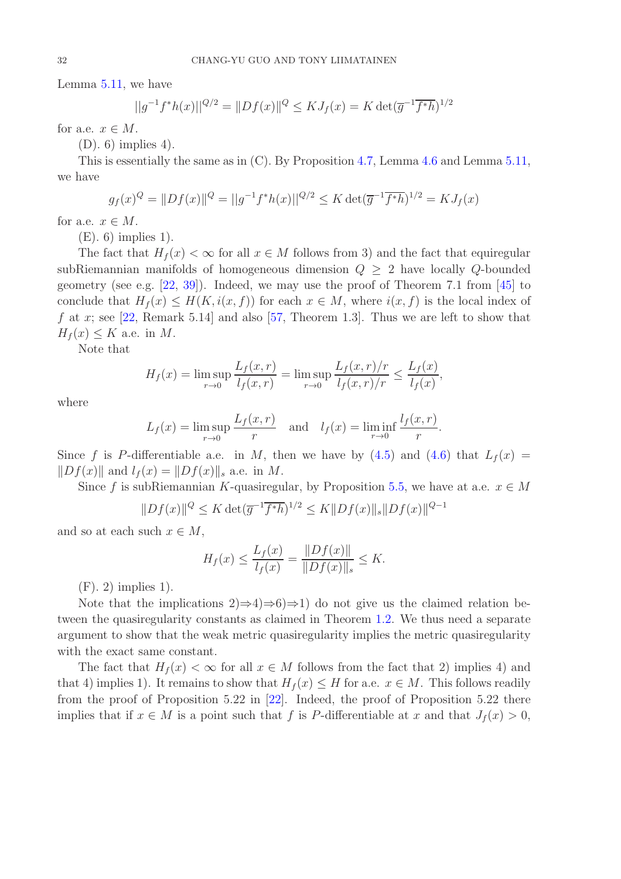Lemma [5.11,](#page-26-2) we have

$$
||g^{-1}f^*h(x)||^{Q/2} = ||Df(x)||^Q \le KJ_f(x) = K \det(\overline{g}^{-1}\overline{f^*h})^{1/2}
$$

for a.e.  $x \in M$ .

(D). 6) implies 4).

This is essentially the same as in (C). By Proposition [4.7,](#page-13-3) Lemma [4.6](#page-13-2) and Lemma [5.11,](#page-26-2) we have

$$
g_f(x)^Q = ||Df(x)||^Q = ||g^{-1}f^*h(x)||^{Q/2} \leq K \det(\overline{g}^{-1}\overline{f^*h})^{1/2} = KJ_f(x)
$$

for a.e.  $x \in M$ .

(E). 6) implies 1).

The fact that  $H_f(x) < \infty$  for all  $x \in M$  follows from 3) and the fact that equiregular subRiemannian manifolds of homogeneous dimension  $Q \geq 2$  have locally Q-bounded geometry (see e.g. [\[22,](#page-40-8) [39\]](#page-40-11)). Indeed, we may use the proof of Theorem 7.1 from [\[45\]](#page-41-11) to conclude that  $H_f(x) \leq H(K, i(x, f))$  for each  $x \in M$ , where  $i(x, f)$  is the local index of f at x; see [\[22,](#page-40-8) Remark 5.14] and also [\[57,](#page-41-12) Theorem 1.3]. Thus we are left to show that  $H_f(x) \leq K$  a.e. in M.

Note that

$$
H_f(x) = \limsup_{r \to 0} \frac{L_f(x, r)}{l_f(x, r)} = \limsup_{r \to 0} \frac{L_f(x, r)/r}{l_f(x, r)/r} \le \frac{L_f(x)}{l_f(x)},
$$

where

$$
L_f(x) = \limsup_{r \to 0} \frac{L_f(x, r)}{r}
$$
 and 
$$
l_f(x) = \liminf_{r \to 0} \frac{l_f(x, r)}{r}.
$$

Since f is P-differentiable a.e. in M, then we have by [\(4.5\)](#page-13-6) and [\(4.6\)](#page-13-7) that  $L_f(x)$  =  $||Df(x)||$  and  $l_f(x) = ||Df(x)||_s$  a.e. in M.

Since f is subRiemannian K-quasiregular, by Proposition [5.5,](#page-20-1) we have at a.e.  $x \in M$ 

$$
||Df(x)||^{Q} \leq K \det(\overline{g}^{-1} \overline{f^{*}h})^{1/2} \leq K ||Df(x)||_{s} ||Df(x)||^{Q-1}
$$

and so at each such  $x \in M$ ,

$$
H_f(x) \le \frac{L_f(x)}{l_f(x)} = \frac{\|Df(x)\|}{\|Df(x)\|_s} \le K.
$$

(F). 2) implies 1).

Note that the implications  $2 \Rightarrow 4 \Rightarrow 6 \Rightarrow 1$  do not give us the claimed relation between the quasiregularity constants as claimed in Theorem [1.2.](#page-3-0) We thus need a separate argument to show that the weak metric quasiregularity implies the metric quasiregularity with the exact same constant.

The fact that  $H_f(x) < \infty$  for all  $x \in M$  follows from the fact that 2) implies 4) and that 4) implies 1). It remains to show that  $H_f(x) \leq H$  for a.e.  $x \in M$ . This follows readily from the proof of Proposition 5.22 in [\[22\]](#page-40-8). Indeed, the proof of Proposition 5.22 there implies that if  $x \in M$  is a point such that f is P-differentiable at x and that  $J_f(x) > 0$ ,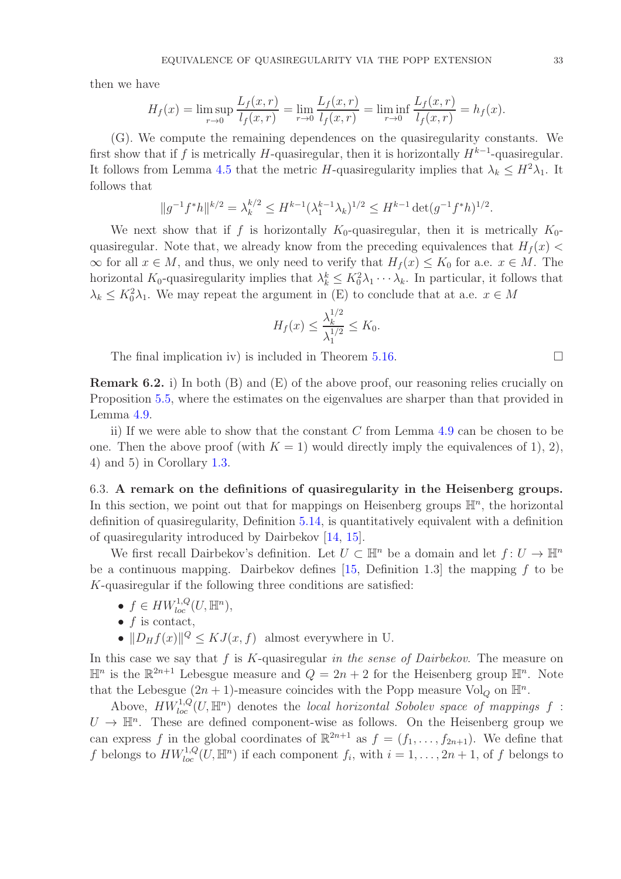then we have

$$
H_f(x) = \limsup_{r \to 0} \frac{L_f(x, r)}{l_f(x, r)} = \lim_{r \to 0} \frac{L_f(x, r)}{l_f(x, r)} = \liminf_{r \to 0} \frac{L_f(x, r)}{l_f(x, r)} = h_f(x).
$$

(G). We compute the remaining dependences on the quasiregularity constants. We first show that if f is metrically H-quasiregular, then it is horizontally  $H^{k-1}$ -quasiregular. It follows from Lemma [4.5](#page-13-5) that the metric H-quasiregularity implies that  $\lambda_k \leq H^2 \lambda_1$ . It follows that

$$
||g^{-1}f^*h||^{k/2} = \lambda_k^{k/2} \le H^{k-1}(\lambda_1^{k-1}\lambda_k)^{1/2} \le H^{k-1}\det(g^{-1}f^*h)^{1/2}.
$$

We next show that if f is horizontally  $K_0$ -quasiregular, then it is metrically  $K_0$ quasiregular. Note that, we already know from the preceding equivalences that  $H_f(x)$  $\infty$  for all  $x \in M$ , and thus, we only need to verify that  $H_f(x) \leq K_0$  for a.e.  $x \in M$ . The horizontal  $K_0$ -quasiregularity implies that  $\lambda_k^k \leq K_0^2 \lambda_1 \cdots \lambda_k$ . In particular, it follows that  $\lambda_k \leq K_0^2 \lambda_1$ . We may repeat the argument in (E) to conclude that at a.e.  $x \in M$ 

$$
H_f(x) \le \frac{\lambda_k^{1/2}}{\lambda_1^{1/2}} \le K_0.
$$

The final implication iv) is included in Theorem [5.16.](#page-28-2)

Remark 6.2. i) In both (B) and (E) of the above proof, our reasoning relies crucially on Proposition [5.5,](#page-20-1) where the estimates on the eigenvalues are sharper than that provided in Lemma [4.9.](#page-14-0)

ii) If we were able to show that the constant  $C$  from Lemma [4.9](#page-14-0) can be chosen to be one. Then the above proof (with  $K = 1$ ) would directly imply the equivalences of 1), 2), 4) and 5) in Corollary [1.3.](#page-4-0)

<span id="page-32-0"></span>6.3. A remark on the definitions of quasiregularity in the Heisenberg groups. In this section, we point out that for mappings on Heisenberg groups  $\mathbb{H}^n$ , the horizontal definition of quasiregularity, Definition [5.14,](#page-27-0) is quantitatively equivalent with a definition of quasiregularity introduced by Dairbekov [\[14,](#page-39-6) [15\]](#page-39-7).

We first recall Dairbekov's definition. Let  $U \subset \mathbb{H}^n$  be a domain and let  $f: U \to \mathbb{H}^n$ be a continuous mapping. Dairbekov defines  $[15,$  Definition 1.3 the mapping f to be K-quasiregular if the following three conditions are satisfied:

- $f \in HW^{1,Q}_{loc}(U,\mathbb{H}^n)$ ,
- $f$  is contact,
- $||D_Hf(x)||^Q \le KJ(x, f)$  almost everywhere in U.

In this case we say that  $f$  is  $K$ -quasiregular in the sense of Dairbekov. The measure on  $\mathbb{H}^n$  is the  $\mathbb{R}^{2n+1}$  Lebesgue measure and  $Q = 2n + 2$  for the Heisenberg group  $\mathbb{H}^n$ . Note that the Lebesgue  $(2n + 1)$ -measure coincides with the Popp measure Vol<sub>Q</sub> on  $\mathbb{H}^n$ .

Above,  $HW^{1,Q}_{loc}(U,\mathbb{H}^n)$  denotes the local horizontal Sobolev space of mappings f:  $U \to \mathbb{H}^n$ . These are defined component-wise as follows. On the Heisenberg group we can express f in the global coordinates of  $\mathbb{R}^{2n+1}$  as  $f = (f_1, \ldots, f_{2n+1})$ . We define that f belongs to  $HW_{loc}^{1,Q}(U,\mathbb{H}^n)$  if each component  $f_i$ , with  $i=1,\ldots,2n+1$ , of f belongs to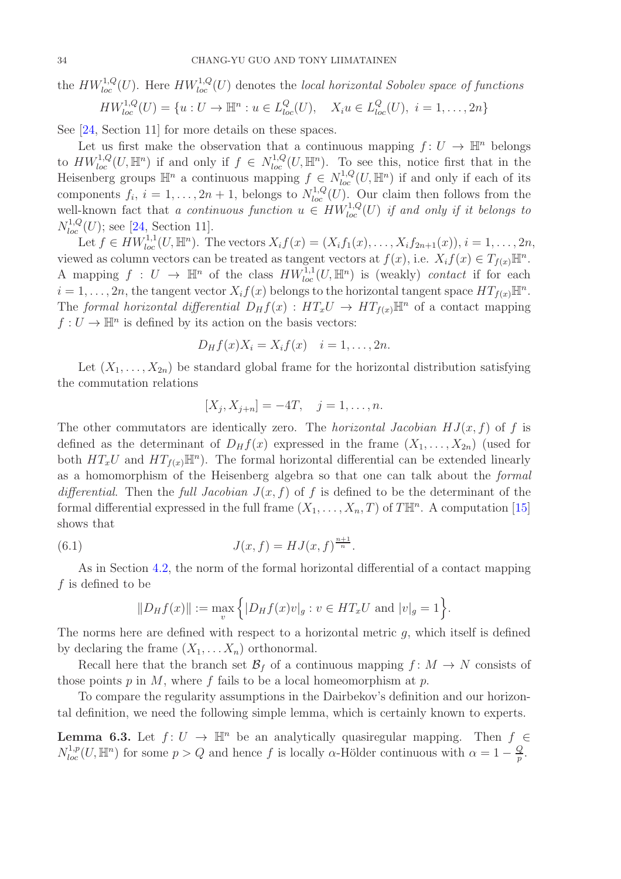the  $HW^{1,Q}_{loc}(U)$ . Here  $HW^{1,Q}_{loc}(U)$  denotes the local horizontal Sobolev space of functions

$$
HW_{loc}^{1,Q}(U) = \{u : U \to \mathbb{H}^n : u \in L_{loc}^Q(U), \quad X_i u \in L_{loc}^Q(U), \ i = 1, \dots, 2n\}
$$

See [\[24,](#page-40-19) Section 11] for more details on these spaces.

Let us first make the observation that a continuous mapping  $f: U \to \mathbb{H}^n$  belongs to  $HW^{1,Q}_{loc}(U,\mathbb{H}^n)$  if and only if  $f \in N^{1,Q}_{loc}(U,\mathbb{H}^n)$ . To see this, notice first that in the Heisenberg groups  $\mathbb{H}^n$  a continuous mapping  $f \in N^{1,Q}_{loc}(U,\mathbb{H}^n)$  if and only if each of its components  $f_i$ ,  $i = 1, \ldots, 2n + 1$ , belongs to  $N_{loc}^{1,Q}(U)$ . Our claim then follows from the well-known fact that a continuous function  $u \in HW^{1,Q}_{loc}(U)$  if and only if it belongs to  $N_{loc}^{1,Q}(U)$ ; see [\[24,](#page-40-19) Section 11].

Let  $f \in HW_{loc}^{1,1}(U,\mathbb{H}^n)$ . The vectors  $X_i f(x) = (X_i f_1(x), \ldots, X_i f_{2n+1}(x)), i = 1, \ldots, 2n$ , viewed as column vectors can be treated as tangent vectors at  $f(x)$ , i.e.  $X_i f(x) \in T_{f(x)} \mathbb{H}^n$ . A mapping  $f: U \to \mathbb{H}^n$  of the class  $HW^{1,1}_{loc}(U, \mathbb{H}^n)$  is (weakly) contact if for each  $i = 1, \ldots, 2n$ , the tangent vector  $X_i f(x)$  belongs to the horizontal tangent space  $HT_{f(x)}\mathbb{H}^n$ . The formal horizontal differential  $D_Hf(x) : HT_xU \to HT_{f(x)}\mathbb{H}^n$  of a contact mapping  $f: U \to \mathbb{H}^n$  is defined by its action on the basis vectors:

$$
D_Hf(x)X_i=X_if(x) \quad i=1,\ldots,2n.
$$

Let  $(X_1, \ldots, X_{2n})$  be standard global frame for the horizontal distribution satisfying the commutation relations

$$
[X_j, X_{j+n}] = -4T, \quad j = 1, \dots, n.
$$

The other commutators are identically zero. The *horizontal Jacobian HJ(x, f)* of f is defined as the determinant of  $D_Hf(x)$  expressed in the frame  $(X_1, \ldots, X_{2n})$  (used for both  $HT_xU$  and  $HT_{f(x)}\mathbb{H}^n$ . The formal horizontal differential can be extended linearly as a homomorphism of the Heisenberg algebra so that one can talk about the formal differential. Then the full Jacobian  $J(x, f)$  of f is defined to be the determinant of the formal differential expressed in the full frame  $(X_1, \ldots, X_n, T)$  of  $T\mathbb{H}^n$ . A computation [\[15\]](#page-39-7) shows that

(6.1) 
$$
J(x, f) = HJ(x, f)^{\frac{n+1}{n}}.
$$

As in Section [4.2,](#page-13-0) the norm of the formal horizontal differential of a contact mapping f is defined to be

<span id="page-33-1"></span>
$$
||D_Hf(x)|| := \max_v \{ |D_Hf(x)v|_g : v \in HT_xU \text{ and } |v|_g = 1 \}.
$$

The norms here are defined with respect to a horizontal metric  $g$ , which itself is defined by declaring the frame  $(X_1, \ldots X_n)$  orthonormal.

Recall here that the branch set  $\mathcal{B}_f$  of a continuous mapping  $f: M \to N$  consists of those points  $p$  in  $M$ , where  $f$  fails to be a local homeomorphism at  $p$ .

To compare the regularity assumptions in the Dairbekov's definition and our horizontal definition, we need the following simple lemma, which is certainly known to experts.

<span id="page-33-0"></span>**Lemma 6.3.** Let  $f: U \to \mathbb{H}^n$  be an analytically quasiregular mapping. Then  $f \in$  $N_{loc}^{1,p}(U,\mathbb{H}^n)$  for some  $p > Q$  and hence f is locally  $\alpha$ -Hölder continuous with  $\alpha = 1 - \frac{Q}{p}$  $\frac{Q}{p}$ .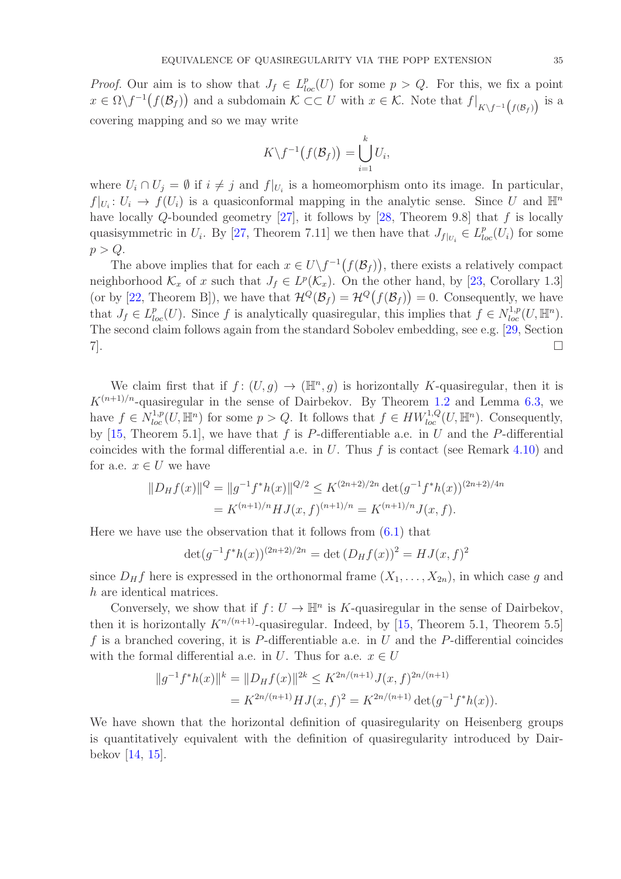*Proof.* Our aim is to show that  $J_f \in L_{loc}^p(U)$  for some  $p > Q$ . For this, we fix a point  $x \in \Omega \backslash f^{-1}(f(\mathcal{B}_f))$  and a subdomain  $\mathcal{K} \subset\subset U$  with  $x \in \mathcal{K}$ . Note that  $f|_{K\backslash f^{-1}(f(\mathcal{B}_f))}$  is a covering mapping and so we may write

$$
K\backslash f^{-1}(f(\mathcal{B}_f))=\bigcup_{i=1}^k U_i,
$$

where  $U_i \cap U_j = \emptyset$  if  $i \neq j$  and  $f|_{U_i}$  is a homeomorphism onto its image. In particular,  $f|_{U_i}: U_i \to f(U_i)$  is a quasiconformal mapping in the analytic sense. Since U and  $\mathbb{H}^n$ have locally Q-bounded geometry  $[27]$ , it follows by  $[28,$  Theorem 9.8] that f is locally quasisymmetric in  $U_i$ . By [\[27,](#page-40-4) Theorem 7.11] we then have that  $J_{f|_{U_i}} \in L^p_{loc}(U_i)$  for some  $p > Q$ .

The above implies that for each  $x \in U \backslash f^{-1}(f(\mathcal{B}_f))$ , there exists a relatively compact neighborhood  $\mathcal{K}_x$  of x such that  $J_f \in L^p(\mathcal{K}_x)$ . On the other hand, by [\[23,](#page-40-20) Corollary 1.3] (or by [\[22,](#page-40-8) Theorem B]), we have that  $\mathcal{H}^Q(\mathcal{B}_f) = \mathcal{H}^Q(f(\mathcal{B}_f)) = 0$ . Consequently, we have that  $J_f \in L^p_{loc}(U)$ . Since f is analytically quasiregular, this implies that  $f \in N^{1,p}_{loc}(U, \mathbb{H}^n)$ . The second claim follows again from the standard Sobolev embedding, see e.g. [\[29,](#page-40-14) Section 7].

We claim first that if  $f: (U, g) \to (\mathbb{H}^n, g)$  is horizontally K-quasiregular, then it is  $K^{(n+1)/n}$ -quasiregular in the sense of Dairbekov. By Theorem [1.2](#page-3-0) and Lemma [6.3,](#page-33-0) we have  $f \in N_{loc}^{1,p}(U,\mathbb{H}^n)$  for some  $p > Q$ . It follows that  $f \in HW_{loc}^{1,Q}(U,\mathbb{H}^n)$ . Consequently, by [\[15,](#page-39-7) Theorem 5.1], we have that f is P-differentiable a.e. in U and the P-differential coincides with the formal differential a.e. in  $U$ . Thus  $f$  is contact (see Remark [4.10\)](#page-15-2) and for a.e.  $x \in U$  we have

$$
||D_Hf(x)||^Q = ||g^{-1}f^*h(x)||^{Q/2} \le K^{(2n+2)/2n} \det(g^{-1}f^*h(x))^{(2n+2)/4n}
$$
  
=  $K^{(n+1)/n} H J(x, f)^{(n+1)/n} = K^{(n+1)/n} J(x, f).$ 

Here we have use the observation that it follows from  $(6.1)$  that

$$
\det(g^{-1}f^*h(x))^{(2n+2)/2n} = \det(D_Hf(x))^2 = HJ(x,f)^2
$$

since  $D_H f$  here is expressed in the orthonormal frame  $(X_1, \ldots, X_{2n})$ , in which case g and h are identical matrices.

Conversely, we show that if  $f: U \to \mathbb{H}^n$  is K-quasiregular in the sense of Dairbekov, then it is horizontally  $K^{n/(n+1)}$ -quasiregular. Indeed, by [\[15,](#page-39-7) Theorem 5.1, Theorem 5.5] f is a branched covering, it is P-differentiable a.e. in U and the P-differential coincides with the formal differential a.e. in U. Thus for a.e.  $x \in U$ 

$$
||g^{-1}f^*h(x)||^k = ||D_Hf(x)||^{2k} \le K^{2n/(n+1)}J(x,f)^{2n/(n+1)}
$$
  
=  $K^{2n/(n+1)}HJ(x,f)^2 = K^{2n/(n+1)}\det(g^{-1}f^*h(x)).$ 

We have shown that the horizontal definition of quasiregularity on Heisenberg groups is quantitatively equivalent with the definition of quasiregularity introduced by Dairbekov [\[14,](#page-39-6) [15\]](#page-39-7).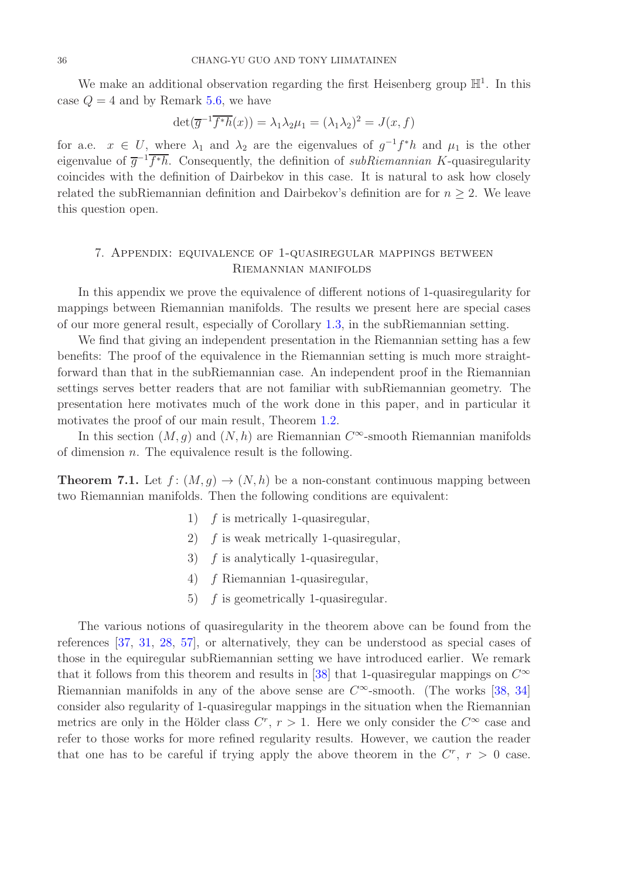We make an additional observation regarding the first Heisenberg group  $\mathbb{H}^1$ . In this case  $Q = 4$  and by Remark [5.6,](#page-22-0) we have

$$
\det(\overline{g}^{-1}\overline{f^*h}(x)) = \lambda_1 \lambda_2 \mu_1 = (\lambda_1 \lambda_2)^2 = J(x, f)
$$

for a.e.  $x \in U$ , where  $\lambda_1$  and  $\lambda_2$  are the eigenvalues of  $g^{-1}f^*h$  and  $\mu_1$  is the other eigenvalue of  $\overline{g}^{-1} \overline{f^*h}$ . Consequently, the definition of *subRiemannian K*-quasiregularity coincides with the definition of Dairbekov in this case. It is natural to ask how closely related the subRiemannian definition and Dairbekov's definition are for  $n \geq 2$ . We leave this question open.

# <span id="page-35-0"></span>7. Appendix: equivalence of 1-quasiregular mappings between Riemannian manifolds

In this appendix we prove the equivalence of different notions of 1-quasiregularity for mappings between Riemannian manifolds. The results we present here are special cases of our more general result, especially of Corollary [1.3,](#page-4-0) in the subRiemannian setting.

We find that giving an independent presentation in the Riemannian setting has a few benefits: The proof of the equivalence in the Riemannian setting is much more straightforward than that in the subRiemannian case. An independent proof in the Riemannian settings serves better readers that are not familiar with subRiemannian geometry. The presentation here motivates much of the work done in this paper, and in particular it motivates the proof of our main result, Theorem [1.2.](#page-3-0)

In this section  $(M, g)$  and  $(N, h)$  are Riemannian  $C^{\infty}$ -smooth Riemannian manifolds of dimension  $n$ . The equivalence result is the following.

**Theorem 7.1.** Let  $f : (M, g) \to (N, h)$  be a non-constant continuous mapping between two Riemannian manifolds. Then the following conditions are equivalent:

- 1)  $f$  is metrically 1-quasiregular,
- 2) f is weak metrically 1-quasiregular,
- 3)  $f$  is analytically 1-quasiregular,
- 4) f Riemannian 1-quasiregular,
- 5)  $f$  is geometrically 1-quasiregular.

The various notions of quasiregularity in the theorem above can be found from the references [\[37,](#page-40-10) [31,](#page-40-21) [28,](#page-40-5) [57\]](#page-41-12), or alternatively, they can be understood as special cases of those in the equiregular subRiemannian setting we have introduced earlier. We remark that it follows from this theorem and results in [\[38\]](#page-40-22) that 1-quasiregular mappings on  $C^{\infty}$ Riemannian manifolds in any of the above sense are  $C^{\infty}$ -smooth. (The works [\[38,](#page-40-22) [34\]](#page-40-23) consider also regularity of 1-quasiregular mappings in the situation when the Riemannian metrics are only in the Hölder class  $C^r$ ,  $r > 1$ . Here we only consider the  $C^{\infty}$  case and refer to those works for more refined regularity results. However, we caution the reader that one has to be careful if trying apply the above theorem in the  $C^r$ ,  $r > 0$  case.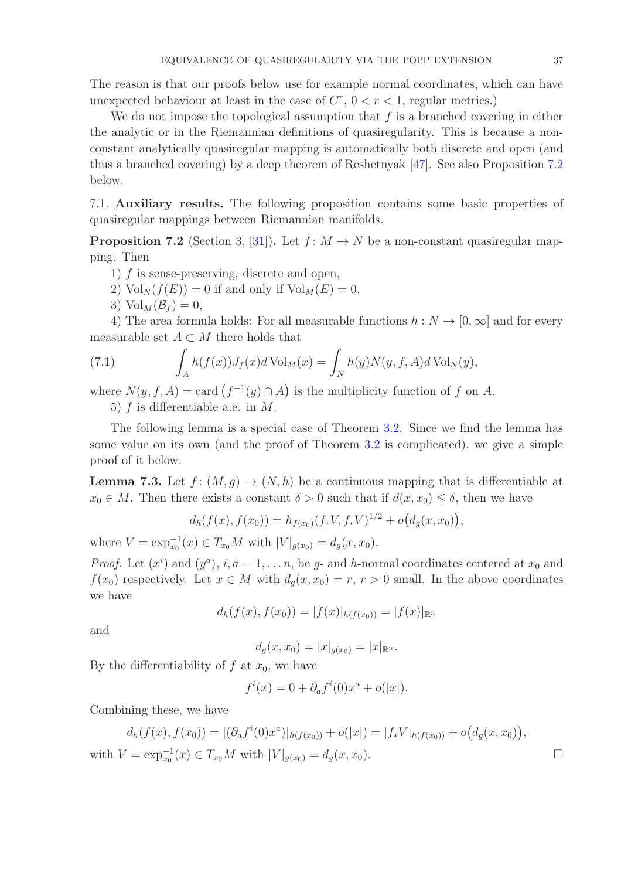The reason is that our proofs below use for example normal coordinates, which can have unexpected behaviour at least in the case of  $C^r$ ,  $0 < r < 1$ , regular metrics.)

We do not impose the topological assumption that  $f$  is a branched covering in either the analytic or in the Riemannian definitions of quasiregularity. This is because a nonconstant analytically quasiregular mapping is automatically both discrete and open (and thus a branched covering) by a deep theorem of Reshetnyak [\[47\]](#page-41-0). See also Proposition [7.2](#page-36-2) below.

<span id="page-36-0"></span>7.1. Auxiliary results. The following proposition contains some basic properties of quasiregular mappings between Riemannian manifolds.

<span id="page-36-2"></span>**Proposition 7.2** (Section 3, [\[31\]](#page-40-21)). Let  $f: M \to N$  be a non-constant quasiregular mapping. Then

- 1) f is sense-preserving, discrete and open,
- 2)  $\text{Vol}_N(f(E)) = 0$  if and only if  $\text{Vol}_M(E) = 0$ ,
- 3)  $\text{Vol}_M(\mathcal{B}_f) = 0$ ,

4) The area formula holds: For all measurable functions  $h : N \to [0, \infty]$  and for every measurable set  $A \subset M$  there holds that

(7.1) 
$$
\int_A h(f(x))J_f(x)d\operatorname{Vol}_M(x) = \int_N h(y)N(y,f,A)d\operatorname{Vol}_N(y),
$$

where  $N(y, f, A) = \text{card}(f^{-1}(y) \cap A)$  is the multiplicity function of f on A.

5) f is differentiable a.e. in M.

The following lemma is a special case of Theorem [3.2.](#page-9-0) Since we find the lemma has some value on its own (and the proof of Theorem [3.2](#page-9-0) is complicated), we give a simple proof of it below.

<span id="page-36-1"></span>**Lemma 7.3.** Let  $f : (M, g) \to (N, h)$  be a continuous mapping that is differentiable at  $x_0 \in M$ . Then there exists a constant  $\delta > 0$  such that if  $d(x, x_0) \leq \delta$ , then we have

$$
d_h(f(x), f(x_0)) = h_{f(x_0)}(f_*V, f_*V)^{1/2} + o(d_g(x, x_0)),
$$

where  $V = \exp_{x_0}^{-1}(x) \in T_{x_0}M$  with  $|V|_{g(x_0)} = d_g(x, x_0)$ .

*Proof.* Let  $(x^{i})$  and  $(y^{a})$ ,  $i, a = 1, ..., n$ , be g- and h-normal coordinates centered at  $x_{0}$  and  $f(x_0)$  respectively. Let  $x \in M$  with  $d_q(x, x_0) = r$ ,  $r > 0$  small. In the above coordinates we have

$$
d_h(f(x), f(x_0)) = |f(x)|_{h(f(x_0))} = |f(x)|_{\mathbb{R}^n}
$$

and

$$
d_g(x, x_0) = |x|_{g(x_0)} = |x|_{\mathbb{R}^n}.
$$

By the differentiability of  $f$  at  $x_0$ , we have

$$
f^{i}(x) = 0 + \partial_{a} f^{i}(0) x^{a} + o(|x|).
$$

Combining these, we have

$$
d_h(f(x), f(x_0)) = |(\partial_a f^i(0)x^a)|_{h(f(x_0))} + o(|x|) = |f_*V|_{h(f(x_0))} + o(d_g(x, x_0)),
$$

with  $V = \exp_{x_0}^{-1}(x) \in T_{x_0}M$  with  $|V|_{g(x_0)} = d_g(x, x_0)$ .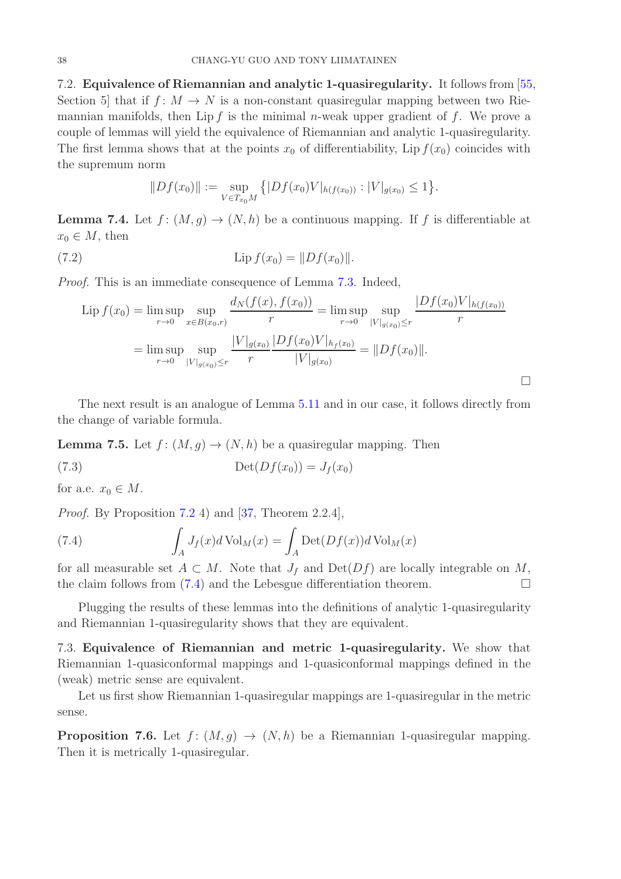<span id="page-37-0"></span>7.2. Equivalence of Riemannian and analytic 1-quasiregularity. It follows from [\[55,](#page-41-9) Section 5 that if  $f: M \to N$  is a non-constant quasiregular mapping between two Riemannian manifolds, then Lip f is the minimal n-weak upper gradient of f. We prove a couple of lemmas will yield the equivalence of Riemannian and analytic 1-quasiregularity. The first lemma shows that at the points  $x_0$  of differentiability, Lip  $f(x_0)$  coincides with the supremum norm

$$
||Df(x_0)|| := \sup_{V \in T_{x_0}M} \left\{ |Df(x_0)V|_{h(f(x_0))} : |V|_{g(x_0)} \le 1 \right\}.
$$

**Lemma 7.4.** Let  $f: (M, g) \to (N, h)$  be a continuous mapping. If f is differentiable at  $x_0 \in M$ , then

(7.2) 
$$
\text{Lip } f(x_0) = ||Df(x_0)||.
$$

Proof. This is an immediate consequence of Lemma [7.3.](#page-36-1) Indeed,

$$
\text{Lip } f(x_0) = \limsup_{r \to 0} \sup_{x \in B(x_0, r)} \frac{d_N(f(x), f(x_0))}{r} = \limsup_{r \to 0} \sup_{|V|_{g(x_0)} \le r} \frac{|Df(x_0)V|_{h(f(x_0))}}{r}
$$
\n
$$
= \limsup_{r \to 0} \sup_{|V|_{g(x_0)} \le r} \frac{|V|_{g(x_0)} |Df(x_0)V|_{h_f(x_0)}}{r} = ||Df(x_0)||.
$$

 $\Box$ 

The next result is an analogue of Lemma [5.11](#page-26-2) and in our case, it follows directly from the change of variable formula.

**Lemma 7.5.** Let  $f : (M, g) \to (N, h)$  be a quasiregular mapping. Then

$$
(7.3) \t\t\t\tDet(Df(x_0)) = J_f(x_0)
$$

for a.e.  $x_0 \in M$ .

*Proof.* By Proposition [7.2](#page-36-2) 4) and [\[37,](#page-40-10) Theorem 2.2.4],

<span id="page-37-2"></span>(7.4) 
$$
\int_{A} J_f(x) d\text{Vol}_M(x) = \int_{A} \text{Det}(Df(x)) d\text{Vol}_M(x)
$$

for all measurable set  $A \subset M$ . Note that  $J_f$  and  $Det(Df)$  are locally integrable on M, the claim follows from  $(7.4)$  and the Lebesgue differentiation theorem.

Plugging the results of these lemmas into the definitions of analytic 1-quasiregularity and Riemannian 1-quasiregularity shows that they are equivalent.

<span id="page-37-1"></span>7.3. Equivalence of Riemannian and metric 1-quasiregularity. We show that Riemannian 1-quasiconformal mappings and 1-quasiconformal mappings defined in the (weak) metric sense are equivalent.

Let us first show Riemannian 1-quasiregular mappings are 1-quasiregular in the metric sense.

**Proposition 7.6.** Let  $f : (M, g) \to (N, h)$  be a Riemannian 1-quasiregular mapping. Then it is metrically 1-quasiregular.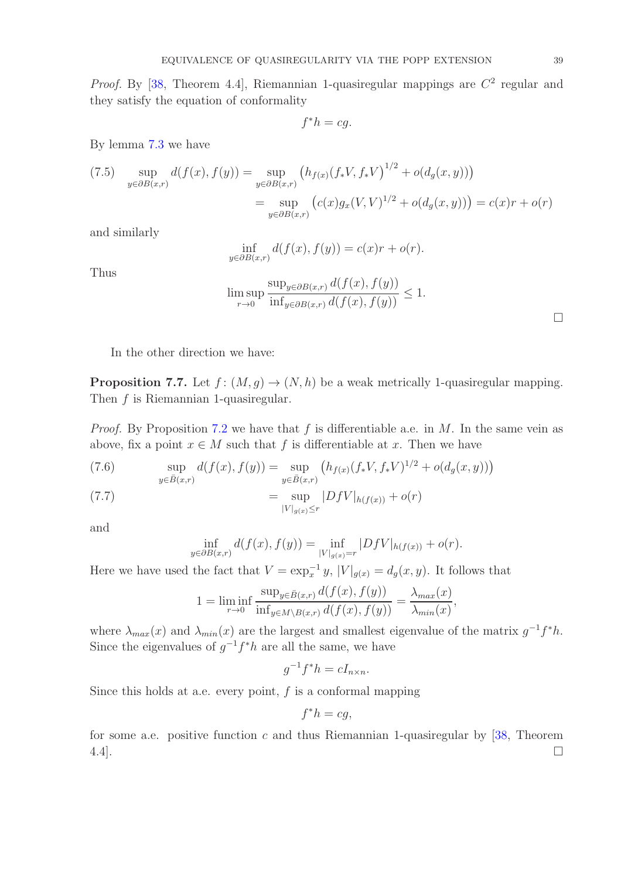*Proof.* By [\[38,](#page-40-22) Theorem 4.4], Riemannian 1-quasiregular mappings are  $C^2$  regular and they satisfy the equation of conformality

$$
f^*h=cg.
$$

By lemma [7.3](#page-36-1) we have

(7.5) 
$$
\sup_{y \in \partial B(x,r)} d(f(x), f(y)) = \sup_{y \in \partial B(x,r)} (h_{f(x)}(f_*V, f_*V)^{1/2} + o(d_g(x, y)))
$$

$$
= \sup_{y \in \partial B(x,r)} (c(x)g_x(V, V)^{1/2} + o(d_g(x, y))) = c(x)r + o(r)
$$

and similarly

$$
\inf_{y \in \partial B(x,r)} d(f(x), f(y)) = c(x)r + o(r).
$$

Thus

$$
\limsup_{r \to 0} \frac{\sup_{y \in \partial B(x,r)} d(f(x), f(y))}{\inf_{y \in \partial B(x,r)} d(f(x), f(y))} \le 1.
$$

 $\Box$ 

In the other direction we have:

**Proposition 7.7.** Let  $f : (M, q) \to (N, h)$  be a weak metrically 1-quasiregular mapping. Then f is Riemannian 1-quasiregular.

*Proof.* By Proposition [7.2](#page-36-2) we have that f is differentiable a.e. in  $M$ . In the same vein as above, fix a point  $x \in M$  such that f is differentiable at x. Then we have

(7.6) 
$$
\sup_{y \in \bar{B}(x,r)} d(f(x), f(y)) = \sup_{y \in \bar{B}(x,r)} (h_{f(x)}(f_*V, f_*V)^{1/2} + o(d_g(x, y)))
$$

(7.7) 
$$
= \sup_{|V|_{g(x)} \le r} |DfV|_{h(f(x))} + o(r)
$$

and

$$
\inf_{y \in \partial B(x,r)} d(f(x), f(y)) = \inf_{|V|_{g(x)} = r} |DfV|_{h(f(x))} + o(r).
$$

Here we have used the fact that  $V = \exp_x^{-1} y$ ,  $|V|_{g(x)} = d_g(x, y)$ . It follows that

$$
1 = \liminf_{r \to 0} \frac{\sup_{y \in \bar{B}(x,r)} d(f(x), f(y))}{\inf_{y \in M \setminus B(x,r)} d(f(x), f(y))} = \frac{\lambda_{max}(x)}{\lambda_{min}(x)},
$$

where  $\lambda_{max}(x)$  and  $\lambda_{min}(x)$  are the largest and smallest eigenvalue of the matrix  $g^{-1}f^*h$ . Since the eigenvalues of  $g^{-1}f^*h$  are all the same, we have

$$
g^{-1}f^*h = cI_{n \times n}.
$$

Since this holds at a.e. every point,  $f$  is a conformal mapping

$$
f^*h = cg,
$$

for some a.e. positive function  $c$  and thus Riemannian 1-quasiregular by [\[38,](#page-40-22) Theorem  $4.4$ ].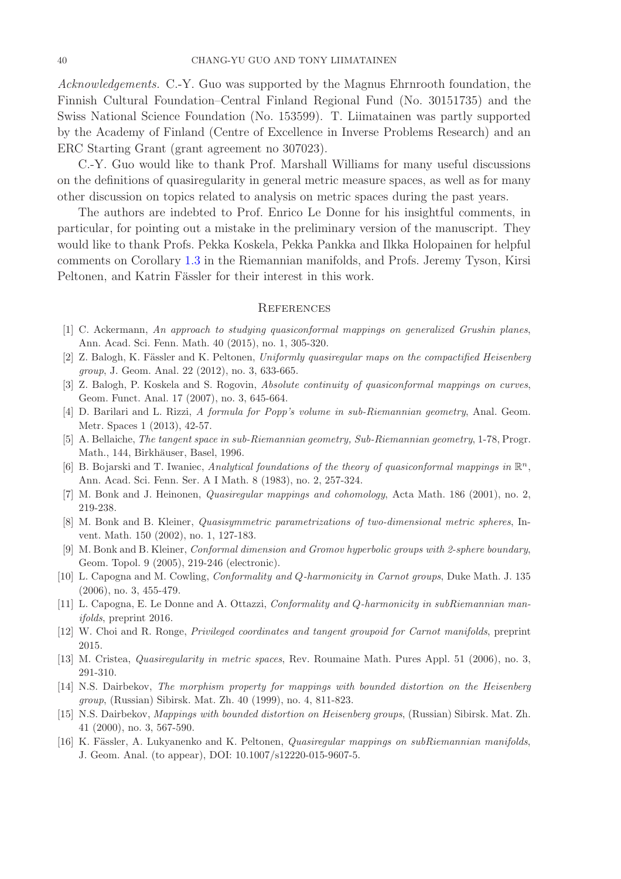Acknowledgements. C.-Y. Guo was supported by the Magnus Ehrnrooth foundation, the Finnish Cultural Foundation–Central Finland Regional Fund (No. 30151735) and the Swiss National Science Foundation (No. 153599). T. Liimatainen was partly supported by the Academy of Finland (Centre of Excellence in Inverse Problems Research) and an ERC Starting Grant (grant agreement no 307023).

C.-Y. Guo would like to thank Prof. Marshall Williams for many useful discussions on the definitions of quasiregularity in general metric measure spaces, as well as for many other discussion on topics related to analysis on metric spaces during the past years.

The authors are indebted to Prof. Enrico Le Donne for his insightful comments, in particular, for pointing out a mistake in the preliminary version of the manuscript. They would like to thank Profs. Pekka Koskela, Pekka Pankka and Ilkka Holopainen for helpful comments on Corollary [1.3](#page-4-0) in the Riemannian manifolds, and Profs. Jeremy Tyson, Kirsi Peltonen, and Katrin Fässler for their interest in this work.

#### <span id="page-39-1"></span>**REFERENCES**

- <span id="page-39-10"></span><span id="page-39-4"></span>[1] C. Ackermann, An approach to studying quasiconformal mappings on generalized Grushin planes, Ann. Acad. Sci. Fenn. Math. 40 (2015), no. 1, 305-320.
- <span id="page-39-8"></span>[2] Z. Balogh, K. Fässler and K. Peltonen, Uniformly quasiregular maps on the compactified Heisenberg group, J. Geom. Anal. 22 (2012), no. 3, 633-665.
- <span id="page-39-11"></span>[3] Z. Balogh, P. Koskela and S. Rogovin, Absolute continuity of quasiconformal mappings on curves, Geom. Funct. Anal. 17 (2007), no. 3, 645-664.
- <span id="page-39-12"></span>[4] D. Barilari and L. Rizzi, A formula for Popp's volume in sub-Riemannian geometry, Anal. Geom. Metr. Spaces 1 (2013), 42-57.
- <span id="page-39-2"></span>[5] A. Bellaiche, The tangent space in sub-Riemannian geometry, Sub-Riemannian geometry, 1-78, Progr. Math., 144, Birkhäuser, Basel, 1996.
- [6] B. Bojarski and T. Iwaniec, Analytical foundations of the theory of quasiconformal mappings in  $\mathbb{R}^n$ , Ann. Acad. Sci. Fenn. Ser. A I Math. 8 (1983), no. 2, 257-324.
- [7] M. Bonk and J. Heinonen, Quasiregular mappings and cohomology, Acta Math. 186 (2001), no. 2, 219-238.
- [8] M. Bonk and B. Kleiner, Quasisymmetric parametrizations of two-dimensional metric spheres, Invent. Math. 150 (2002), no. 1, 127-183.
- [9] M. Bonk and B. Kleiner, Conformal dimension and Gromov hyperbolic groups with 2-sphere boundary, Geom. Topol. 9 (2005), 219-246 (electronic).
- <span id="page-39-9"></span>[10] L. Capogna and M. Cowling, Conformality and Q-harmonicity in Carnot groups, Duke Math. J. 135 (2006), no. 3, 455-479.
- <span id="page-39-0"></span>[11] L. Capogna, E. Le Donne and A. Ottazzi, Conformality and Q-harmonicity in subRiemannian manifolds, preprint 2016.
- <span id="page-39-13"></span><span id="page-39-3"></span>[12] W. Choi and R. Ronge, Privileged coordinates and tangent groupoid for Carnot manifolds, preprint 2015.
- <span id="page-39-6"></span>[13] M. Cristea, Quasiregularity in metric spaces, Rev. Roumaine Math. Pures Appl. 51 (2006), no. 3, 291-310.
- [14] N.S. Dairbekov, The morphism property for mappings with bounded distortion on the Heisenberg group, (Russian) Sibirsk. Mat. Zh. 40 (1999), no. 4, 811-823.
- <span id="page-39-7"></span>[15] N.S. Dairbekov, Mappings with bounded distortion on Heisenberg groups, (Russian) Sibirsk. Mat. Zh. 41 (2000), no. 3, 567-590.
- <span id="page-39-5"></span>[16] K. Fässler, A. Lukyanenko and K. Peltonen, *Quasiregular mappings on subRiemannian manifolds*, J. Geom. Anal. (to appear), DOI: 10.1007/s12220-015-9607-5.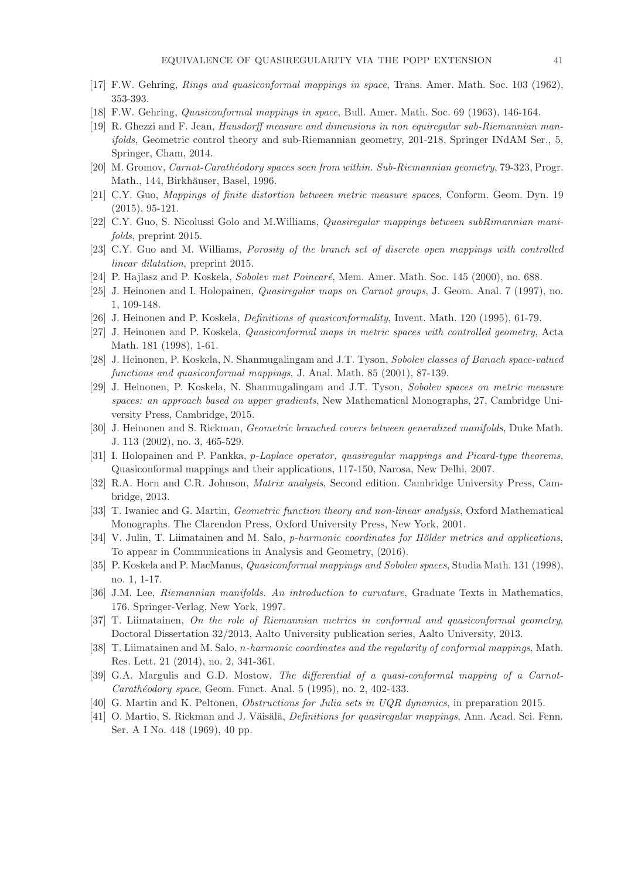- <span id="page-40-1"></span><span id="page-40-0"></span>[17] F.W. Gehring, Rings and quasiconformal mappings in space, Trans. Amer. Math. Soc. 103 (1962), 353-393.
- <span id="page-40-12"></span>[18] F.W. Gehring, Quasiconformal mappings in space, Bull. Amer. Math. Soc. 69 (1963), 146-164.
- [19] R. Ghezzi and F. Jean, Hausdorff measure and dimensions in non equiregular sub-Riemannian manifolds, Geometric control theory and sub-Riemannian geometry, 201-218, Springer INdAM Ser., 5, Springer, Cham, 2014.
- <span id="page-40-16"></span><span id="page-40-13"></span>[20] M. Gromov, Carnot-Carathéodory spaces seen from within. Sub-Riemannian geometry, 79-323, Progr. Math., 144, Birkhäuser, Basel, 1996.
- <span id="page-40-8"></span>[21] C.Y. Guo, Mappings of finite distortion between metric measure spaces, Conform. Geom. Dyn. 19 (2015), 95-121.
- <span id="page-40-20"></span>[22] C.Y. Guo, S. Nicolussi Golo and M.Williams, Quasiregular mappings between subRimannian manifolds, preprint 2015.
- <span id="page-40-19"></span>[23] C.Y. Guo and M. Williams, Porosity of the branch set of discrete open mappings with controlled linear dilatation, preprint 2015.
- <span id="page-40-9"></span>[24] P. Hajlasz and P. Koskela, *Sobolev met Poincaré*, Mem. Amer. Math. Soc. 145 (2000), no. 688.
- [25] J. Heinonen and I. Holopainen, Quasiregular maps on Carnot groups, J. Geom. Anal. 7 (1997), no. 1, 109-148.
- <span id="page-40-4"></span>[26] J. Heinonen and P. Koskela, Definitions of quasiconformality, Invent. Math. 120 (1995), 61-79.
- <span id="page-40-5"></span>[27] J. Heinonen and P. Koskela, Quasiconformal maps in metric spaces with controlled geometry, Acta Math. 181 (1998), 1-61.
- <span id="page-40-14"></span>[28] J. Heinonen, P. Koskela, N. Shanmugalingam and J.T. Tyson, Sobolev classes of Banach space-valued functions and quasiconformal mappings, J. Anal. Math. 85 (2001), 87-139.
- [29] J. Heinonen, P. Koskela, N. Shanmugalingam and J.T. Tyson, Sobolev spaces on metric measure spaces: an approach based on upper gradients, New Mathematical Monographs, 27, Cambridge University Press, Cambridge, 2015.
- <span id="page-40-21"></span><span id="page-40-6"></span>[30] J. Heinonen and S. Rickman, Geometric branched covers between generalized manifolds, Duke Math. J. 113 (2002), no. 3, 465-529.
- <span id="page-40-17"></span>[31] I. Holopainen and P. Pankka, p-Laplace operator, quasiregular mappings and Picard-type theorems, Quasiconformal mappings and their applications, 117-150, Narosa, New Delhi, 2007.
- <span id="page-40-3"></span>[32] R.A. Horn and C.R. Johnson, Matrix analysis, Second edition. Cambridge University Press, Cambridge, 2013.
- <span id="page-40-23"></span>[33] T. Iwaniec and G. Martin, Geometric function theory and non-linear analysis, Oxford Mathematical Monographs. The Clarendon Press, Oxford University Press, New York, 2001.
- <span id="page-40-15"></span> $[34]$  V. Julin, T. Liimatainen and M. Salo, *p-harmonic coordinates for Hölder metrics and applications*, To appear in Communications in Analysis and Geometry, (2016).
- [35] P. Koskela and P. MacManus, Quasiconformal mappings and Sobolev spaces, Studia Math. 131 (1998), no. 1, 1-17.
- <span id="page-40-18"></span><span id="page-40-10"></span>[36] J.M. Lee, Riemannian manifolds. An introduction to curvature, Graduate Texts in Mathematics, 176. Springer-Verlag, New York, 1997.
- [37] T. Liimatainen, On the role of Riemannian metrics in conformal and quasiconformal geometry, Doctoral Dissertation 32/2013, Aalto University publication series, Aalto University, 2013.
- <span id="page-40-22"></span><span id="page-40-11"></span>[38] T. Liimatainen and M. Salo, n-harmonic coordinates and the regularity of conformal mappings, Math. Res. Lett. 21 (2014), no. 2, 341-361.
- [39] G.A. Margulis and G.D. Mostow, The differential of a quasi-conformal mapping of a Carnot- $Carathéodory space, Geom.$  Funct. Anal. 5 (1995), no. 2, 402-433.
- <span id="page-40-7"></span><span id="page-40-2"></span>[40] G. Martin and K. Peltonen, Obstructions for Julia sets in UQR dynamics, in preparation 2015.
- [41] O. Martio, S. Rickman and J. Väisälä, *Definitions for quasiregular mappings*, Ann. Acad. Sci. Fenn. Ser. A I No. 448 (1969), 40 pp.